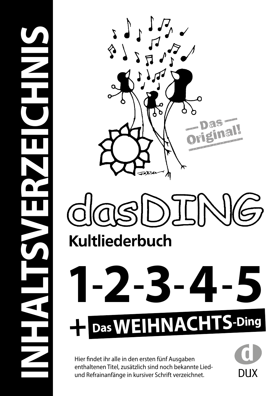# **INHALTSVERZEICHNIS**



# dasDIN **Kultliederbuch**

# **1**-**2**-**3**-**4**-**5 Das WEIHNACHTS-Ding**

**DUX** 

Hier findet ihr alle in den ersten fünf Ausgaben enthaltenen Titel, zusätzlich sind noch bekannte Liedund Refrainanfänge in kursiver Schrift verzeichnet.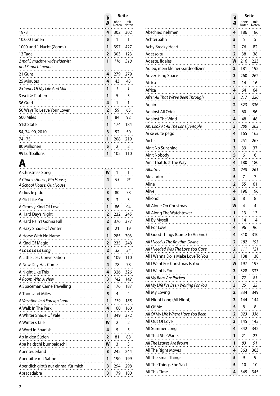|                                  | and            | Seite          |              |
|----------------------------------|----------------|----------------|--------------|
|                                  | ∞              | ohne<br>Noten  | mit<br>Noten |
| 1973                             | 4              | 302            | 302          |
| 10.000 Tränen                    | 5              | 1              | 1            |
| 1000 und 1 Nacht (Zoom!)         | 1              | 397            | 427          |
| 13 Tage                          | $\overline{2}$ | 303            | 123          |
| 2 mal 3 macht 4 widewidewitt     | 1              | 116            | 310          |
| und 3 macht neune                |                |                |              |
| 21 Guns                          | 4              | 279            | 279          |
| 25 Minutes                       | 4              | 43             | 43           |
| 25 Years Of My Life And Still    | 1              | 1              | 1            |
| 3 weiße Tauben                   | 1              | 5              | 5            |
| 36 Grad                          | 4              | 1              | 1            |
| 50 Ways To Leave Your Lover<br>. | $\overline{2}$ | 59             | 65           |
| 500 Miles                        | 1              | 84             | 92           |
| 51st State                       | 1              | 174            | 184          |
| 54, 74, 90, 2010                 | 3              | 52             | 50           |
| $74 - 75$                        | 1              | 208            | 219          |
| 80 Millionen                     | 5              | $\overline{2}$ | 2            |
| 99 Luftballons                   | 1              | 102            | 110          |
|                                  |                |                |              |

### **A**

| A Christmas Song                     | W | 1   | 1   |
|--------------------------------------|---|-----|-----|
| A Church House, Gin House,           | 4 | 95  | 95  |
| A School House, Out House            |   |     |     |
| A dios le pido                       | 3 | 80  | 78  |
| A Girl Like You                      | 5 | 3   | 3   |
| A Groovy Kind Of Love                | 1 | 86  | 94  |
| A Hard Day's Night                   | 2 | 232 | 245 |
| A Hard Rain's Gonna Fall             | 2 | 376 | 377 |
| A Hazy Shade Of Winter               | 3 | 21  | 19  |
| A Horse With No Name                 | 1 | 285 | 303 |
| A Kind Of Magic                      | 2 | 235 | 248 |
| A La La La La Long                   | 2 | 32  | 34  |
| A Little Less Conversation           | 3 | 109 | 110 |
| A New Day Has Come                   | 4 | 78  | 78  |
| A Night Like This                    | 4 | 326 | 326 |
| A Room With A View                   | 3 | 142 | 142 |
| A Spaceman Came Travelling           | 2 | 176 | 187 |
| <b>A Thousand Miles</b>              | 5 | 4   | 4   |
| A Vacation In A Foreign Land         | 1 | 179 | 188 |
| A Walk In The Park                   | 4 | 160 | 160 |
| A Whiter Shade Of Pale               | 1 | 349 | 372 |
| A Winter's Tale                      | W | 2   | 2   |
| A Word In Spanish                    | 4 | 5   | 5   |
| Ab in den Süden                      | 2 | 81  | 88  |
| Aba haidschi bumbaidschi             | W | 3   | 3   |
| Abenteuerland                        | 3 | 242 | 244 |
| Aber bitte mit Sahne                 | 1 | 190 | 199 |
| Aber dich gibt's nur einmal für mich | 3 | 294 | 298 |
| Abracadabra                          | 3 | 179 | 180 |

|                                       |                         | Seite          |              |
|---------------------------------------|-------------------------|----------------|--------------|
|                                       | Band                    | ohne<br>Noter  | mit<br>Noten |
| Abschied nehmen                       | 4                       | 186            | 186          |
| Achterbahn                            | 5                       | $\overline{5}$ | 5            |
| Achy Breaky Heart                     | 2                       | 76             | 82           |
| Adesso tu                             | 2                       | 38             | 38           |
| Adeste, fideles                       | W                       | 216            | 223          |
| Adieu, mein kleiner Gardeoffizier     | 2                       | 181            | 192          |
| Advertising Space                     | 3                       | 260            | 262          |
| Africa                                | $\overline{a}$          | 14             | 16           |
| Africa                                | 4                       | 64             | 64           |
| After All That We've Been Through     | $\overline{\mathbf{3}}$ | 217            | 220          |
| Again                                 | $\overline{a}$          | 323            | 336          |
| Against All Odds                      | $\ddot{ }$              | 60             | 56           |
| Against The Wind                      | 4                       | 48             | 48           |
| Ah, Look At All The Lonely People     | $\overline{\mathbf{3}}$ | 200            | 203          |
| Ai se eu te pego                      | 4                       | 165            | 165          |
| Aicha                                 | <b>1</b>                | 251            | 267          |
| Ain't No Sunshine                     | 3                       | 39             | 37           |
| Ain't Nobody                          | 5                       | 6              | 6            |
| Ain't That Just The Way               | 4                       | 180            | 180          |
| Albatros                              | 2                       | 248            | 261          |
| Alejandro                             | 5                       | 7              | 7            |
| Aline                                 | 2                       | 55             | 61           |
| Alive                                 | 4                       | 196            | 196          |
| Alkohol                               | $\overline{2}$          | 8              | 8            |
| All Alone On Christmas                | W                       | 4              | 4            |
| All Along The Watchtower              | 1                       | 13             | 13           |
| All By Myself                         | 1                       | 14             | 14           |
| All For Love                          | 4                       | 96             | 96           |
| All Good Things (Come To An End)      | 4                       | 310            | 310          |
| All I Need Is The Rhythm Divine       | 2                       | 182            | 193          |
| All I Needed Was The Love You Gave    | 2                       | 111            | 121          |
| All I Wanna Do Is Make Love To You    | 3                       | 138            | 138          |
| All I Want For Christmas Is You       | W                       | 197            | 197          |
| All I Want Is You                     | 3                       | 328            | 333          |
| All My Bags Are Packed                | 1                       | 77             | 85           |
| All My Life I've Been Waiting For You | 3                       | 25             | 23           |
| All My Loving                         | $\overline{a}$          | 334            | 349          |
| All Night Long (All Night)            | 3                       | 144            | 144          |
| All Of Me                             | 5                       | 8              | 8            |
| All Of My Life Where Have You Been    | 2                       | 323            | 336          |
| All Out Of Love<br>.                  | 3                       | 145            | 145          |
| All Summer Long                       | 4                       | 342            | 342          |
| All That She Wants                    | 1                       | 21             | 23           |
| All The Leaves Are Brown              | 1                       | 83             | 91           |
| All The Right Moves                   | $\frac{4}{1}$           | 363            | 363          |
| All The Small Things                  | 5                       | $\frac{9}{10}$ | 9            |
| All The Things She Said               | 5                       | 10             | 10           |
| All This Time                         | 4                       | 345            | 345          |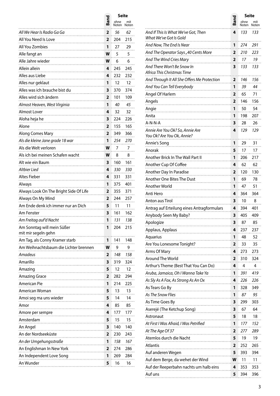|                                        |                | <b>Seite</b>  |                |
|----------------------------------------|----------------|---------------|----------------|
|                                        | Band           | ohne<br>Noten | mit<br>Noten   |
| All We Hear Is Radio Ga Ga             | 2              | 56            | 62             |
| All You Need Is Love                   | 2              | 204           | 215            |
| All You Zombies                        | 1              | 27            | 29             |
| Alle fangt an                          | W              | 5             | 5              |
| Alle Jahre wieder                      | w              | 6             | 6              |
| Allein allein                          | 4              | 245           | 245            |
| Alles aus Liebe                        | 4              | 232           | 232            |
| Alles nur geklaut                      | 1              | 12            | 12             |
| Alles was ich brauche bi               | 3              | 370           | 374            |
| Alles wird sich ändern                 | 2              | 101           | 109            |
| Almost Heaven, West Virginia           | 1              | 40            | 45             |
| Almost Lover                           | 4              | 32            | 32             |
| Aloha heja he                          | 3              | 224           | 226            |
| Alone                                  | 2              | 155           | 165            |
| Along Comes Mary                       | $\overline{a}$ | 349           | 366            |
| Als die kleine Jane grade 18 war       | 1              | 254           | 270            |
| Als die Welt verloren                  | W              | 7             | $\overline{z}$ |
| Als ich bei meinen Schafen             | W              | 8             | 8              |
| Alt wie ein Baum                       | з              | 160           | 161            |
| Altbier Lied                           | 4              | 330           | 330            |
| <b>Altes Fieber</b>                    | 4              | 331           | 331            |
| Always                                 | 1              | 375           | 401            |
| Always Look On The Bright Side Of Life | 2              | 355           | 371            |
| Always On My Mind                      | 2              | 244           | 257            |
| Am Ende denk ich immer nu<br>r an Dich | 5              | 11            | 11             |
| Am Fenster                             | 3              | 161           | 162            |
| Am Freitag auf'd Nacht                 | 1              | 131           | 138            |
| Am Sonntag will mein Süßer             | 1              | 204           | 215            |
| mit mir segeln gehn                    |                |               |                |
| Am Tag, als Conny Kramer starb         | 1              | 141           | 148            |
| Am Weihnachtsbaum die Lichter brenner  | W              | 9             | 9<br>٢.        |
| Amadeus                                | 2              | 148           | 158            |
| Amarillo                               | 3              | 319           | 324            |
| Amazing                                | 5              | 12            | 12             |
| Amazing Grace                          | 2              | 282           | 294            |
| American Pie                           | י<br>!         | 214           | 225            |
| American Woman                         | 5              | 13            | 13             |
| Amoi seg ma uns wieder                 | 5              | 14            | 14             |
| Amor                                   | 4              | 85            | 85             |
| Amore per sempre                       | 4              | 177           | 177            |
| Amsterdam                              | 5              | 15            | 15             |
| An Angel                               | 3              | 140           | 140            |
| An der Nordseeki                       | 2              | 230           | 243            |
| An der Umgehungsstraße                 | 1              | 158           | 167            |
| An Englishman In New York              | $\ddot{ }$     | 274           | 286            |
| An Independent Love Song               | 1              | 269           | 284            |
| An Wunder                              | 5              | 16            | 16             |
|                                        |                |               |                |

|                                                               |      | Seite                         |
|---------------------------------------------------------------|------|-------------------------------|
|                                                               | Band | ohne<br>mit<br>Noten<br>Noten |
| And If This Is What We've Got, Then<br>What We've Got Is Gold | 4    | 133<br>133                    |
| And Now, The End Is Near                                      | 1    | 274<br>291                    |
| And The Operator Says "40 Cents I                             | 2    | 210<br>223                    |
| And The Wind Cries Mary                                       | 2    | 17<br>19                      |
| And There Won't Be Snow In                                    | 3    | 133<br>133                    |
| Africa This Christmas Time                                    |      |                               |
| And Through It All She Offers Me Protection                   | 2    | 146<br>156                    |
| And You Can Tell Everybody                                    | 1    | 39<br>44                      |
| Angel Of Harlem                                               | 2    | 65<br>71                      |
| Angels                                                        | 2    | 146<br>156                    |
| Angie                                                         | 1    | 50<br>54                      |
| Anita                                                         | 1    | 198<br>207                    |
| A-N-N-A                                                       | 3    | 28<br>26                      |
| Annie Are You Ok? So, Annie Are                               | 4    | 129<br>129                    |
| You Ok? Are You Ok, Annie?                                    |      |                               |
| Annie's Song                                                  |      | 29<br>31                      |
| Anorak                                                        | 5    | 17<br>17                      |
| Another Brick In The Wall Part II                             | 1    | 206<br>217                    |
| Another Cup Of Coffee                                         | 4    | 62<br>62                      |
| Another Day In Paradise                                       | 2    | 120<br>130                    |
| Another One Bites The Dust                                    | 1    | 69<br>78                      |
| Another World                                                 | 1    | 47<br>$\frac{51}{1}$          |
| Anti Hero                                                     | 4    | 364<br>364                    |
| Anton aus Tirol                                               | 3    | 10<br>$\overset{8}{\cdot}$    |
| Antrag auf Erteilung eines Antragformulars                    | 4    | 394<br>401                    |
| Anybody Seen My Baby?                                         | 3    | 405<br>409                    |
| Apologize                                                     | 3    | 87<br>85                      |
| Applaus, Applaus                                              | 4    | 237<br>237                    |
| Aquarius                                                      | 1    | 48<br>52                      |
| Are You Lonesome Tonight?                                     | 2    | 33<br>35                      |
| Arms Of Mary                                                  | 4    | 273<br>273                    |
| Around The World                                              | 2    | 310<br>324                    |
| Arthur's Theme (Best That You Can Do)                         | 4    | 4<br>4                        |
| Aruba, Jamaica, Oh I Wanna Take Ya                            | 1    | 391<br>419                    |
| As Sly As A Fox, As Strong As An Ox                           | 4    | 226<br>226                    |
| As Tears Go By                                                | 1    | 328<br>349                    |
| As The Snow Flies                                             | 1    | 87<br>95                      |
| As Time Goes By                                               | 3    | 299<br>303                    |
| Aserejé (The Ketchup Song)                                    | 3    | 64<br>67                      |
| Astronaut                                                     | 5    | 18<br>18                      |
| At First I Was Afraid, I Was Petrified                        | 1    | 177<br>152                    |
|                                                               |      |                               |
| At The Age Of 37<br>.                                         | 2    | 277<br>289                    |
| Atemlos durch die Nacht<br>.                                  | 5    | 19<br>19                      |
| Atlantis                                                      | 2    | 252<br>265                    |
| Auf anderen Wegen<br>.                                        | 5    | 394<br>393                    |
| Auf dem Berge, da wehet der Wind                              | W    | 11<br>11                      |
| Auf der Reeperbahn nachts um halb eins                        |      | 4 353<br>353                  |
| Auf uns                                                       |      | 5 394<br>396                  |
|                                                               |      | 3                             |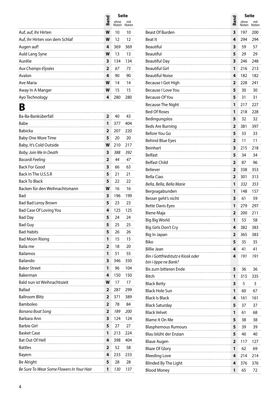|                                           |                         | Seite           |                 |
|-------------------------------------------|-------------------------|-----------------|-----------------|
|                                           | Band                    | ohne<br>Noter   | mit<br>Noten    |
| Auf, auf, ihr Hirten                      | W                       | 10              | 10              |
| Auf, ihr Hirten von dem Schlaf            | w                       | 12              | 12              |
| Augen auf!                                | 4                       | 369             | 369             |
| Auld Lang Syne                            | W                       | 13              | 13              |
| Aurélie                                   | 3                       | 134             | 134             |
| Aux Champs<br>-Elysées                    | 2                       | 67              | $\frac{73}{11}$ |
| Avalon                                    | 4                       | 90              | 90              |
| Ave Maria                                 | W                       | 14              | 14              |
| Away In A Manger                          | W                       | $\frac{15}{11}$ | $\frac{15}{10}$ |
| Ayo Technology                            | 4                       | 280             | 280             |
| В                                         |                         |                 |                 |
| Ba-Ba-Banküberfall                        | 2                       | 40              | 43              |
| Babe                                      | 1                       | 377             | 404             |
| Babicka                                   | $\overline{\mathbf{z}}$ | 207             | 220             |
| Baby One More Time                        | 5                       | 20              | 20              |
| Baby, It's Cold Outside                   | w                       | 210             | 217             |
| Baby, Join Me In Death                    | $\ddot{\mathbf{3}}$     | 388             | 392             |
| Bacardi Feeling                           | 2                       | 44              | 47              |
| Back For Good                             | 3                       | 66              | 63              |
| Back In The U.S.S.R                       |                         | 21              | 21              |
| Back To Black                             | 5<br>5                  | 22              | 22              |
| Backen für den Weihna                     | W                       | 16              | 16              |
| Bad                                       | 3                       | 196             | 199             |
| Bad Bad Leroy Brown                       | 5                       | 23              | 23              |
| Bad Case Of Loving You                    | 4                       | 125             | 125             |
| <b>Bad Day</b>                            | 5                       | 24              | 24              |
| <b>Bad Guy</b>                            |                         | 25              | 25              |
| Bad Habits                                | 5<br>5                  | 26              | 26              |
|                                           | 1                       | 15              |                 |
| Bad Moon Rising                           |                         |                 | 15              |
| Baila me                                  | 2                       | 18              | 20              |
| Bailamos                                  | 1                       | $\frac{51}{11}$ | 55              |
| Bailando                                  | 3                       | 346             | 350             |
| <b>Baker Street</b>                       | 1                       | 96              | 104             |
| Bakerman                                  | 4                       | 150             | 150             |
| Bald nun ist                              | w                       | 17              | 17              |
| Ballad                                    | $\ddot{ }$              | 287             | 299             |
| Ballroom Blitz                            | 2                       | 371             | 389             |
| Bamboleo                                  | 2                       | 78              | 84              |
| Banana Boat Song                          | 2                       | 189             | 200             |
| Barbara Ann<br>.                          | 3                       | 124             | 124             |
| Barbie Girl                               | $\frac{5}{1}$           | 27              | 27              |
| <b>Basket Case</b>                        | 1                       | 213             | 224             |
| Bat Out Of Hell                           | 4                       | 398             | 404             |
| <b>Battles</b>                            | $\ddot{ }$              | $\frac{52}{11}$ | 58              |
| Bayern                                    | 4                       | 233             | 233             |
| Be Alright                                | $\frac{5}{1}$           | 28              | 28              |
| Be Sure To Wear Some Flowers In Your Hair | 1                       | 130             | 137             |

|                                              |                | Seite            |                 |
|----------------------------------------------|----------------|------------------|-----------------|
|                                              | Band           | ohne<br>Noter    | mit<br>Noten    |
| Beast Of Burden                              | 3              | 197              | 200             |
| Beat It                                      | 4              | 294              | 294             |
| Beautiful                                    | 3              | $\frac{59}{11}$  | 57              |
| Beautiful                                    | 5              | 29               | 29              |
| <b>Beautiful Day</b>                         | з              | 246              | 248             |
| Beautiful Girl                               | 1              | 216              | 213             |
| <b>Beautiful Noise</b>                       | 4              | 182              | 182             |
| Because I Got High                           | 2              | 228              | 241             |
| Because I Love You                           | 5              | 30               | 30              |
| Because Of You                               | 5              | 31               | 31              |
| Because The Night                            | 1              | 217              | 227             |
| Bed Of Roses                                 | 1              | 218              | 228             |
| Bedingungslos                                | 5              | 32               | 32              |
| Beds Are Burning                             | $\overline{a}$ | 381              | 397             |
| Before You Go                                | 5              | $\frac{33}{11}$  | $\frac{33}{11}$ |
| Behind Blue Eyes                             | 2              | 11               | 11              |
| Beinhart                                     | 3              | 215              | 218             |
| Belfast                                      | 5              | 34               | 34              |
| Belfast Child                                | 2              | 87               | 96              |
| Believer                                     | 2              | 338              | 353             |
| Bella Ciao                                   | 2              | 301              | 313             |
| Bella, Bella, Bella Marie                    | 1              | 332              | 353             |
| Bergvagabunden                               | 1              | 148              | 157             |
| Besser geht's nicht                          | 3              | 61               | 59              |
| <b>Bette Davis Eyes</b>                      | 1              | 279              | 297             |
| Biene Maja                                   | 2              | 200              | 211             |
| Big Big World                                | 1              | 53               | 58              |
| Big Girls Don't Cry                          | 4              | 382              | 383             |
| Big In Japan                                 | 2              | 365              | 383             |
| Biko                                         | 5              | 35               | 35              |
| Billie Jean                                  | 4              | 41               | 41              |
| Bin i Gottfriedstutz e Kiosk odeı            | 4              | 191              | 191             |
| bin i öppe ne Bank?                          |                |                  |                 |
| Bis zum bitteren Ende                        | 5              | $\frac{36}{11}$  | 36              |
| Bitch                                        | 1              | 315              | 335             |
| <b>Black Betty</b>                           | 3              | 5                | 3               |
| Black Hole Sun                               | 1              | 60               | 67              |
| Black Is Black                               | 4              | 161              | 161             |
| <b>Black Saturday</b><br><b>Black Velvet</b> | 5<br>1         | 37<br>61         | 37              |
| ----------------                             |                | .                | 68<br>.         |
| Blame It On Me<br><b>Blasphemous Rumours</b> | $\overline{5}$ | 38<br>.          | 38<br>.         |
| Blau blüht der Enzian                        | $\frac{5}{2}$  | $\frac{39}{100}$ | $\frac{39}{1}$  |
| .                                            | 5<br>2         | 40 40<br>117     | - 127           |
| <b>Blaue Augen</b>                           | 1              |                  | 69              |
| <b>Blaze Of Glory</b><br>Bleeding Love       | 4              | 62<br>214        | 214             |
| <b>Blinded By The Light</b>                  | 4              | 376              | .<br>376        |
| .<br><b>Blood Money</b>                      | 1              | 65               | 72              |
| .                                            |                |                  |                 |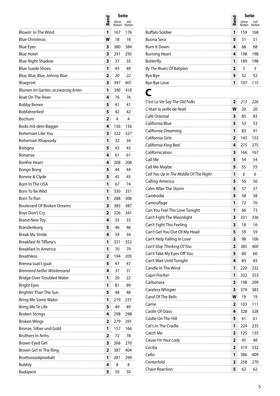|                                   |                         | <b>Seite</b>    |                 |
|-----------------------------------|-------------------------|-----------------|-----------------|
|                                   | Band                    | ohne<br>Noten   | mit<br>Noten    |
| Blowin' In The Wind               | 1                       | 167             | 176             |
| <b>Blue Christmas</b>             | W                       | 18              | 18              |
| <b>Blue Eyes</b>                  | 3                       | 380             | 384             |
| Blue Hotel                        | 3                       | 291             | 295             |
| Blue Night Shadow                 | $\ddot{\mathbf{3}}$     | $\frac{37}{11}$ | 35              |
| Blue Suede Shoes                  | 1                       | $\frac{45}{10}$ | 49              |
| Blue, Blue, Blue, Johnny Blı      | $\ddot{ }$              | 20              | 22              |
| Blueprint                         | 3                       | 397             | 401             |
| Blumen im Garten,<br>anzia Arten  | 1                       | 390             | 418             |
| Boat On The River                 | 4                       | $\frac{76}{1}$  | $\frac{76}{11}$ |
| Bobby Brown                       | $\overline{\mathbf{5}}$ | 41              | 41              |
| Bobfahrerlied                     | 5                       | 42              | 42              |
| Bochum                            | 2                       | 4               | 4               |
| Bodo mit dem Bagger               | 4                       | 156             | 156             |
| Bohemian Like You                 | 3                       | 322             | 327             |
| Bohemian Rhapsody                 | 1                       | 32              | 34              |
| Bologna                           | 5                       | 43              | 43              |
| Bonanza                           | 4                       | 61              | 61              |
| Bonfire Heart                     | 4                       | 208             | 208             |
| Bongo Bong                        | 5                       | 44              | 44              |
| Bonnie & Clyde                    | 5                       | 45              | 45              |
| Born In The USA                   | 1                       | 67              | 74              |
| Born To Be Wild                   | 1                       | 330             | 351             |
| Born To Run                       | 1                       | 288             | 306             |
| <b>Boulevard Of Broken Dreams</b> | 3                       | 383             | 387             |
| Boys Don't Cry                    | 2                       | 326             | 341             |
| <b>Brand New Toy</b>              | 4                       | 33              | 33              |
| Brandenburg                       | 5                       | 46              | 46              |
| <b>Break My Stride</b>            | 4                       | 34              | 34              |
| Breakfast At Tiffany's            | 1                       | 331             | 352             |
| Breakfast In America              | 1                       | 70              | 79              |
| Breathless                        | 2                       | 194             | 205             |
| Brenna tuat's guat                | $\frac{5}{10}$          | 47              | 47              |
| Brennend heißer Wüstensand        | 4                       | 31              | 31              |
| <b>Bridge Over Troubled Water</b> | 1                       | 20              | 22              |
| Bright Eyes                       | 1                       | 81              | 89              |
| Brighter Than The Sun             | 5                       | 48              | 48              |
| Bring Me Some Water               | 1                       | 219             | 231             |
| Bring Me To Life                  | 5                       | 49              | 49              |
| Broken Strings                    | 4                       | 298             | 298             |
| Broken Wings                      | 2                       | 279             | 291             |
| Bronze, Silber und Gold<br>.      | 1                       | 157             | 166             |
| Brothers In Arms<br>.             | 2                       | 72              | 78              |
| Brown Eyed Girl                   | $\ddot{\mathbf{3}}$     | 268             | 270             |
| Brown Girl In The Ring            | 2                       | 387             | 404             |
| Bruttosozialprodukt               | 1                       | 281             | 299             |
| <b>Bubbly</b>                     | 4                       | $\frac{8}{1}$   | 8               |
| Budapest                          | $\overline{5}$          | $\frac{50}{10}$ | $\frac{50}{10}$ |

|                                            |             | <b>Seite</b>            |  |
|--------------------------------------------|-------------|-------------------------|--|
|                                            | <b>Band</b> | ohne mit<br>Noten Noten |  |
| <b>Buffalo Soldier</b><br><u>1 159 168</u> |             |                         |  |
| Buona Sera                                 |             |                         |  |
| <b>Burn It Down</b><br>vn 4                |             | 68 68                   |  |
| Burning Heart <b>4</b> 198 198             |             |                         |  |
| Butterfly 1 189 198                        |             |                         |  |
| By The Rivers Of Babylon<br>2 5 5 5        |             |                         |  |
|                                            |             | 5 52 52                 |  |
| <b>Bye Bye Love</b>                        | 1           | 107 115                 |  |

### **C**

|                                        |                      | Noten           | Noten           |
|----------------------------------------|----------------------|-----------------|-----------------|
| Buffalo Soldier                        | 1                    | 159             | 168             |
| Buona Sera                             | 5                    | 51              | $\frac{51}{1}$  |
| Burn It Down                           | 4                    | 68              | 68              |
| Burning Heart                          | 4                    | 198             | 198             |
| Butterfly                              | 1                    | 189             | 198             |
| <b>By The Rivers</b><br>Of Babylon     | $\overline{a}$       | $\frac{5}{10}$  | $\frac{5}{1}$   |
| Bye Bye                                | 5                    | $\frac{52}{11}$ | $\frac{52}{11}$ |
| Bye Bye Love                           | 1                    | 107             | 115             |
|                                        |                      |                 |                 |
|                                        |                      |                 |                 |
| C'est La Vie Say The Old Folks         | 2                    | 213             | 226             |
| C'était la veille de Noël              | W                    | 20              | 20              |
| Café Oriental                          | 3                    | 85              | 83              |
| California Blue                        | 5                    | $\frac{53}{11}$ | $\frac{53}{11}$ |
| California Dreaming                    | 1                    | 83              | 91              |
| California Girls                       | $\overline{a}$       | 143             | 153             |
| California King Bed                    | 4                    | 275             | 275             |
| Californication                        | $\ddot{\phantom{0}}$ | 166             | 167             |
| Call Me                                | 5                    | 54              | 54              |
| Call Me Maybe                          | 5                    | $\frac{55}{10}$ | $\frac{55}{10}$ |
| Call You Up In The Middle Of The Night | 1                    | 6               | 6               |
| Calling America                        | 5                    | $\frac{56}{10}$ | 56              |
| Calm After The Storn                   | 5                    | $\frac{57}{1}$  | 57              |
| Cambodia                               | 5                    | $\frac{58}{11}$ | $\frac{58}{11}$ |
| Camouflage                             | 1                    | 72              | 76              |
| Can You Feel The Love Tonight          | 1                    | 66              | 73              |
| Can't Fight The Moonlight              | 3                    | 331             | 336             |
| Can't Fight This Feeling               | 3                    | 18              | 16              |
| Can't Get You Out Of My Head           | 5                    | 59              | 59              |
| Can't Help Falling In Love             | 2                    | 98              | 106             |
| Can't Stop Thinking Of You             | ä,<br>2              | 385             | 400             |
| Can't Take My Eyes Off You             | 5                    | 60              | 60              |
| Can't Wait Until Tonight               | 4                    | 83              | 83              |
| Candle In The Wind                     | 1                    | 220             | 232             |
| Capri-Fischer                          | 1                    | 332             | 353             |
| Carbonara                              | 2                    | 198             | 209             |
| Careless Whisper                       | 3                    | 379             | 383             |
| Carol Of The Bells                     | W                    | 19              | 19              |
| Carrie                                 | 2                    | 103             | 111             |
| Castle Of Glass                        | 4                    | 328             | 328             |
| Castle On The Hill                     | 5                    | 61              | 61              |
| Cat's In The Cradle                    | 1                    | 224             |                 |
|                                        | 2                    | 125             | 235             |
| Catch Me<br>.<br>Cause I'm Your Lady   | 2                    | 45              | 135<br>48       |
| .                                      |                      |                 |                 |
| Cecilia                                | $\cdot$ <sup>2</sup> | 319             | 332             |
| Cello<br>.                             | 1                    | 386             | 409             |
| Centerfold                             | 2                    | 258             | 270             |
| Chain Reaction                         | 5                    | 62              | 62              |
|                                        |                      |                 |                 |
|                                        |                      |                 | 5               |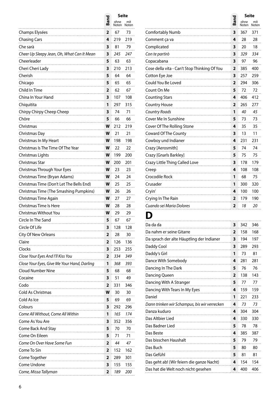|                                             |                         | Seite                    |  |
|---------------------------------------------|-------------------------|--------------------------|--|
|                                             |                         | ohne<br>mit              |  |
|                                             |                         | Noten<br>Noten           |  |
| Champs Elysées                              | 2                       | 67<br>73                 |  |
| Chasing Cars                                | 4                       | 219<br>219               |  |
| Che sarà                                    | 3                       | 81<br>$\frac{79}{11}$    |  |
| Cheer Up Sleepy Jean, Oh, What Can It Mean  | 3                       | 245<br>247               |  |
| Cheerleader                                 | 5                       | 63<br>63                 |  |
| Cheri Cheri Lady                            | 3                       | 210<br>213               |  |
| Cherish                                     | $\overline{\mathbf{5}}$ | 64<br>64                 |  |
| Chicago                                     | 5                       | 65<br>65                 |  |
| Child In Time                               | 2                       | 62<br>67                 |  |
| China In Your Hand                          | з                       | 107<br>108               |  |
| Chiquitita                                  | 1                       | 297<br>315               |  |
| Chirpy Chirpy Cheep Cheep                   | 3                       | 74<br>71                 |  |
| Chöre                                       | 5                       | 66<br>66                 |  |
| Christmas                                   | W                       | 212<br>219               |  |
| Christmas Day                               | W                       | 21<br>21                 |  |
| Christmas In My Heart                       | W                       | 198<br>198               |  |
| Christmas Is The Time Of The Year           | W                       | 22<br>22                 |  |
| Christmas Lights                            | W                       | 199<br>200               |  |
| Christmas Star                              | W                       | 200<br>201               |  |
| Christmas Through Your Eyes                 | W                       | 23<br>23                 |  |
| Christmas Time (Bryan Adams)                | W                       | 24<br>24                 |  |
| Christmas Time (Don't Let The Bells End)    | W                       | 25<br>25                 |  |
| Christmas Time (The Smashing Pumpkins)      | W                       | 26<br>26                 |  |
| Christmas Time Again                        | w                       | 27<br>27                 |  |
| Christmas Time Is Here                      | W                       | 28<br>28                 |  |
| Christmas Without You                       | W                       | 29<br>29                 |  |
| Circle In The Sand                          | 5                       | 67<br>67                 |  |
| Circle Of Life                              | 3                       | 128<br>128               |  |
| <b>City Of New Orleans</b>                  |                         | 28<br>30                 |  |
|                                             | $\ddot{ }$<br>2         |                          |  |
| Claire<br>Clocks                            | з                       | 126<br>136<br>253<br>255 |  |
|                                             | 2                       |                          |  |
| Close Your Eyes And I'll Kiss You           |                         | 334<br>349               |  |
| Close Your Eyes, Give Me Your Hand, Darling | 1                       | 368<br>393               |  |
| <b>Cloud Number Nine</b>                    | 5                       | 68<br>68                 |  |
| Cocaine                                     | 3                       | $\frac{51}{1}$<br>49     |  |
| Codo                                        | 2                       | 331<br>346               |  |
| Cold As Christmas                           | W                       | 30<br>30                 |  |
| Cold As Ice                                 | 5                       | 69<br>69                 |  |
| Colours                                     | 3                       | 292<br>296               |  |
| Come All Without, Come All Within           | 1                       | 165<br>174               |  |
| Come As You Are<br>.                        | з                       | 352<br>356               |  |
| Come Back And Stay<br>.                     | 5                       | $\frac{70}{1}$<br>70     |  |
| Come On Eileen<br>.                         | 5                       | 71<br>71                 |  |
| Come On Over Have Some Fun<br>.             | 2                       | 44<br>47                 |  |
| Come To Sin                                 | 2                       | 152<br>162               |  |
| Come Together<br>.                          | 2                       | 301<br>289               |  |
| Come Undone                                 | $\overline{\mathbf{3}}$ | 155<br>155               |  |
| Come, Missa Tallyman                        | $\overline{\mathbf{c}}$ | 189<br>200               |  |

|                                                 | O | Seite                         |
|-------------------------------------------------|---|-------------------------------|
|                                                 |   | ohne<br>mit<br>Noten<br>Noten |
| Comfortably Numb                                | 3 | 367<br>371                    |
| Comment ça va                                   | 4 | 28<br>28                      |
| Complicated                                     | 3 | 18<br>20                      |
| Con te partirò                                  | 3 | 329<br>334                    |
| Copacabana                                      | 3 | 97<br>96                      |
| Cose della vita<br>- Can't Stop Thinking Of You | 2 | 385<br>400                    |
| Cotton Eye Joe                                  | 3 | 257<br>259                    |
| Could You Be Loved                              | 2 | 294<br>306                    |
| Count On Me                                     | 5 | 72<br>72                      |
| Counting Stars                                  | 4 | 412<br>406                    |
| <b>Country House</b>                            | 2 | 265<br>277                    |
| Country Roads                                   | 1 | 40<br>45                      |
| Cover Me In Sunshine                            | 5 | 73<br>73                      |
| Cover Of The Rolling Stone                      | 4 | 35<br>35                      |
| Coward Of The County                            | 3 | 13<br>11                      |
| Cowboy und Indianer                             | 4 | 231<br>231                    |
| Crazy [Aerosmith]                               | 5 | 74<br>74                      |
| Crazy [Gnarls Barkley]                          | 5 | 75<br>75                      |
| Crazy Little Thing Called Love                  | 3 | 178<br>179                    |
| Creep                                           | 4 | 108<br>108                    |
| Crocodile Rock                                  | 1 | 68<br>75                      |
| Crusader                                        | 1 | 300<br>320                    |
| Cryin'                                          | 4 | 100<br>100                    |
| Crying In The Rain                              | 2 | 179<br>190                    |
| Cuando sei Maria Dolores                        | 2 | 18<br>20                      |
|                                                 |   |                               |
|                                                 |   |                               |
| Da da da                                        | 3 | 342<br>346                    |
| Da nahm er seine Gitarre                        | 2 | 158<br>168                    |
| Da sprach der alte Häuptling der I              | 3 | 194<br>197                    |
| Daddy Cool                                      | 3 | 289<br>293                    |
| Daddy's Girl                                    | 1 | 73<br>81                      |
| Dance With Somebody                             | 4 | 281<br>281                    |
| Dancing In The Dark                             | 5 | 76<br>76                      |
| Dancing Queen                                   | 2 | 138<br>143                    |
| Dancing With A Stranger                         | 5 | 77<br>77                      |
| Dancing With Tears In My Eyes                   | 4 | 159<br>159                    |
| Daniel                                          | 1 | 221<br>233                    |
| Dann trinken wir Schampus, bis wir verrecken    | 4 | 73<br>73                      |
| Danza kuduro                                    |   | 304<br>304                    |
| Das Altbier Lied                                | 4 | 330<br>330                    |
| Das Badner Lied                                 | 5 | 78<br>78                      |
| Das Beste<br>.                                  | 4 | 385<br>387                    |
| Das bisschen Haushalt                           | 5 | 79<br>79                      |
| Das Buch                                        | 5 | 80<br>80                      |
| Das Gefühl                                      | 5 | 81<br>81                      |
| Das geht ab! (Wir feiern die ganze Nacht)       | 4 | 154<br>154                    |
| Das hat die Welt noch nicht gesehen             | 4 | 400<br>406                    |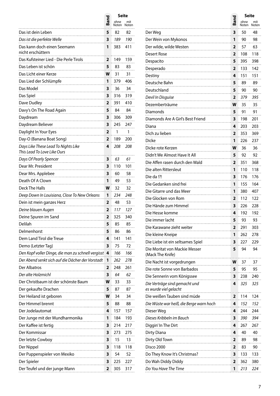|                                                    |                         | Seite                                 |
|----------------------------------------------------|-------------------------|---------------------------------------|
|                                                    |                         | ohne<br>mit                           |
| Das ist dein Leben                                 |                         | Noten<br>Noten<br>82<br>82            |
| Das ist die perfekte Welle                         | 5<br>3                  | 189<br>190                            |
| Das kann doch einen Seemann                        | 1                       | 383<br>411                            |
| nicht erschüttern                                  |                         |                                       |
| Das Kufsteiner Lied - Die Perle Tirols             | 2                       | 149<br>159                            |
| Das Leben ist schön                                | 5                       | 83<br>83                              |
| Das Licht einer Kerze                              | W                       | 31<br>31                              |
| Das Lied der Schlümpfe                             | 1                       | 379<br>406                            |
| Das Model                                          | 3                       | 36<br>34                              |
| Das Spiel                                          | 3                       | 316<br>319                            |
| Dave Dudley                                        | 2                       | 391<br>410                            |
| Davy's On The Road Again                           | 5                       | 84<br>84                              |
| Daydream                                           | 3                       | 306<br>309                            |
| Daydream Believer                                  | 3                       | 245<br>247                            |
| Daylight In Your Eyes                              | 2                       | 1<br>1                                |
| Day-O (Banana Boat Song)                           | 2                       | 189<br>200                            |
| Days Like These Lead To Nights Like                | 4                       | 208<br>208                            |
| This Lead To Love Like Ours                        |                         |                                       |
| Days Of Pearly Spencer                             | 3                       | 63<br>61                              |
| Dear Mr. President                                 | 3                       | 110<br>101                            |
| Dear Mrs. Applebee                                 | 3                       | 58<br>60                              |
| Death Of A Clown                                   | 1                       | 49<br>53                              |
| Deck The Halls                                     | W                       | 32<br>32                              |
| Deep Down In Louisiana, Close To New Orleans       | 1                       | 234<br>248                            |
| Dein ist mein ganzes Herz                          | 2                       | 48<br>53                              |
| Deine blauen Augen                                 | 2                       | 117<br>127                            |
| Deine Spuren im Sand                               | 2                       | 325<br>340                            |
| Delilah                                            | 5                       | 85<br>85                              |
| Delmenhorst                                        | 5                       | 86<br>86                              |
| Dem Land Tirol die Treue                           | 4                       | 141<br>141                            |
| Demo (Letzter Tag)                                 | 3                       | 75<br>72                              |
| Den Kopf voller Dinge, die man zu schnell vergisst | 4                       | 166<br>166                            |
| Der Abend senkt sich auf die Dächer der Vorstadt   | 1                       | 278<br>262                            |
| Der Albatros                                       | 2                       | 248<br>261                            |
| Der alte Holzmichl                                 | 3                       | 64<br>62                              |
| Der Christbaum ist der schönste Baum               | W                       | 33<br>33                              |
| Der gekaufte Drachen                               | 5                       | 87<br>87                              |
| Der Heiland ist geboren                            | w                       | 34<br>34                              |
| Der Himmel brennt                                  | 5                       | 88<br>88                              |
| Der Jodelautomat                                   | 4                       | 157<br>157                            |
| <br>Der Junge mit der Mundharmonika                | 1                       | 184<br>193                            |
| Der Kaffee ist fertig<br><u>3</u>                  |                         | 217<br>214                            |
| Der Kommissar                                      | $\overline{\mathbf{3}}$ | 273<br>275                            |
|                                                    |                         | $\frac{13}{12}$<br>$\left[\right]$ 15 |
| Der Nippel                                         | $\overline{\mathbf{3}}$ | 118<br>118                            |
| Der Puppenspieler von Mexiko                       | $\frac{3}{2}$           | 54<br>$\frac{52}{11}$                 |
| Der Spieler<br>.                                   | 3                       | 225<br>227                            |
| Der Teufel und der junge Mann                      | 2                       | 305<br>317                            |

|                                         | Seite                    |                   |              |
|-----------------------------------------|--------------------------|-------------------|--------------|
|                                         |                          | ohne<br>Noter     | mit<br>Noter |
| Der Weg                                 | з                        | 50                | 48           |
| Der Wein von Mykonos                    | !                        | 90                | 98           |
| Der wilde, wilde Westen                 | 2                        | 57                | 63           |
| Desert Rose                             | 2                        | 108               | 118          |
| Despacito                               | 5                        | 395               | 398          |
| Desperado                               | 2                        | 133               | 142          |
| Destiny                                 | 4                        | 151               | 151          |
| Deutsche Bahn                           | 5                        | 89                | 89           |
| Deutschland                             | 5                        | 90                | 90           |
| Devil In Disguise                       | 2                        | 379               | 395          |
| Dezemberträume                          | W                        | 35                | 35           |
| Diamonds                                | $\overline{\phantom{a}}$ | 91                | 91           |
| Diamonds Are<br>Girl's Best             | 3                        | 198               | 201          |
| Diana                                   | 4                        | 203               | 203          |
| Dich zu lieben                          | 2                        | 353               | 369          |
| Dicke                                   | 1                        | 226               | 237          |
| Dicke rote Kerzen                       | W                        | 36                | 36           |
| Didn't We Almost Have It Al             | 5                        | 92                | 92           |
| Die Affen rasen durch den Wald          | 2                        | 351               | 368          |
| Die alten Rittersleut                   | 1                        | 110               | 118          |
| Die da !?!                              | 3                        | 176               | 176          |
| Die Gedanken sind frei                  | 1                        | 155               | 164          |
| Die Gitarre und das Meer                | 1                        | 380               | 407          |
| Die Glocken von Rom                     | 2                        | 112               | 122          |
| Die Hände zum Himmel                    | 3                        | 226               | 228          |
| Die Hesse komme                         | 4                        | 192               | 192          |
| Die immer lacht                         | 5                        | 93                | 93           |
| Die Karawane zieht weiter               | 2                        | 291               | 303          |
| Die kleine Kneipe                       | 1                        | 262               | 278          |
| Die Liebe ist ein seltsames Spiel       | 3                        | 227               | 229          |
| Die Moritat von Mackie Messer           | 5                        | 94                | 94           |
| (Mack The Knife)                        |                          |                   |              |
| Die Nacht ist vorgedrungen              | W                        | 37                | 37           |
| Die rote Sonne von Barbados             | 5                        | 95                | 95           |
| Die Sennerin vom Königssee              | 3                        | 238               | 240          |
| Die Verträge sind gemacht und           | 4                        | 325               | 325          |
| es wurde viel gelacht                   |                          |                   |              |
| Die weißen Tauben sind müde             | 2                        | 114               | 124          |
| Die Wüste war heiß, die Berge warn hoch | 4                        | 152               | 152          |
| Dieser Weg                              |                          | 244<br>           | 244          |
| Dieses Kribbeln im Bauch                | 3                        | $\frac{390}{100}$ | 394          |
| Diggin' In The Dirt                     | $\frac{4}{3}$            | 267               | 267          |
| Dirty Diana                             | 4                        | 40                | 40           |
| Dirty Old Town<br>.                     | $^{2}$                   | 89                | 98           |
| Disco 2000                              | $\frac{2}{\pi}$          | 83                | 90           |
| Do They Know It's Christmas?            | $\cdot$ <sup>3</sup>     | 133               | 133          |
| Do Wah Diddy Diddy                      | 2                        | 362               | 380          |
| Do You Have The Time                    | $\mathbf{I}$             | 213               | 224          |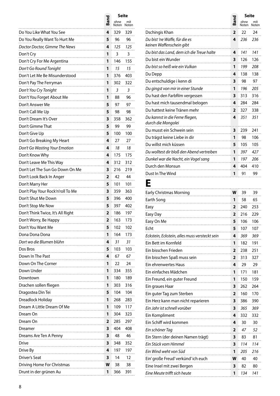|                                   |                | Seite                   |              |
|-----------------------------------|----------------|-------------------------|--------------|
|                                   | Ban            | ohne                    | mit          |
| Do You Like What You See          | 4              | Noten<br>329            | Noten<br>329 |
| Do You Really Want To Hurt Me     | 5              | 96                      | 96           |
| Doctor Doctor, Gimme The News     | 4              | 125                     | 125          |
| Don't Cry                         | 1              | $\overline{\mathbf{3}}$ | 3            |
| Don't Cry For Me Argentina        | 1              | 146                     | 155          |
| Don't Go Round Tonight            | 1              | 15                      | 15           |
| Don't Let Me Be Misunderstood     | 1              | 376                     | 403          |
| Don't Pay The Ferryman            | 1              | 302                     | 322          |
| Don't You Cry Tonight             | 1              |                         | 3            |
|                                   |                | 3                       | 96           |
| Don't You Forget About Me         | 1              | 88<br>97                | 97           |
| Don't Answer Me                   | 5              |                         |              |
| Don't Call Me Up                  | 5              | 98<br>                  | 98           |
| Don't Dream It's Over             | 3              | 358                     | 362          |
| Don't Gimme That                  | 5              | 99                      | 99           |
| Don't Give Up                     | 5              | 100                     | 100          |
| Don't Go Breaking My Heart        | 4              | 27                      | 27           |
| Don't Go Wasting Your Emotion     | 4              | 18                      | 18           |
| Don't Know Why                    | 4              | 175                     | 175          |
| Don't Leave Me This Way           | 4              | 312                     | 312          |
| Don't Let The Sun Go Down On      | 3              | 216                     | 219          |
| Don't Look Back In Anger          | 2              | 42                      | 44           |
| Don't Marry Her                   | 5              | 101                     | 101          |
| Don't Play Your Rock'n'roll To Me | 3              | 359                     | 363          |
| Don't Shut Me Down                | 5              | 396                     | 400          |
| Don't Stop Me Now                 | 5              | 397                     | 402          |
| Don't Think Twice, It's All Right | $\overline{a}$ | 186                     | 197          |
| Don't Worry, Be Happy             | 2              | 163                     | 173          |
| Don't You Want Me                 | 5              | 102                     | 102          |
| Dona Dona Dona                    | 1              | 164                     | 173          |
| Dort wo die Blumen blühn          | 4              | 31                      | 31           |
| Dos Bros                          | 5              | 103                     | 103          |
| Down In The Past                  | 4              | 67                      | 67           |
| Down On The Corner                | 1              | 22                      | 24           |
| Down Under                        | 1              | 334                     | 355          |
| Downtown                          | 1              | 180                     | 189          |
| Drachen sollen fliegen            | 1              | 303                     | 316          |
| Dragostea Din Tei                 | 5              | 104                     | 104          |
| Dreadlock Holiday                 | 1              | 268                     | 283          |
| Dream A Little Dream Of Me        | 1              | 109                     | 117          |
| Dream On                          | 1              | 304                     | 323          |
| Dream On                          | 2              | 285                     | 297          |
| Dreamer                           | $\ddot{}}$     | 404                     | 408          |
| Dreams Are Ten A Penny            | з              | 48                      | 46           |
| Drive                             | 3              | 348                     | 352          |
| Drive By                          | 4              | 197                     | 197          |
| Driver's Seat                     | з              | 14                      | 12           |
| Driving Home For Christmas        | W              | 38                      | 38           |
| Drunt in der grünen Au            | 1              | 366                     | 391          |

|                                               |                         | Seite           |              |
|-----------------------------------------------|-------------------------|-----------------|--------------|
|                                               | Ban                     | ohne<br>Noten   | mit<br>Noten |
| Dschingis Khan                                | 2                       | 22              | 24           |
| Du bist 'ne Waffe, für die es                 | 4                       | 236             | 236          |
| keinen Waffenschein gibt                      |                         |                 |              |
| Du bist das Land, dem ich die Treue halte     | 4                       | 141             | 141          |
| Du bist ein Wunder                            | 3                       | 126             | 126          |
| Du bist so heiß wie ein Vulkan                | 1                       | 199             | 208          |
| Du Depp                                       | 4                       | 138             | 138          |
| Du entschuldige i kenn di                     | 3                       | 98              | 97           |
| Du gingst von mir in einer Stunde             | 1                       | 196             | 205          |
| Du hast den Farbfilm vergessen                | 3                       | 313             | 316          |
| Du hast mich tausendmal belogen               | 4                       | 284             | 284          |
| Du hattest keine Tränen mehr                  | 2                       | 327             | 338          |
| Du kannst in die Ferne fliegen,               | 4                       | 351             | 351          |
| durch die Mongolei                            |                         |                 |              |
| Du musst ein Schwein sein                     | 3                       | 239             | 241          |
| Du trägst keine Liebe in dir                  | 1                       | 98              | 106          |
| Du willst mich küssen                         | 5                       | 105             | 105          |
| Du wolltest dir bloß den Abend vertreiben     | 1                       | 397             | 427          |
| Dunkel war die Nacht, ein Vogel sang          | 1                       | 197             | 206          |
| Durch den Monsun                              | 4<br>1                  | 404             | 410          |
| Dust In The Wind                              |                         | 91              | 99           |
| Е                                             |                         |                 |              |
| Early Christmas Morning                       | W                       | 39              | 39           |
| Earth Song                                    | 1                       | 58              | 65           |
| Easy                                          | 2                       | 240             | 253          |
| Easy Day                                      | 2                       | 216             | 229          |
| Easy On Me                                    | 5                       | 106             | 106          |
| Echt                                          | 5                       | 107             | 107          |
| Eckstein, Eckstein, alles muss versteckt sein | 4                       | 369             | 369          |
| Ein Bett im Kornfeld                          | 1                       | 182             | 191          |
| Ein bisschen Frieden                          | 2                       | 238             | 251          |
| Ein bisschen Spaß muss sein                   | 2                       | 313             | 327          |
| Ein ehrenwertes Haus                          | 4                       | 29              | 29           |
| Ein einfaches Mädchen                         | 1                       | 171             | 181          |
| Ein Freund, ein guter Freund                  | 1                       | 150             | 159          |
| Ein graues Haar                               | 3                       | 262             | 264          |
| Ein guter Tag zum Sterben                     | 2                       | 160             | 170          |
| Ein Herz kann man nicht reparieren            | 3                       | 386             | 390          |
| Ein Jahr ist schnell vorüber                  | 3                       | 365             | 369<br>.     |
| Ein Kompliment                                | 4                       | 332             | 332          |
| Ein Schiff wird kommen<br>.                   | 4                       | 30              | 30           |
| Ein schöner Tag<br>.                          | 2                       | $\frac{47}{11}$ | 52           |
| Ein Stern (der deinen Namen trägt)            | $\ddot{}}$              | 83              | 81           |
| Ein Stück vom Himmel<br>.                     | $\overline{\mathbf{3}}$ | 114             | 114          |
| Ein Wind weht von Süd                         | 1                       | 205             | 216          |
| Ein' große Freud' verkünd' ich euch           | W                       | 40              | 40           |
| Eine Insel mit zwei Bergen                    | $\ddot{\mathbf{3}}$     | 82              | 80           |
| Eine Meute trifft sich heute                  | 1                       | 134             | 141          |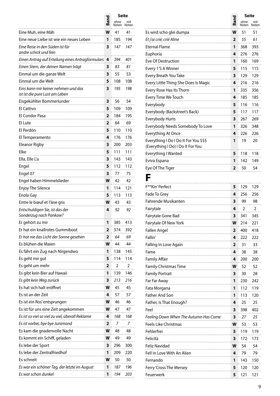|                                                  |                         | Seite         |                          |
|--------------------------------------------------|-------------------------|---------------|--------------------------|
|                                                  | Ban                     | ohne<br>Noter | mit<br>Noten             |
| Eine Muh, eine Mäh                               | W                       | 41            | 41                       |
| Eine neue Liebe ist wie ein neues Leben          | 1                       | 185           | 194                      |
| Eine Reise in den Süden ist für                  | 3                       | 147           | 147                      |
| andre schick und fein                            |                         |               |                          |
| Einen Antrag auf Erteilung eines Antragformulars | 4                       | 394           | 401                      |
| Einen Stern, der deinen Namen trägt              | 3                       | 83            | 81                       |
| Einmal um die ganze Welt                         | 3                       | 55            | 53                       |
| Einmal um die Welt                               | 5                       | 108           | 108                      |
| Eins kann mir keiner nehmen und das              | 3                       | 195           | 198                      |
| ist ist die pure Lust am Leben                   |                         |               |                          |
| Eisgekühlter Bommerlunder                        | 3                       | 56            | 54                       |
| El Cattivo                                       | 5                       | 109           | 109                      |
| El Condor Pasa                                   | 2                       | 184           | 195                      |
| El Lute                                          | 2                       | 64            | 69                       |
| El Perdón                                        | 5                       | 110           | 110                      |
| El Temperamento                                  | 4                       | 176           | 176                      |
| <b>Eleanor Rigby</b>                             | 3                       | 200           | 203                      |
| Elke                                             | 5                       | 111           | 111                      |
| Ella, Elle L'a                                   | 3                       | 143           | 143                      |
| Engel                                            | 5                       | 112           | 112                      |
| Engel 07                                         | 3                       | 77            | 75                       |
| Engel haben Himmelslieder                        | W                       | 42            | 42                       |
| <b>Enjoy The Silence</b>                         | 1                       | 114           | 121                      |
| Enola Gay                                        | 5                       | 113           | 113                      |
| Entre le bœuf et l'âne gris                      | W                       | 43            | 43                       |
| Entschuldigen Sie, ist das der                   | 4                       | 92            | 92                       |
| Sonderzug nach Pankow?                           |                         |               |                          |
| Er gehört zu mir                                 |                         | 385           | 413                      |
| Er hat ein knallrotes Gummiboot                  | 2                       | 374           | 392                      |
| Er hat nie das Licht der Sonne gesehen           | 2                       | 64            | 69                       |
| Es blühen die Maien                              | W                       | 44            | 44                       |
| Es fährt ein Zug nach Nirgendwo                  | 1                       | 138           | 145                      |
| Es geht mir gut                                  | 5                       | 114           | 114                      |
| Es geht um mehr                                  | $\overline{\mathbf{c}}$ | 2             | 2                        |
| Es gibt kein Bier auf Hawaii                     | 1                       | 139           | 146                      |
| Es gibt kein Weg zurück                          | з                       | 213           | 216                      |
| Es hat sich halt eröffnet                        | W                       | 45            | 45                       |
| Es ist an der Zeit                               | 4                       | 57            | 57                       |
| Es ist ein Ros' entsprungen                      | W                       | 46            | 46                       |
| Es ist für uns eine Zeit angekommen              | W                       | 47            | 47                       |
| Es ist so viel so viel zu viel, überall Reklame  | 4                       | 168           | 168                      |
| Es ist vorbei, bye bye Junimond                  | 2                       | 7             | $\overline{\mathcal{L}}$ |
| Es kam die gnadenvolle Nacht                     | W                       | 48            | 48                       |
| Es kommt ein Schiff, geladen                     | W                       | 49            | 49                       |
| Es lebe der Sport                                | 3                       | 296           | 300                      |
| Es lebe der Zentralfriedhof                      | 1                       | 209           | 220                      |
| Es schneit                                       | W                       | 50            | 50                       |
| Es war ein schöner Tag, der letzte im August     | 1                       | 187           | 196                      |
| Es war schon dunkel                              | 1                       | 194           | 203                      |
|                                                  |                         |               |                          |

|                                                                             |        | Seite                              |
|-----------------------------------------------------------------------------|--------|------------------------------------|
|                                                                             | Band   | ohne<br>mit<br>Noter<br>Noten      |
| Es wird scho glei dumpa                                                     | W      | 51<br>$\frac{51}{11}$              |
| Et j'ai crié, crié Aline                                                    | 2      | 55<br>61                           |
| Eternal Flame                                                               | 1      | 368<br>393                         |
| Euphoria                                                                    | 4      | 276<br>276                         |
| Eve Of Destruction                                                          | 1      | 160<br>169                         |
|                                                                             | 5      | 115<br>115                         |
| Every 1'S A Winner<br>Every Breath You Take                                 | 3      | 129<br>129                         |
| Every Little Thing She Does I<br>s Magic                                    |        |                                    |
| Every Rose Has Its Thorn                                                    | 4<br>1 | 216<br>216                         |
|                                                                             |        | 335<br>356                         |
| Every Time We Touch                                                         | 4      | 185<br>185                         |
| Everybody                                                                   | 5      | 116<br>116                         |
| Everybody (Backstreet<br>'s Back)                                           | 5      | 117<br>117                         |
| Everybody Hurts                                                             | 3      | 267<br>269                         |
| Everybody Needs Somebody To Love                                            | 1      | 326<br>348                         |
| Everything At Once                                                          | 4      | 226<br>226                         |
| Everything I Do I Do It For You \$\$\$<br>(Everything I Do) I Do It For You | 1      | 19<br>20                           |
|                                                                             |        | 118                                |
| Everything I Wanted                                                         | 5      | 118                                |
| Eviva Espana                                                                | 1      | 142<br>149                         |
| Eye Of The Tiger                                                            | 2      | 50<br>54                           |
| F                                                                           |        |                                    |
| F**Kin' Perfect                                                             | 5      | 129<br>129                         |
| Fade To Grey                                                                | 4      | 256<br>256                         |
| Fahrende Musikanteı                                                         | з      | 99<br>98                           |
| Fairytale                                                                   | 4      | $\frac{2}{\cdot \cdot \cdot}$<br>2 |
| Fairytale Gone Bad                                                          | 3      | 341<br>345                         |
| Fairytale Of New York                                                       | W      | 214<br>221                         |
| Fallen Angel                                                                | 2      | 400<br>418                         |
| Fallin'                                                                     | 4      | 222<br>222                         |
| Falling In Love Again                                                       | 2      | 31<br>33                           |
| Fame                                                                        | 4      | $\frac{38}{11}$<br>$\frac{38}{11}$ |
| Family Affair                                                               | 4      | 200<br>200                         |
| <b>Family Christmas Time</b>                                                | W      | 52<br>52                           |
| <b>Family Portrait</b>                                                      | 3      | 30<br>28                           |
| Far Far Away                                                                | 1      | 230<br>242                         |
| Fata Morgana                                                                | 1      | 112<br>119                         |
| <b>Father And Son</b>                                                       | 1      | 113<br>120                         |
| Father, Is That Enough?                                                     | 4      | 25<br>25                           |
| Feel                                                                        | 3      | 398<br>402                         |
| .                                                                           |        |                                    |
| Feeling Down When The Autumn Has Come                                       | 3      | 27<br>25<br>53<br>53               |
| Feels Like Christmas                                                        | W      |                                    |
| Fehlerfrei                                                                  | 5      | 119<br>119<br>$\cdots$             |
| Felicità                                                                    | 3      | 172<br>173                         |
| Feliz Navidad                                                               | W      | 54<br>54                           |
| Fell In Love With An Alien                                                  | 4      | 79<br>79                           |
| Fernando                                                                    | 1      | 143<br>150                         |
| Ferry 'Cross The Mersey                                                     | 5<br>. | 120<br>120                         |
| Feuerwerk                                                                   | 5      | 121<br>121                         |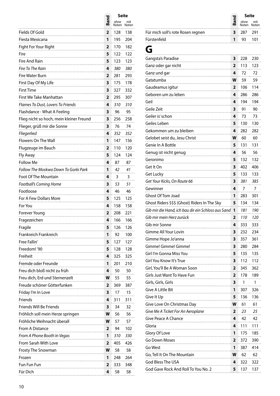|                                         |            | Seite          |                 |
|-----------------------------------------|------------|----------------|-----------------|
|                                         | Ban        | ohne<br>Noten  | mit<br>Noten    |
| Fields Of Gold                          | 2          | 128            | 138             |
| Fiesta Mexicana                         | <u>ו</u>   | 195            | 204             |
| Fight For Your Right                    | 2          | 170            | 182             |
| Fire                                    | 5          | 122            | 122             |
| Fire And Rain                           | 5          | 123            | 123             |
| Fire To The Rain                        | 4          | 380            | 380             |
| Fire Water Burn                         | 2          | 281            | 293             |
| First Day Of My Life                    | 3          | 175            | 178             |
| <b>First Time</b>                       | з          | 327            | 332             |
| First We Take Manhattan                 | 2          | 295            | 307             |
| Flames To Dust, Lovers To Friends       | 4          | 310            | 310             |
| Flashdance - What A Feeling             | 3          | $\frac{96}{1}$ | $\frac{95}{11}$ |
| Flieg nicht so hoch, mein kleiner       | 3          | 256            | 258             |
| Flieger, grüß mir die Sonne             | 3          | 76             | 74              |
| Fliegerlied                             | 4          | 352            | 352             |
| Flowers On The Wall                     | 1          | 147            | 156             |
| Flugzeuge im Bauch                      | 2          | 110            | 120             |
| Fly Away                                | 5          | 124            | 124             |
| <b>Follow Me</b>                        | 4          | 87             | 87              |
| Follow The Moskwa Down<br>To Gorki Park | 1          | 42             | 41              |
| Foot Of The Mountain                    | 4          | $\overline{3}$ | 3               |
| Football's Coming Home                  | 3          | 53             | 51              |
| Footloose                               | 4          | 46             | 46              |
| For A Few Dollars More                  | 5          | 125            | 125             |
| For You                                 | 4          | 158            | 158             |
| Forever Young                           | 2          | 208            | 221             |
| Fragezeichen                            | 4          | 166            | 166             |
| Fragile                                 | 5          | 126            | 126             |
| Frankreich Frankreich                   | 1          | 92             | 100             |
| Free Fallin'                            | 5          | 127            | 127             |
| Freedom! '90                            | 5          | 128            | 128             |
| Freiheit                                | 4          | 325            | 325             |
| Fremde oder Freunde                     | 1          | 201            | 210             |
| Freu dich bloß nicht zu früh            | 4          | 50             | 50              |
| Freu dich, Erd und Sternenzelt          | w          | 55             | 55              |
| Freude schöner Götterfunken             | 2          | 369            | 387             |
| Friday I'm In Love                      | 3          | 17             | 15              |
| Friends                                 | 4          | 311            | 311             |
| Friends Will Be Friends                 | 3          | 34             | 32              |
| Fröhlich soll mein Herze springen       | W          | 56             | 56              |
| Fröhliche Weihnacht überall             | W          | 57             | 57              |
| From A Distance                         | 2          | 94             | 102             |
| From A Phone Booth In Vegas             | 1          | 310            | 330             |
| From Sarah With Love                    | 2          | 405            | 426             |
| Frosty The Snowman                      | w          | 58             | $\frac{58}{11}$ |
| Frozen                                  | 1          | 248            | 264             |
| Fun Fun Fun                             | $\ddot{ }$ | 333            | 348             |
| Für Dich                                | 4          | 58             | 58              |

| Band<br>ohne<br>mit<br>Noten<br>Noten<br>Für mich soll's rote Rosen regnen<br>$\ddot{\mathbf{3}}$<br>287<br>291<br>Fürstenfeld<br>1<br>93<br>101<br>G<br>Gangsta's Paradise<br>$\overline{\mathbf{3}}$<br>228<br>230<br>123<br>Ganz oder gar nicht<br>2<br>113<br>4<br>72<br>72<br>Ganz und gar<br>W<br>59<br>59<br>Gatatumba<br>Gaudeamus igitur<br>2<br>106<br>114<br>4<br>Geboren um zu leben<br>286<br>286<br>Geil<br>4<br>194<br>194<br>Geile Zeit<br>91<br>90<br>3<br>Geiler is' schon<br>4<br>73<br>$\frac{73}{11}$<br>Geiles Leben<br>$\overline{\phantom{a}}$<br>130<br>130<br>4<br>Gekommen um zu bleiben<br>282<br>282<br>W<br>Gelobet seist du, Jesu Christ<br>60<br>60<br>Genie In A Bottle<br>5<br>131<br>131<br>4<br>56<br>56<br>Genug ist nicht genug<br>5<br>132<br>132<br>Geronimo<br>3<br>Get It On<br>402<br>406<br>Get Lucky<br>5<br>133<br>133<br>3<br>385<br>Get Your Kicks, On Route 66<br>381 |
|------------------------------------------------------------------------------------------------------------------------------------------------------------------------------------------------------------------------------------------------------------------------------------------------------------------------------------------------------------------------------------------------------------------------------------------------------------------------------------------------------------------------------------------------------------------------------------------------------------------------------------------------------------------------------------------------------------------------------------------------------------------------------------------------------------------------------------------------------------------------------------------------------------------------|
|                                                                                                                                                                                                                                                                                                                                                                                                                                                                                                                                                                                                                                                                                                                                                                                                                                                                                                                        |
|                                                                                                                                                                                                                                                                                                                                                                                                                                                                                                                                                                                                                                                                                                                                                                                                                                                                                                                        |
|                                                                                                                                                                                                                                                                                                                                                                                                                                                                                                                                                                                                                                                                                                                                                                                                                                                                                                                        |
|                                                                                                                                                                                                                                                                                                                                                                                                                                                                                                                                                                                                                                                                                                                                                                                                                                                                                                                        |
|                                                                                                                                                                                                                                                                                                                                                                                                                                                                                                                                                                                                                                                                                                                                                                                                                                                                                                                        |
|                                                                                                                                                                                                                                                                                                                                                                                                                                                                                                                                                                                                                                                                                                                                                                                                                                                                                                                        |
|                                                                                                                                                                                                                                                                                                                                                                                                                                                                                                                                                                                                                                                                                                                                                                                                                                                                                                                        |
|                                                                                                                                                                                                                                                                                                                                                                                                                                                                                                                                                                                                                                                                                                                                                                                                                                                                                                                        |
|                                                                                                                                                                                                                                                                                                                                                                                                                                                                                                                                                                                                                                                                                                                                                                                                                                                                                                                        |
|                                                                                                                                                                                                                                                                                                                                                                                                                                                                                                                                                                                                                                                                                                                                                                                                                                                                                                                        |
|                                                                                                                                                                                                                                                                                                                                                                                                                                                                                                                                                                                                                                                                                                                                                                                                                                                                                                                        |
|                                                                                                                                                                                                                                                                                                                                                                                                                                                                                                                                                                                                                                                                                                                                                                                                                                                                                                                        |
|                                                                                                                                                                                                                                                                                                                                                                                                                                                                                                                                                                                                                                                                                                                                                                                                                                                                                                                        |
|                                                                                                                                                                                                                                                                                                                                                                                                                                                                                                                                                                                                                                                                                                                                                                                                                                                                                                                        |
|                                                                                                                                                                                                                                                                                                                                                                                                                                                                                                                                                                                                                                                                                                                                                                                                                                                                                                                        |
|                                                                                                                                                                                                                                                                                                                                                                                                                                                                                                                                                                                                                                                                                                                                                                                                                                                                                                                        |
|                                                                                                                                                                                                                                                                                                                                                                                                                                                                                                                                                                                                                                                                                                                                                                                                                                                                                                                        |
|                                                                                                                                                                                                                                                                                                                                                                                                                                                                                                                                                                                                                                                                                                                                                                                                                                                                                                                        |
|                                                                                                                                                                                                                                                                                                                                                                                                                                                                                                                                                                                                                                                                                                                                                                                                                                                                                                                        |
|                                                                                                                                                                                                                                                                                                                                                                                                                                                                                                                                                                                                                                                                                                                                                                                                                                                                                                                        |
|                                                                                                                                                                                                                                                                                                                                                                                                                                                                                                                                                                                                                                                                                                                                                                                                                                                                                                                        |
|                                                                                                                                                                                                                                                                                                                                                                                                                                                                                                                                                                                                                                                                                                                                                                                                                                                                                                                        |
|                                                                                                                                                                                                                                                                                                                                                                                                                                                                                                                                                                                                                                                                                                                                                                                                                                                                                                                        |
|                                                                                                                                                                                                                                                                                                                                                                                                                                                                                                                                                                                                                                                                                                                                                                                                                                                                                                                        |
|                                                                                                                                                                                                                                                                                                                                                                                                                                                                                                                                                                                                                                                                                                                                                                                                                                                                                                                        |
| 4<br>Gewinner<br>7<br>7                                                                                                                                                                                                                                                                                                                                                                                                                                                                                                                                                                                                                                                                                                                                                                                                                                                                                                |
| Ghost Of Tom Joad<br>1<br>283<br>301                                                                                                                                                                                                                                                                                                                                                                                                                                                                                                                                                                                                                                                                                                                                                                                                                                                                                   |
| Ghost Riders \$\$\$ (Ghost) Riders In The Sky<br>5<br>134<br>134                                                                                                                                                                                                                                                                                                                                                                                                                                                                                                                                                                                                                                                                                                                                                                                                                                                       |
| Gib mir die Hand, ich bau dir ein Schloss aus Sand<br>1<br>190<br>181                                                                                                                                                                                                                                                                                                                                                                                                                                                                                                                                                                                                                                                                                                                                                                                                                                                  |
| Gib mir mein Herz zurück<br>2<br>110<br>120                                                                                                                                                                                                                                                                                                                                                                                                                                                                                                                                                                                                                                                                                                                                                                                                                                                                            |
| Gib mir Sonne<br>4<br>333<br>333                                                                                                                                                                                                                                                                                                                                                                                                                                                                                                                                                                                                                                                                                                                                                                                                                                                                                       |
| Gimme All Your Lovin<br>3<br>232<br>234                                                                                                                                                                                                                                                                                                                                                                                                                                                                                                                                                                                                                                                                                                                                                                                                                                                                                |
| 3<br>Gimme Hope Jo'anna<br>357<br>361                                                                                                                                                                                                                                                                                                                                                                                                                                                                                                                                                                                                                                                                                                                                                                                                                                                                                  |
| 3<br>Gimme! Gimme! Gimme!<br>284<br>280                                                                                                                                                                                                                                                                                                                                                                                                                                                                                                                                                                                                                                                                                                                                                                                                                                                                                |
| Girl I'm Gonna Miss You<br>5<br>135<br>135                                                                                                                                                                                                                                                                                                                                                                                                                                                                                                                                                                                                                                                                                                                                                                                                                                                                             |
| Girl You Know It's True<br>з<br>112<br>112                                                                                                                                                                                                                                                                                                                                                                                                                                                                                                                                                                                                                                                                                                                                                                                                                                                                             |
| Girl, You'll Be A Woman Soon<br>2<br>345<br>362                                                                                                                                                                                                                                                                                                                                                                                                                                                                                                                                                                                                                                                                                                                                                                                                                                                                        |
|                                                                                                                                                                                                                                                                                                                                                                                                                                                                                                                                                                                                                                                                                                                                                                                                                                                                                                                        |
| Girls Just Want To Have Fun<br>2<br>178<br>189                                                                                                                                                                                                                                                                                                                                                                                                                                                                                                                                                                                                                                                                                                                                                                                                                                                                         |
| 3<br>Girls, Girls, Girls<br>1<br>1                                                                                                                                                                                                                                                                                                                                                                                                                                                                                                                                                                                                                                                                                                                                                                                                                                                                                     |
| Give A Little Bit<br>1<br>307<br>326                                                                                                                                                                                                                                                                                                                                                                                                                                                                                                                                                                                                                                                                                                                                                                                                                                                                                   |
| 5<br>Give It Up<br>136<br>136                                                                                                                                                                                                                                                                                                                                                                                                                                                                                                                                                                                                                                                                                                                                                                                                                                                                                          |
| W<br>Give Love On Christmas Day<br>61<br>61                                                                                                                                                                                                                                                                                                                                                                                                                                                                                                                                                                                                                                                                                                                                                                                                                                                                            |
| 23<br>25<br>Give Me A Ticket For An Aeroplane<br>2                                                                                                                                                                                                                                                                                                                                                                                                                                                                                                                                                                                                                                                                                                                                                                                                                                                                     |
| Give Peace A Chance<br>4<br>42<br>42                                                                                                                                                                                                                                                                                                                                                                                                                                                                                                                                                                                                                                                                                                                                                                                                                                                                                   |
| 4<br>Gloria<br>111<br>111                                                                                                                                                                                                                                                                                                                                                                                                                                                                                                                                                                                                                                                                                                                                                                                                                                                                                              |
| 175<br>Glory Of Love<br>1<br>185                                                                                                                                                                                                                                                                                                                                                                                                                                                                                                                                                                                                                                                                                                                                                                                                                                                                                       |
| Go Down Moses<br>2<br>372<br>390                                                                                                                                                                                                                                                                                                                                                                                                                                                                                                                                                                                                                                                                                                                                                                                                                                                                                       |
| Go West<br>1<br>387<br>414<br>.                                                                                                                                                                                                                                                                                                                                                                                                                                                                                                                                                                                                                                                                                                                                                                                                                                                                                        |
| Go, Tell It On The Mountain<br>W<br>62<br>62<br>.                                                                                                                                                                                                                                                                                                                                                                                                                                                                                                                                                                                                                                                                                                                                                                                                                                                                      |
| God Bless The USA<br>4<br>322<br>322                                                                                                                                                                                                                                                                                                                                                                                                                                                                                                                                                                                                                                                                                                                                                                                                                                                                                   |
| God Gave Rock And Roll To You No. 2<br>137<br>$\overline{\phantom{a}}$<br>137                                                                                                                                                                                                                                                                                                                                                                                                                                                                                                                                                                                                                                                                                                                                                                                                                                          |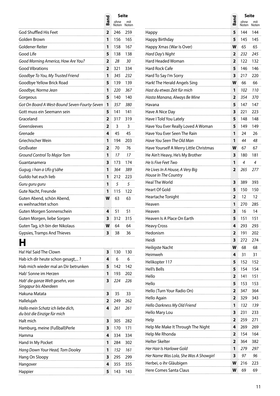|                                              | Band | ohne<br>Noten | mit<br>Noten |
|----------------------------------------------|------|---------------|--------------|
| God Shuffled His Feet                        | 2    | 246           | 259          |
| Golden Brown                                 | 1    | 156           | 165          |
| Goldener Reiter                              | 1    | 158           | 167          |
| Good Life                                    | 5    | 138           | 138          |
| Good Morning America, How Are You?           | 2    | 28            | 30           |
| <b>Good Vibrations</b>                       | 2    | 321           | 334          |
| Goodbye To You, My Trusted Friend            | 1    | 345           | 232          |
| Goodbye Yellow Brick Road                    | 5    | 139           | 139          |
| Goodbye, Norma Jean                          | 1    | 220           | 367          |
| Gorgeous                                     | 5    | 140           | 140          |
| Got On Board A West-Bound Seven-Fourty-Seven | 1    | 357           | 380          |
| Gott muss ein Seemann sein                   | 5    | 141           | 141          |
| Graceland                                    | 2    | 317           | 319          |
| Greensleeves                                 | 2    | 3             | 3            |
| Grenade                                      | 4    | 45            | 45           |
| Griechischer Wein                            | 1    | 194           | 203          |
| Großvater                                    | 2    | 70            | 76           |
| <b>Ground Control To Major Tom</b>           | 1    | 17            | 17           |
| Guantanamera                                 | 3    | 173           | 174          |
| Gugug, i han a Ufo g'sähe                    | 1    | 364           | 389          |
| Guildo hat euch lieb                         | 1    | 212           | 223          |
| Guru guru guru                               | 1    | 5             | 5            |
| Gute Nacht, Freunde                          | 1    | 115           | 122          |
| Guten Abend, schön Abend,                    | W    | 63            | 63           |
| es weihnachtet schon                         |      |               |              |
| Guten Morgen Sonnenschein                    | 4    | 51            | 51           |
| Guten Morgen, liebe Sorgen                   | 3    | 312           | 315          |
| Guten Tag, ich bin der Nikolaus              | W    | 64            | 64           |
| Gypsies, Tramps And Thieves                  | 3    | 38            | 36           |

**Seite**

### **H**

| Ha! Ha! Said The Clown                                            | 3              | 130 | 130 |  |
|-------------------------------------------------------------------|----------------|-----|-----|--|
| Hab ich dir heute schon gesagt,?                                  | 4              | 6   | 6   |  |
| Hab mich wieder mal an Dir betrunken                              | 5              | 142 | 142 |  |
| Hab' Sonne im Herzen                                              | 1              | 193 | 202 |  |
| Hab' die ganze Welt gesehn, von<br>Singapur bis Aberdeen          | 3              | 224 | 226 |  |
| Hakuna Matata                                                     | 3              | 35  | 33  |  |
| Hallelujah                                                        | $\overline{2}$ | 249 | 262 |  |
| Hallo mein Schatz ich liebe dich,<br>du bist die Einzige für mich | 4              | 261 | 261 |  |
| Halt mich                                                         | 3              | 305 | 282 |  |
| Hamburg, meine (Fußball)Perle                                     | 3              | 170 | 171 |  |
| Hamma<br>.                                                        | 4              | 334 | 334 |  |
| Hand In My Pocket                                                 | 1              | 284 | 302 |  |
| Hang Down Your Head, Tom Dooley                                   | 1              | 152 | 161 |  |
| Hang On Sloopy                                                    | 3              | 295 | 299 |  |
| Hangover                                                          | 4              | 355 | 355 |  |
| Happier                                                           | 5              | 143 | 143 |  |
|                                                                   |                |     |     |  |

|                                        |                                            | Seite         |              |
|----------------------------------------|--------------------------------------------|---------------|--------------|
|                                        | Band                                       | ohne<br>Noter | mit<br>Noten |
| Happy <sub>.</sub>                     | 5                                          | 144           | 144          |
| Happy Birthday                         | 5                                          | 145           | 145          |
| Happy Xmas (War Is Over)               | W                                          | 65            | 65           |
| Hard Day's Night                       | $\overline{a}$                             | 232           | 245          |
| Hard Headed Woma                       | 2                                          | 122           | 132          |
| Hard Rock Cafe                         | $\overline{\phantom{a}}$                   | 146           | 146          |
| Hard To Say I'm Sorry                  | 3                                          | 217           | 220          |
| Hark! The Herald Angels Sing           | W                                          | 66            | 66           |
| Hast du etwas Zeit für mich            |                                            | 102           | 110          |
| Hasta Manana, Always Be Mine           | $\overline{\mathbf{r}}$                    | 354           | 370          |
| Havana                                 | $\overline{a}$<br>$\overline{\phantom{a}}$ | 147           | 147          |
| Have A Nice Day                        | 3                                          | 221           | 223          |
| Have I Told You Lately                 | $\overline{\phantom{a}}$                   | 148           | 148          |
| Have You Ever Really Loved A Woman     |                                            | 149           | 149          |
| Have You Ever Seen The Rain            | 5<br>1                                     | 24            | 26           |
| Have You Seen The Old Man              | 1                                          | 44            | 48           |
| Have Yourself A Merry Little Christmas | W                                          | 67            | 67           |
| He Ain't Heavy, He's My Brother        | 3                                          | 180           | 181          |
| He Is Five Feet Two                    | 1                                          | 4             | 4            |
| He Lives In A House, A Very Big        | 2                                          | 265           | 277          |
| House In The Country                   |                                            |               |              |
| Heal The World                         | 3                                          | 389           | 393          |
| Heart Of Gold                          | 5                                          | 150           | 150          |
| Heartache Tonight                      | 2                                          | 12            | 12           |
| Heaven                                 | 1                                          | 270           | 285          |
| Heaven                                 | $\ddot{}}$                                 | 16            | 14           |
| Heaven Is A Place On Earth             | $\overline{\phantom{a}}$                   | 151           | 151          |
| Heavy Cross                            | $\frac{4}{1}$                              | 293           | 293          |
| Hedonism                               | 2                                          | 191           | 202          |
| Heidi                                  | 3                                          | 272           | 274          |
| Heiligste Nacht                        | W                                          | 68            | 68           |
| Heimweh                                | 4                                          | 31            | 31           |
| Helikopter 117                         | 5                                          | 152           | 152          |
| Hell's Bells                           | $\overline{\phantom{a}}$                   | 154           | 154          |
| Hello                                  | 2                                          | 141           | 151          |
| Hello                                  | 5                                          | 153           | 153          |
| Hello (Turn Your Radio On)             | 2                                          | 347           | 364          |
| Hello Again                            | $\overline{a}$                             | 329           | 343          |
| Hello Darkness My Old Friend           |                                            | 132           | 139          |
| Hello Mary Lou                         | 3                                          | 231           | 233<br>.     |
| Help                                   | $\sim$ $\frac{2}{\cdot}$                   | 259           | 271          |
| Help Me Make It Through The Night      | 4                                          | 269           | 269          |
| Help Me Rhonda<br>.                    | 2                                          | 154           | 164          |
| Helter Skelter<br>.                    | $\cdot$ <sup>2</sup>                       | 364           | 382          |
| Her Hair Is Harlowe Gold               | 1                                          | 279           | 297          |
| Her Name Was Lola, She Was A Showgirl  | 3                                          | 97            | 96           |
| Herbei, o ihr Gläubigen                | W                                          | 216           | 223          |
| Here Comes Santa Claus                 | w                                          | 69            | 69           |
|                                        |                                            |               |              |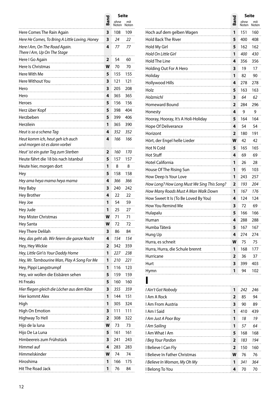**Band**

|                                                | డి                   | ohne<br>Noten   | mit<br>Noten    |
|------------------------------------------------|----------------------|-----------------|-----------------|
| Here Comes The Rain Again                      | 3                    | 108             | 109             |
| Here He Comes, To Bring A Little Loving, Honey | 3                    | 24              | 22              |
| Here I Am, On The Road Again.                  | 4                    | 77              | 77              |
| There I Am, Up On The Stage                    |                      |                 |                 |
| Here I Go Again                                | 2                    | 54              | 60              |
| Here Is Christmas                              | W                    | 70              | 70              |
| Here With Me                                   | 5                    | 155             | 155             |
| Here Without You                               | 3                    | 121             | 121             |
| Hero                                           | $\ddot{3}$           | 205             | 208             |
| Hero                                           | 4                    | 365             | 365             |
| Heroes                                         | 5                    | 156             | 156             |
| Herz über Kopf                                 | 5                    | 398             | 404             |
| Herzbeben                                      | 5                    | 399             | 406             |
| Herzilein                                      | 1                    | 365             | 390             |
| Heut is so a schena Tag                        | 4                    | 352             | 352             |
| Heut komm ich, heut geh ich auch               | 4                    | 166             | 166             |
| und morgen ist es dann vorbei                  |                      |                 |                 |
| Heut' ist ein guter Tag zum Sterben            | 2                    | 160             | 170             |
| Heute fährt die 18 bis nach Istanbul           | 5                    | 157             | 157             |
| Heute hier, morgen dort                        | 1                    | 8               | 8               |
| Hey                                            | 5                    | 158             | 158             |
| Hey ama heya mama heya mama                    | 4                    | 366             | 366             |
| Hey Baby                                       | 3                    | 240             | 242             |
| Hey Brother                                    | 4                    | 22              | 22              |
| Hey Joe                                        | 1                    | 54              | 59              |
| Hey Jude                                       | 1                    | 25              | 27              |
| Hey Mister Christmas                           | w                    | 71              | 71              |
| Hey Santa                                      | W                    | 72              | 72              |
| Hey There Delilah                              | 3                    | 86              | 84              |
| Hey, das geht ab. Wir feiern die ganze Nacht   | 4                    | 154             | 154             |
| Hey, Hey Wickie                                | 2                    | 342             | 359             |
| Hey, Little Girl Is Your Daddy Home            | 1                    | 227             | 238             |
| Hey, Mr. Tambourine Man, Play A Song For Me    | 1                    | 210             | 221             |
| Hey, Pippi Langstrumpf                         | 1                    | 116             | 123             |
| Hey, wir wollen die Eisbären sel               | 5                    | 159             | 159             |
| Hi Freaks                                      | 5                    | 160             | 160             |
| Hier fliegen gleich die Löcher aus dem Käse    | 3                    | 355             | 359             |
| Hier kommt Alex                                | 1                    | 144             | 151             |
| High                                           | 1                    | $\frac{305}{2}$ | 324             |
| High On Emotion                                | 3                    | 111             | 111             |
| Highway To Hell<br>                            | 2                    | 308             | 322             |
| Hijo de la luna                                | W                    | 73              | $\frac{73}{11}$ |
| Hijo De La Luna                                | 5                    | 161             | 161             |
| Himbeereis zum Frühstück<br>.                  | $\ddot{\phantom{0}}$ | 241             | 243             |
| Himmel auf                                     | 4                    | 283             | 283             |
| Himmelskinder                                  | W                    | $\frac{74}{11}$ | 74              |
| Hiroshima                                      | 1                    | 166             | 175             |
| Hit The Road Jack                              | $\cdot$              | $\frac{76}{11}$ | 84              |

|                                            |                          | Seite                              |  |
|--------------------------------------------|--------------------------|------------------------------------|--|
|                                            |                          | ohne<br>mit<br>Noten<br>Noten      |  |
| Hoch auf dem gelben Wagen                  | 1                        | 151<br>160                         |  |
| Hold Back The River                        | 5                        | 400<br>408                         |  |
| Hold My Girl                               | 5                        | 162<br>162                         |  |
| Hold On Little Girl                        | 1                        | 400<br>430                         |  |
| Hold The Line                              | 4                        | 356<br>356                         |  |
| Holding Out For A Hero                     | 3                        | 19<br>17                           |  |
| Holiday                                    | 1                        | 82<br>90                           |  |
| Hollywood Hil                              | 4                        | 278<br>278                         |  |
| Holz                                       | 5                        | 163<br>163                         |  |
| Holzmichl                                  | $\ddot{ }$               | 64<br>62                           |  |
| Homeward Bound                             | 2                        | 284<br>296                         |  |
| Honesty                                    | 4                        | $\overline{9}$<br>$\overline{9}$   |  |
| Hooray, Hooray, It's A Hol                 | 5                        | 164<br>164                         |  |
| Hope Of Deliverance                        | 4                        | 54<br>54                           |  |
| Horizont                                   | 2                        | 180<br>191                         |  |
| Hört, der Engel helle Lieder               | W                        | 42<br>42                           |  |
| Hot N Cold                                 | 5                        | 165<br>165                         |  |
| Hot Stuff                                  | 4                        | 69<br>69                           |  |
| Hotel California                           | 1                        | 26<br>28                           |  |
| House Of The Rising Sun                    | 1                        | 95<br>103                          |  |
| How Deep Is Your Love                      | 1                        | 243<br>257                         |  |
| How Long? How Long Must We Sing This Song? | 2                        | 193<br>204                         |  |
| How Many Roads Must A Man Walk Down        | 1                        | 167<br>176                         |  |
| How Sweet It Is (To Be Loved By You)       | 4                        | 124<br>124                         |  |
| How You Remind Me                          | 3                        | 72<br>69                           |  |
| Hulapalu                                   | 5                        | 166<br>166                         |  |
| Human                                      | 4                        | 288<br>288                         |  |
| Humba Täterä                               | 5                        | 167<br>167                         |  |
| Hung Up                                    | 4                        | 274<br>274                         |  |
| Hurra, es schneit                          | W                        | 75<br>75                           |  |
| Hurra, Hurra, die Schule brennt            | 1                        | 168<br>177                         |  |
| Hurricane                                  | 2                        | 36<br>37                           |  |
| Hurt                                       | 3                        | 399<br>403                         |  |
| Hymn                                       | 1                        | 94<br>102                          |  |
|                                            |                          |                                    |  |
|                                            |                          |                                    |  |
| l Ain't Got Nobody                         | 1                        | 242<br>246                         |  |
| I Am A Rock                                | 2                        | 85<br>94                           |  |
| l Am From Austria                          | 3                        | 90<br>89                           |  |
| I Am I Said                                |                          | 4 I V<br>439<br>                   |  |
| I Am Just A Poor Boy                       | 1                        | 19<br>18                           |  |
| I Am Sailing                               | 1                        | 57<br>64                           |  |
| l Am What I Am                             | $\overline{\phantom{a}}$ | 168<br>168                         |  |
| I Beg Your Pardon                          | $\overline{\mathbf{c}}$  | 183<br>194                         |  |
| I Believe I Can Fly                        | $\frac{2}{\cdot}$        | 150<br>160                         |  |
| I Believe In Father Christmas              | W                        | $\frac{76}{11}$<br>$\frac{76}{10}$ |  |
| I Believe In Woman, My Oh My               | 1                        | 341<br>364                         |  |
| I Belong To You                            | 4                        | 70<br>70                           |  |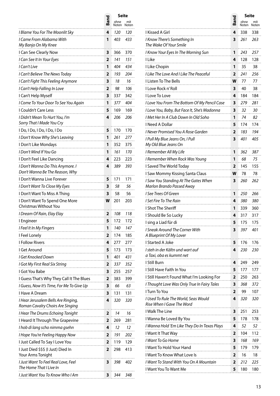|                                                                |                          | Seite         |              |
|----------------------------------------------------------------|--------------------------|---------------|--------------|
|                                                                |                          | ohne<br>Noten | mit<br>Noten |
| I Blame You For The Moonlit Sky                                | 4                        | 120           | 120          |
| I Came From Alabama With                                       | 1                        | 403           | 433          |
| My Banjo On My Knee                                            |                          |               |              |
| I Can See Clearly Now                                          | 3                        | 366           | 370          |
| I Can See It In Your Eyes                                      | $\ddot{ }$               | 141           | 151          |
| I Can't Live                                                   | 1                        | 404           | 434          |
| I Can't Believe The News Today                                 | 2                        | 193           | 204          |
| I Can't Fight This Feeling Anymore                             | 3                        | 18            | 16           |
| I Can't Help Falling In Love                                   | 2                        | 98            | 106          |
| I Can't Help Myself                                            | $\ddot{3}$               | 337           | 342          |
| I Come To Your Door To See You Again                           | 1                        | 377           | 404          |
| I Couldn't Care Less                                           | 5                        | 169           | 169          |
| I Didn't Mean To Hurt You, I'm                                 | 4                        | 206           | 206          |
| Sorry That I Made You Cry                                      |                          |               |              |
| I Do, I Do, I Do, I Do, I Do                                   | 5                        | 170           | 170          |
| I Don't Know Why She's Leaving                                 | 1                        | 261           | 277          |
| I Don't Like Mondays                                           | 1                        | 352           | 375          |
| I Don't Mind If You Go                                         | 1                        | 161           | 170          |
| I Don't Feel Like Dancing                                      | 4                        | 223           | 223          |
| I Don't Wanna Do This Anymore. I                               | 4                        | 389           | 393          |
| Don't Wanna Be The Reason, Why                                 |                          |               |              |
| I Don't Wanna Live Forever                                     | $\overline{\phantom{a}}$ | 171           | 171          |
| I Don't Want To Close My Eyes                                  | 3                        | 58            | 56           |
| I Don't Want To Miss A Thing                                   | з                        | 58            | 56           |
| I Don't Want To Spend One More<br>Christmas Without You        | W                        | 201           | 203          |
| I Dream Of Rain, Elay Elay                                     | 2                        | 108           | 118          |
| l Engineer                                                     | 5                        | 172           | 172          |
| I Feel It In My Fingers                                        | 1                        | 140           | 147          |
| I Feel Lonely                                                  | 2                        | 174           | 185          |
| I Follow Rivers                                                | 4                        | 277           | 277          |
| l Get Around                                                   | 5                        | 173           | 173          |
| I Get Knocked Down                                             | 1                        | 401           | 431          |
| I Got My First Real Six String                                 | $\ddot{ }$               | 337           | 352          |
| l Got You Babe                                                 | 3                        | 255           | 257          |
| I Guess That's Why They Call It The Blues                      | 2                        | 383           | 399          |
| l Guess, Now It's Time, For Me To Give Up                      | $\ddot{}}$               | 66            | 63           |
| I Have A Dream                                                 | 3                        | 131           | 131          |
| I Hear Jerusalem Bells Are Ringing,                            | 4                        | 320           | 320          |
| Roman Cavalry Choirs Are Singing                               |                          |               |              |
| I Hear The Drums Echoing Tonight                               | 2                        | 14            | 16           |
| I Heard It Through The Grapevine                               | 2                        | 269           | 281          |
| I hob di lang scho nimma gsehn                                 | 4                        | 12            | 12           |
| l Hope You're Feeling Happy Now                                | $\ddot{ }$               | 191           | 202          |
| I Just Called To Say I Love You<br>.                           | 2                        | 119           | 129          |
| I Just Died \$\$\$ (I Just) Died In                            | 2                        | 298           | 413          |
| Your Arms Tonight                                              |                          |               |              |
| I Just Want To Feel Real Love, Feel<br>The Home That I Live In | з                        | 398           | 402          |
| l Just Want You To Know Who I Am                               | З                        | 344           | 348          |
|                                                                |                          |               |              |

|                                                                   |               | Seite           |                |
|-------------------------------------------------------------------|---------------|-----------------|----------------|
|                                                                   |               | ohne<br>Noten   | mit<br>Noten   |
| I Kissed A Girl                                                   | 4             | 338             | 338            |
| I Know There's Something In<br>The Wake Of Your Smile             | 3             | 261             | 263            |
| I Know Your Eyes In The Morning Sun                               | 1             | 243             | 257            |
| I Like                                                            | 4             | 128             | 128            |
| I Like Chopin                                                     | 1             | 35              | $\frac{38}{1}$ |
| I Like The Love And I Like The Peaceful                           | 2             | 241             | 256            |
| I Listen To The Bells                                             | W             | 77              | 77             |
| I Love Rock n' Roll                                               | 3             | 40              | 38             |
| I Love To Love                                                    | 4             | 184             | 184            |
| I Love You From The Bottom Of My Pencil Case                      | 3             | 279             | 281            |
| I Love You, Baby, But Face It, She's Madonna                      | 3             | 32              | 30             |
| I Met Her In A Club Down In Old Soho                              | 1             | 74              | 82             |
| I Need A Dollar                                                   | 5             | 174             | 174            |
| I Never Promised You A Rose Garden                                | 2             | 183             | 194            |
| I Pull My Blue Jeans On, I Pull                                   | 3             | 401             | 405            |
| My Old Blue Jeans On                                              |               |                 |                |
| I Remember All My Life                                            | 1             | 362             | 387            |
| I Remember When Rock Was Young                                    | 1             | 68              | 75             |
| I Saved The World Today                                           | 2             | 145             | 155            |
| I Saw Mommy Kissing Santa Claus                                   | W             | 78              | 78             |
| I Saw You Standing At The Gates When<br>Marlon Brando Passed Away | 3             | 260             | 262            |
| I See Trees Of Green                                              | 1             | 250             | 266            |
| l Set Fire To The Rain                                            | $\frac{4}{1}$ | 380             | 380            |
| I Shot The Sheriff                                                | 1             | 339             | 360            |
| I Should Be So Lucky                                              | 4             | 317             | 317            |
| I sing a Liad für di                                              | 5             | 175             | 175            |
| I Sneak Around The Corner With<br>A Blueprint Of My Lover         | 3             | 397             | 401            |
| I Started A Joke                                                  | 5             | 176             | 176            |
| I steh in der Kältn und wart auf<br>a Taxi, oba es kummt net      | 4             | 230             | 230            |
| I Still Burn                                                      | 4             | 249             | 249            |
| I Still Have Faith In You                                         | 5             | 177             | 177            |
| I Still Haven't Found What I'm Looking For                        | 2             | 250             | 263            |
| I Thought Love Was Only True In Fairy Tales                       | 3             | 368             | 372            |
| I Turn To You                                                     | 2             | 99              | 107            |
| I Used To Rule The World, Seas Would                              | 4             | 320             | 320            |
| Rise When I Gave The Word                                         |               |                 |                |
| l Walk The Lin                                                    |               |                 | $251$ 253      |
| I Wanna Be Loved By You                                           |               | 178             | 178            |
| I<br>I Wanna Hold 'Em Like They Do In Texas Plays <mark>4</mark>  |               | 52              | $\frac{52}{2}$ |
| l Want It That Way<br>.                                           | 2             | 104             | 112            |
| I Want To Go Home<br>.                                            | 3             | 168             | 169            |
| l Want To Hold Your Hand<br>.                                     | 5             | 179             | 179            |
| I Want To Know What Love Is                                       | 2             | $\frac{16}{10}$ | 18             |
| I Want To Stand With You On A Mountain                            | 2             | 212             | 225            |
| I Want You To Want Me                                             | $\frac{5}{2}$ | 180             | 180            |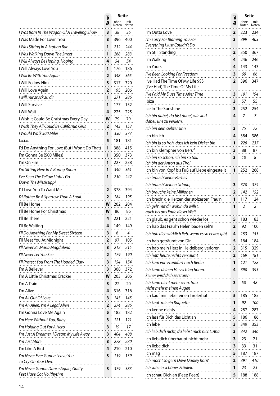|                                                                |                      | <b>Seite</b>  |              |
|----------------------------------------------------------------|----------------------|---------------|--------------|
|                                                                |                      | ohne<br>Noten | mit<br>Noten |
| I Was Born In The Wagon Of A Traveling Show                    | 3                    | 38            | 36           |
| I Was Made For Lovin' You                                      | $\ddot{\phantom{0}}$ | 396           | 400          |
| I Was Sitting In A Station Bar                                 | 1                    | 232           | 244          |
| I Was Walking Down The Street                                  | 1                    | 268           | 283          |
| I Will Always Be Hoping, Hoping                                | 4                    | 54            | 54           |
| l Will Always Love You                                         | 1                    | 176           | 186          |
| I Will Be With You Again                                       | 2                    | 348           | 365          |
| I Will Follow Him                                              | 3                    | 317           | 320          |
| l Will Love Again                                              | 2                    | 195           | 206          |
| I will nur zruck zu dir                                        | 1                    | 271           | 286          |
| l Will Survive                                                 | 1                    | 177           | 152          |
| I Will Wait                                                    | 4                    | 225           | 225          |
| I Wish It Could Be Christmas Every Day                         | W                    | 79            | 79           |
| I Wish They All Could Be California Girls                      | 2                    | 143           | 153          |
| I Would Walk 500 Miles                                         | 1                    | 350           | 373          |
| l.o.i.o.                                                       | 5                    | 181           | 181          |
| I'd Do Anything For Love (But I Won't Do That)                 |                      | 388           | 415          |
| l'm Gonna Be (500 Miles)                                       |                      | 350           | 373          |
| I'm On Fire                                                    | 1                    | 227           | 238          |
| I'm Sitting Here In A Boring Room                              | 1                    | 340           | 361          |
| I've Seen The Yellow Lights Go                                 | 1                    | 230           | 242          |
| Down The Mississippi                                           |                      |               |              |
| I'd Love You To Want Me                                        | 2                    | 378           | 394          |
| I'd Rather Be A Sparrow Than A Snail.                          | 2                    | 184           | 195          |
| I'll Be Home                                                   | w                    | 202           | 204          |
| I'll Be Home For Christmas                                     | w                    | 86            | 86           |
| I'll Be There                                                  | 4                    | 221           | 221          |
| I'll Be Waiting                                                | 4                    | 149           | 149          |
| I'll Do Anything For My Sweet Sixteen                          | 3                    | 6             | 4            |
| I'll Meet You At Midnight                                      | 2                    | 97            | 105          |
| I'll Never Be Maria Magdalena                                  | 3                    | 212           | 215          |
| I'll Never Let You See                                         | $\ddot{ }$           | 179           | 190          |
| I'll Protect You From The Hooded                               | 3                    | 154           | 154          |
| I'm A Believer                                                 | 3<br>W               | 368<br>203    | 372          |
| I'm A Little Christmas Cracker<br>l'm A Train                  |                      |               | 206          |
| I'm Alive                                                      | 3<br>4               | 22<br>316     | 20<br>316    |
| I'm All Out Of Love                                            | 3                    | 145           | 145          |
| I'm An Alien, I'm A Legal Alien                                | 2                    | 274           | 286          |
| I'm Gonna Love Me Again                                        | 5                    | 182           | 182          |
| I'm Here Without You, Baby                                     | 3                    | 121           | 121          |
| I'm Holding Out For A Hero                                     | з                    | 19            | 17           |
| I'm Just A Dreamer, I Dream My Life Away                       | 3                    | 404           | 408          |
| I'm Just More                                                  | З                    | 278           | 280          |
| I'm Like A Bird                                                | 4                    | 210           | 210          |
| I'm Never Ever Gonna Leave You                                 | 3                    | 139           | 139          |
| To Cry On Your Own                                             |                      |               |              |
| I'm Never Gonna Dance Again, Guilty<br>Feet Have Got No Rhythm | з                    | 379           | 383          |
|                                                                |                      |               |              |

|                                                                   |                         | Seite           |                 |
|-------------------------------------------------------------------|-------------------------|-----------------|-----------------|
|                                                                   | Band                    | ohne<br>Noter   | mit<br>Noten    |
| I'm Outta Love                                                    | 2                       | 223             | 234             |
| I'm Sorry For Blaming You For<br>Everything I Just Couldn't Do    | 3                       | 399             | 403             |
| I'm Still Standing                                                | 2                       | 350             | 367             |
| I'm Walking                                                       | 4                       | 246             | 246             |
| I'm Yours                                                         | 4                       | 143             | 143             |
| I've Been Looking For Freedom                                     | 3                       | 69              | 66              |
| I've Had The Time Of My Life \$\$\$                               | 2                       | 396             | 347             |
| (I've Had) The Time Of My Life                                    |                         |                 |                 |
| I've Paid My Dues Time After Time                                 | 3                       | 191             | 194             |
| Ibiza                                                             | 3                       | 57              | $\frac{55}{10}$ |
| Ice In The Sunshine                                               | 3                       | 252             | 254             |
| Ich bin dabei, du bist dabei, wir sind                            | 4                       | 7               | 7               |
| dabei, uns zu verliern.                                           |                         |                 |                 |
| Ich bin dein siebter sinn                                         | 3                       | 75              | 72              |
| Ich bin ich                                                       | $\frac{4}{1}$           | 384             | 386             |
| Ich bin ja so froh, dass ich kein Dicker bin                      | 1                       | 226             | 237             |
| Ich bin Klempner von Beruf                                        | 3                       | 88              | 87              |
| Ich bin so schön, ich bin so toll,<br>ich bin der Anton aus Tirol | 3                       | 10              | 8               |
| Ich bin von Kopf bis Fuß auf Liebe eingestellt                    |                         | 252             | 268             |
| ich brauch' keine Parties                                         |                         |                 |                 |
| Ich brauch' keinen Urlaub,                                        | 3                       | 370             | 374             |
| Ich brauche keine Millionen                                       | $\overline{a}$          | 142             | 152             |
| Ich brech' die Herzen der stolzesten Frau'n                       | 1                       | 117             | 124             |
| lch geh' mit dir wohin du willst,                                 | 1                       | 2               | 2               |
| auch bis ans Ende dieser Welt                                     |                         |                 |                 |
| Ich glaub, es geht schon wieder los                               | 5                       | 183             | 183             |
| Ich hab das Fräul'n Helen baden seh'n                             | 2                       | 92              | 100             |
| Ich hab dich wirklich lieb, wenn es so etwas gibt                 | 4                       | 153             | 153             |
| Ich hab geträumt von Dir                                          | 5                       | 184             | 184             |
| Ich hab mein Herz in Heidelberg v                                 | 2                       | 315             | 329             |
| Ich hab' heute nichts versäumt                                    | 2                       | 169             | 181             |
| Ich kam von Frankfurt nach Berlin                                 | 1                       | 121             | 128             |
| Ich kann deinen Herzschlag hören.                                 | 4                       | 390             | 395             |
| keiner wird dich zerstören                                        |                         |                 |                 |
| Ich kann nicht mehr sehn, trau                                    | 3                       | 50              | 48              |
| nicht mehr meinen Augen                                           |                         |                 |                 |
| Ich kauf mir lieber einen Tirolerhut                              | 5                       | 185             | 185             |
| Ich kauf' mir ein Baguette                                        | 1                       | 92              | 100             |
| Ich kenne nichts                                                  | 4                       | 287             | 287             |
| Ich lass für Dich das Licht an                                    | $\overline{\mathbf{5}}$ | 186             | 186             |
| Ich lebe                                                          | 3                       | 349             | 353             |
| Ich lieb dich nicht, du liebst mich nicht. Aha                    | $\overline{\mathbf{3}}$ | 342             | 346             |
| Ich lieb dich überhaupt nicht mehr                                | з                       | $\frac{23}{11}$ | 21              |
| Ich liebe dich                                                    | 3                       | 33              | 31              |
| lch mag                                                           | 5                       | 187             | 187             |
| Ich möcht so gern Dave Dudley hörn'                               | $\ddot{ }$              | 391             | 410             |
| Ich sah ein schönes Fräulein                                      | 1                       | 23              | 25              |
| Ich schau Dich an (Peep Peep)                                     | 5                       | 188             | 188             |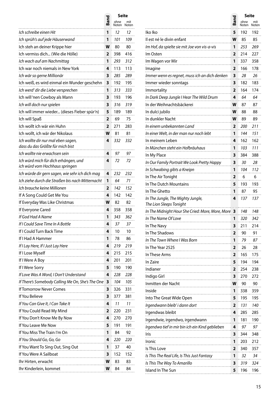l.

|                                                                        |                   | Seite           |                |
|------------------------------------------------------------------------|-------------------|-----------------|----------------|
|                                                                        |                   | ohne<br>Noter   | mit<br>Noten   |
| Ich schreibe einen Hit                                                 | 1                 | 12              | 12             |
| Ich sprüh's auf jede Häuserwand                                        | 1                 | 101             | 109            |
| Ich steh an deiner Krippe hier                                         | W                 | 80              | 80             |
| Ich vermiss dich (Wie die Hölle)                                       | 2                 | 398             | 416            |
| Ich wach auf am Nachmittag                                             | 1                 | 293             | 312            |
| Ich war noch niemals in New York                                       | 4                 | 113             | 113            |
| Ich wär so gerne Millionär                                             | 3                 | 285             | 289            |
| lch weiß, es wird einmal ein Wunder gesc                               | 3                 | 192             | 195            |
| Ich werd' dir die Liebe versprechen                                    | 1                 | 313             | 333            |
| Ich will 'nen Cowboy als Mann                                          | 3                 | 193             | 196            |
| Ich will doch nur spielen                                              | 3                 | 316             | 319            |
| Ich will immer wieder (dieses Fieber spür'n)                           | 5                 | 189             | 189            |
| Ich will Spaß                                                          | 2                 | 69              | 75             |
| Ich wollt ich wär ein Huhn                                             | 2                 | 271             | 283            |
| Ich wollt, ich wär der Nikolaus                                        | W                 | 81              | 81             |
| Ich wollte dir nur mal eben sagen,                                     | 4                 | 332             | 332            |
| dass du das Größte für mich bist                                       |                   |                 |                |
| Ich wollte nie erwachsen sein                                          | 4                 | 97              | 97             |
| Ich würd mich für dich erhängen, und<br>ich würd vom Hochhaus springen | 4                 | 72              | 72             |
| lch würde dir gern sagen, wie sehr ich dich mag                        | 4                 | 232             | 232            |
| Ich ziehe durch die Straßen bis nach Mitternacht                       | 1                 | 64              | 71             |
| Ich brauche keine Millionen                                            | 2                 | 142             | 152            |
| If A Song Could Get Me You                                             | 4                 | 142             | 142            |
| If Everyday Was Like Christmas                                         | W                 | 82              | 82             |
| If Everyone Cared                                                      | 4                 | 358             | 358            |
| If God Had A Name                                                      | 1                 | 343             | 362            |
| If I Could Save Time In A Bottle                                       | 4                 | 37              | 37             |
| If I Could Turn Back Time                                              | 4                 | 10              | 10             |
| If I Had A Hammer                                                      | 1                 | 78              | 86             |
| If I Lay Here, If I Just Lay Here                                      | 4                 | 219             | 219            |
| If I Lose Myself                                                       | 4                 | 215             | 215            |
| If I Were A Boy                                                        | 4                 | 201             | 201            |
| If I Were Sorry                                                        | 5                 | 190             | 190            |
| If Love Was A Word, I Don't Understand                                 | 4                 | 228             | 228            |
| If There's Somebody Calling Me On, She's The One                       | 3                 | 104             | 105            |
| If Tomorrow Never Comes                                                | 3                 | 326             | 331            |
| If You Believe                                                         | 3                 | 377             | 381            |
| If You Can Give It, I Can Take It                                      | 4                 | 11              | 11             |
| If You Could Read My Mind                                              | 2                 | 220             | 231            |
| If You Don't Know Me By Now                                            | 4                 | 270             | 270            |
| .<br>If You Leave Me Now                                               | 5                 | 191             | 191            |
| If You Miss The Train I'm On                                           | 1                 | 84              | 92             |
| .<br>If You Should Go, Go, Go                                          | $\ddot{ }$        | 220             | 220            |
| If You Want To Sing Out, Sing Out                                      |                   | $\frac{37}{11}$ | $\frac{40}{1}$ |
| If You Were A Sailboat                                                 | $\mathbf{1}$<br>3 | 152             | 152            |
| Ihr Hirten, erwacht                                                    | W                 | 83              | 83             |
| Ihr Kinderlein, kommet                                                 | W                 | 84              | 84             |
|                                                                        |                   |                 |                |

|                                                                                                                                                                                                                                   |                          | Seite             |              |
|-----------------------------------------------------------------------------------------------------------------------------------------------------------------------------------------------------------------------------------|--------------------------|-------------------|--------------|
|                                                                                                                                                                                                                                   | Band                     | ohne<br>Noter     | mit<br>Noten |
| Iko Iko                                                                                                                                                                                                                           | 5                        | 192               | 192          |
| Il est né le divin enfant                                                                                                                                                                                                         | W                        | 85                | 85           |
| Im Hof, da spielte sie mit Joe von                                                                                                                                                                                                | 1                        | 253               | 269          |
| lm Osten                                                                                                                                                                                                                          | $\overline{a}$           | 214               | 227          |
| lm Wagen vor Mir                                                                                                                                                                                                                  | 1                        | 337               | 358          |
| Imagine                                                                                                                                                                                                                           | 2                        | 166               | 178          |
| Immer wenn es regnet, muss ich an dich denken                                                                                                                                                                                     | $\ddot{\phantom{0}}$     | 28                | 26           |
| Immer wieder sonntags                                                                                                                                                                                                             | 3                        | 182               | 183          |
| Immortality                                                                                                                                                                                                                       | $\overline{a}$           | 164               | 174          |
| In Dark Deep Jungle I Hear The Wild Drum                                                                                                                                                                                          | 4                        | 64                | 64           |
| In der Weihnachtsbäckerei                                                                                                                                                                                                         | W                        | 87                | 87           |
| In dulci jubilo                                                                                                                                                                                                                   | W                        | 88                | 88           |
| In dunkler Nacht                                                                                                                                                                                                                  | W                        | 89                | 89           |
| In einem unbekannten Land                                                                                                                                                                                                         | $\overline{\mathbf{c}}$  | 200               | 211          |
| In einer Welt, in der man nur noch lebt                                                                                                                                                                                           | 1                        | 144               | 151          |
| In meinem Leben                                                                                                                                                                                                                   | 4                        | 162               | 162          |
| In München steht ein Hofbräuhaus                                                                                                                                                                                                  | 1                        | 103               | 111          |
| In My Place                                                                                                                                                                                                                       | з                        | 384               | 388          |
| In Our Family Portrait We Look Pretty Happy                                                                                                                                                                                       | 3                        | 30                | 28           |
| In Schwabing gibts a Kneipn                                                                                                                                                                                                       | 1                        | 104               | 112          |
| In The Air Tonight                                                                                                                                                                                                                | 2                        | 6                 | 6            |
| In The Dutch Mountains                                                                                                                                                                                                            | 5                        | 193               | 193          |
| In The Ghetto                                                                                                                                                                                                                     | 1                        | 87                | 95           |
| In The Jungle, The Mighty Jungle,                                                                                                                                                                                                 | 4                        | 137               | 137          |
| The Lion Sleeps Tonight                                                                                                                                                                                                           |                          |                   |              |
| In The Midnight Hour She Cried: More, More, More                                                                                                                                                                                  |                          | 148               | 148          |
| In The Name Of Love                                                                                                                                                                                                               |                          | 320               | 342          |
| In The Navy                                                                                                                                                                                                                       | 3                        | 211               | 214          |
| In The Shadows                                                                                                                                                                                                                    | 2                        | 90                | 91           |
| In The Town Where I Was Born                                                                                                                                                                                                      | 1                        | 79                | 87           |
| In The Year 2525                                                                                                                                                                                                                  | $\mathbf{z}$             | 26                | 28           |
| In These Arms                                                                                                                                                                                                                     | 2                        | 165               | 175          |
| In Zaire                                                                                                                                                                                                                          | 5                        | 194               | 194          |
| Indianer                                                                                                                                                                                                                          | 2                        | 254               | 238          |
| Indigo Girl                                                                                                                                                                                                                       | з                        | 270               | 272          |
| Inmitten der Nacht                                                                                                                                                                                                                | W                        | 90                | 90           |
| Inside                                                                                                                                                                                                                            | 1                        | 338               | 359          |
| Into The Great Wide Open                                                                                                                                                                                                          | 5                        | 195               | 195          |
| Irgendwann bleib' i dann dort                                                                                                                                                                                                     | 2                        | 131               | 140          |
| $4 \overline{285} \overline{285}$                                                                                                                                                                                                 |                          |                   |              |
| Irgendwie, irgendwo, irgendwann                                                                                                                                                                                                   |                          | $\frac{1}{1}$ 181 | 190          |
| International or the United States of the United States of Australian Control of Australian Control of Australia<br>Allegations of Australian Control of Australian Control of Australian Control of Australian Control of Austra |                          | $97$ $97$         |              |
| Iris                                                                                                                                                                                                                              | 3                        | 344               | 348          |
| Ironic                                                                                                                                                                                                                            | 1                        | 203               | 212          |
| .<br>Is This Love                                                                                                                                                                                                                 | 2                        | 340               | 357          |
| .<br>Is This The Real Life, Is This Just Fantasy                                                                                                                                                                                  | 1                        | $\frac{32}{1}$    | 34           |
| Is This The Way To Amarillo                                                                                                                                                                                                       | з                        | 319               | 324          |
| .<br>Island In The Sun                                                                                                                                                                                                            | $\overline{\phantom{a}}$ | 196               | 196          |
|                                                                                                                                                                                                                                   |                          |                   |              |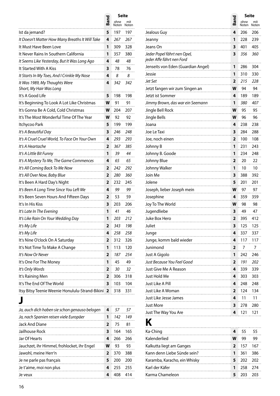|                                                 |                | Seite         |              |
|-------------------------------------------------|----------------|---------------|--------------|
|                                                 | Band           | ohne<br>Noter | mit<br>Noten |
| Ist da jemand?                                  | 5              | 197           | 197          |
| It Doesn't Matter How Many Breaths It Will Take | 4              | 267           | 267          |
| It Must Have Been Love                          | 1              | 309           | 328          |
| It Never Rains In Southern California           | 1              | 357           | 380          |
| It Seems Like Yesterday, But It Was Long Ago    | 4              | 48            | 48           |
| It Started With A Kiss                          | 3              | 78            | 76           |
| It Starts In My Toes, And I Crinkle My Nose     | 4              | 8             | 8            |
| It Was 1989, My Thoughts Were                   | 4              | 342           | 342          |
| Short, My Hair Was Long                         |                |               |              |
| It's A Good Life                                | 5              | 198           | 198          |
| It's Beginning To Look A Lot Like Christmas     | W              | 91            | 91           |
| It's Gonna Be A Cold, Cold Christmas            | W              | 204           | 207          |
| It's The Most Wonderful Time Of The Year        | W              | 92            | 92           |
| Itchycoo Park                                   | 5              | 199           | 199          |
| It's A Beautiful Day                            | 3              | 246           | 248          |
| It's A Cruel Cruel World, To Face On Your Own   | 4              | 293           | 293          |
| It's A Heartache                                | 2              | 367           | 385          |
| It's A Little Bit Funny                         | 1              | 39            | 44           |
| It's A Mystery To Me, The Game Commences        | 4              | 65            | 65           |
| It's All Coming Back To Me Now                  | 2              | 242           | 292          |
| It's All Over Now, Baby Blue                    | 2              | 280           | 360          |
| It's Been A Hard Day's Night                    | 2              | 232           | 245          |
| It's Been A Long Time Since You Left Me         | 4              | 99            | 99           |
| It's Been Seven Hours And Fifteen Days          | 2              | 53            | 59           |
| It's In His Kiss                                | 3              | 203           | 206          |
| It's Late In The Evening                        | 1              | 41            | 46           |
| It's Like Rain On Your Wedding Day              | 1              | 203           | 212          |
| It's My Life                                    | 2              | 343           | 198          |
| It's My Life                                    | 4              | 258           | 258          |
| It's Nine O'clock On A Saturday                 | 2              | 312           | 326          |
| It's Not Time To Make A Change                  | 1              | 113           | 120          |
| It's Now Or Never                               | $\overline{a}$ | 187           | 254          |
| It's One For The Money                          |                | 45            | 49           |
| It's Only Words                                 | 2              | 30            | 32           |
| It's Raining Men                                | 2              | 306           | 318          |
| It's The End Of The World                       | 3              | 103           | 104          |
| Itsy Bitsy Teenie Weenie Honululu-Strand-Bikini | 2              | 318           | 331          |

### **J**

| Ja, auch dich haben sie schon genauso belogen |                | 4 57    | -57   |
|-----------------------------------------------|----------------|---------|-------|
| Ja, nach Spanien reisen viele Europäer        | 1              | 142     | 149   |
| Jack And Diane                                | $\overline{2}$ | - 75    | -81   |
| Jailhouse Rock                                | 3              | 164     | - 165 |
| Jar Of Hearts                                 | 4              | 266 266 |       |
| Jauchzet, ihr Himmel, frohlocket, ihr Engel   | w              | - 93    | 93    |
| Jawohl, meine Herr'n                          | $\mathbf{2}$   | 370     | - 388 |
| Je ne parle pas français                      | 5              | 200     | - 200 |
| Je t'aime, moi non plus                       | 4              | 255 255 |       |
| le veux                                       | 4              | 408 414 |       |
|                                               |                |         |       |

|                                                          |                         | Seite             |              |
|----------------------------------------------------------|-------------------------|-------------------|--------------|
|                                                          | Band                    | ohne<br>Noten     | mit<br>Noten |
|                                                          |                         |                   |              |
| Jealous Guy                                              | 4                       | 206               | 206          |
| Jeanny                                                   | 1                       | 228               | 239          |
| Jeans On                                                 | 3                       | 401               | 405          |
| Jeder Popel fährt nen Opel,<br>jeder Affe fährt nen Ford | 3                       | 356               | 360          |
|                                                          |                         |                   |              |
| Jenseits von Eden (Guardian Angel)                       | 1                       | 286               | 304          |
| Jessie                                                   | 1                       | 310               | 330          |
| Jet Set                                                  | 2                       | 215               | 228          |
| Jetzt fangen wir zum Singen                              | W                       | 94                | 94           |
| Jetzt ist Sommer                                         | 4                       | 189               | 189          |
| Jimmy Brown, das war ein Seemann                         | 1                       | 380               | 407          |
| Jingle Bell Rock                                         | W                       | 95                | 95           |
| Jingle Bells                                             | W                       | 96                | 96           |
| Joana                                                    | 4                       | 238               | 238          |
| Joe Le Taxi                                              | $\ddot{ }$              | 284               | 288          |
| Joe, noch einen                                          | 2                       | 100               | 108          |
| Johnny B                                                 | 1                       | 231               | 243          |
| Johnny B. Goode                                          | $\overline{\mathbf{1}}$ | 234               | 248          |
| Johnny Blue                                              | 2                       | 20                | 22           |
| Johnny Walker                                            | 1                       | 10                | 10           |
| Join Me                                                  | $\ddot{\mathbf{3}}$     | 388               | 392          |
| Jolene                                                   | 5                       | 201               | 201          |
| Joseph, lieber Joseph                                    | W                       | 97                | 97           |
| Josephine                                                | 4                       | 359               | 359          |
| Joy To The World                                         | W                       | 98                | 98           |
|                                                          |                         |                   | 47           |
| Jugendliebe                                              | $\ddot{}}$              | 49                |              |
| Juke Box Hero                                            | 2                       | 395               | 412          |
| Juliet                                                   | $\ddot{\mathbf{3}}$     | 125               | 125          |
| Junge                                                    | 4                       | 337               | 337          |
| Junge, komm bald wieder                                  | 4                       | 117               | 117          |
| Junimond                                                 | 2                       | 7                 | 7            |
| Just A Gigolo                                            | 1                       | 242               | 246          |
| Just Because You Feel Good                               | 2                       | 191               | 202          |
| Just Give Me A Reason                                    | 4                       | $\frac{339}{111}$ | 339          |
| Just Hold Me                                             | 4                       | 303               | 303          |
| Just Like A Pill                                         | 4                       | 248               | 248          |
| Just Like A Woman                                        | 2                       | 124               | 134          |
| Just Like Jesse James                                    | 4                       | 11                | 11           |
| Just More                                                | з                       | 278               | 280          |
| Just The Way You Are                                     | 4                       | 121               | 121          |
|                                                          |                         |                   |              |
| Ka-Ching                                                 | 4                       | 55                | 55           |
| Kalenderlied                                             | W                       | 99                | 99           |
| Kalkutta liegt am Ganges                                 | 2                       | 157               | 167          |
| Kann denn Liebe Sünde sein?                              | 1                       | 361               | 386          |
| Karamba, Karacho, ein Whisky                             |                         | 202               | 202          |
|                                                          | 5                       | 258               |              |
| Karl der Käfer                                           | 1                       |                   | 274          |
| Karma Chameleon                                          | 5                       | 203               | 203          |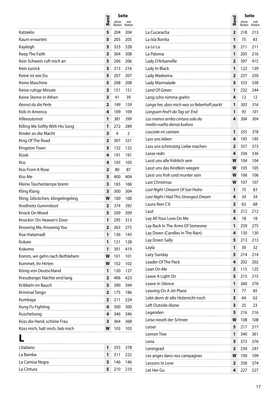|                                   |                     | <b>Seite</b>  |              |
|-----------------------------------|---------------------|---------------|--------------|
|                                   | Band                | ohne<br>Noter | mit<br>Noten |
| Katzeklo                          | 5                   | 204           | 204          |
| Kaum erwarten                     | 5                   | 205           | 205          |
| Kayleigh                          | 3                   | 323           | 328          |
| Keep The Faith                    | 3                   | 304           | 308          |
| Kein Schwein ruft mich            | 5                   | 206           | 206          |
| Kein zurück                       | з                   | 213           | 216          |
| Keine ist wie Du                  | 5                   | 207           | 207          |
| Keine Maschine                    | 5                   | 208           | 208          |
| Keine ruhige Minute               | 3                   | 151           | 151          |
| Keine Sterne in Athen             | з                   | 41            | 39           |
| Kennst du die Perle               | 2                   | 149           | 159          |
| Kids In America                   | 4                   | 109           | 109          |
| Killerautomat                     | 1                   | 381           | 399          |
| Killing Me Softly With His Song   | 1                   | 272           | 289          |
| Kinder an die Macht               | 3                   | $\frac{4}{1}$ | 2            |
| King Of The Road                  | 2                   | 307           | 321          |
| Kingston Town                     | з                   | 132           | 132          |
| Kiosk                             | 4                   | 191           | 191          |
| Kiss                              | 4                   | 105           | 105          |
| Kiss From A Rose                  | $\overline{2}$      | 80            | 87           |
| Kiss Me                           | 3                   | 400           | 404          |
| Kleine Taschenlampe brenn         | 3                   | 165           | 166          |
| Kling Klang                       | 3                   | 300           | 304          |
| Kling, Glöckchen, klingelingeling | W                   | 100           | 100          |
| Knallrotes Gummiboot              | 2                   | 374           | 392          |
| Knock On Wood                     | 5                   | 209           | 209          |
| Knockin' On Heaven's Door         | 1<br>l.             | 295           | 313          |
| Knowing Me, Knowing You           | 2                   | 263           | 275          |
| Koa Hiatamadl                     | 1                   | 136           | 143          |
| Kokain                            | 1                   | 121           | 128          |
| Kokomo                            | 1                   | 391           | 419          |
| Komm, wir gehn nach Bethlehem     | W                   | 101           | 101          |
| Kommet, ihr Hirten                | W                   | 102           | 102          |
| König von Deutschland             | 1                   | 120           | 127          |
| Kreuzberger Nächte sind lang      | 2                   | 406           | 423          |
| Kribbeln im Bauch                 | 3                   | 390           | 394          |
| Kriminal Tango                    | $\overline{a}$<br>J | 175           | 186          |
| Kumbaya                           | 2                   | 211           | 224          |
| Kung Fu Fighting                  | 4                   | 300           | 300          |
| Kuschelsong                       | 4                   | 346           | 346          |
| Küss die Hand, schöne Frau        | 3                   | 364           | 368          |
| Küss mich, halt mich, lieb mich   | W                   | 103           | 103          |
|                                   |                     |               |              |
| L'italiano                        | 1                   | 355           | 378          |
|                                   |                     |               |              |

La Bamba **1** 211 222 La Camisa Negra **3** 146 146 La Cintura **5** 210 210

|                                       |                    | Seite                         |  |  |
|---------------------------------------|--------------------|-------------------------------|--|--|
|                                       | Band               | ohne<br>mit<br>Noten<br>Noten |  |  |
| La Cucaracha                          | 2                  | 213<br>218                    |  |  |
| La Isla Bonita                        | 1                  | $\frac{75}{11}$<br>83         |  |  |
| La Le Lu                              | 5                  | 211<br>211                    |  |  |
| La Paloma                             | 1                  | 205<br>216                    |  |  |
| Lady D'Arbanville                     | 2                  | 397<br>415                    |  |  |
| Lady In Black                         | 1                  | 122<br>129                    |  |  |
| Lady Madonna                          | 2                  | 237<br>250                    |  |  |
| Lady Marmalade                        | 3                  | 333<br>338                    |  |  |
| Land Of Green                         | 1                  | 232<br>244                    |  |  |
| Lang scho nimma gsehn                 | 4                  | 12<br>12                      |  |  |
| Lange her, dass mich was so fieberl   | 1                  | 303<br>316                    |  |  |
| Langsam find't da Tag sei' End        | 1                  | 93<br>101                     |  |  |
| Las manos arriba cintura sola da      | 4                  | 304<br>304                    |  |  |
| media vuelta danza kuduro             |                    |                               |  |  |
| Lasciate mi cantare                   | 1                  | 355<br>378                    |  |  |
| Lass uns leben                        | 4                  | 195<br>195                    |  |  |
| Lass uns schmutzig                    | 2                  | 357<br>373                    |  |  |
| Lasse redn                            | 4                  | 336<br>336                    |  |  |
| Lasst uns alle fröhlich sein          | W                  | 104<br>104                    |  |  |
| Lasst uns das Kindlein wiegen         | W                  | 105<br>105                    |  |  |
| Lasst uns froh und munter sein        | W                  | 106<br>106                    |  |  |
| Last Christmas                        | W                  | 107<br>107                    |  |  |
| Last Night I Dreamt Of San Pedro      | 1                  | $\frac{75}{11}$<br>83         |  |  |
| Last Night I Had This Strangest Dream | 4                  | 34<br>34                      |  |  |
| Laura Non C'è                         | 2                  | 63<br>68                      |  |  |
| Laut                                  | 5                  | 212<br>212                    |  |  |
| Lay All Your Love On Me               | 4                  | 18<br>18                      |  |  |
| Lay Back In The Arms Of Someone       | 1                  | 259<br>275                    |  |  |
| Lay Down (Candles In The Rain)        | 4                  | 130<br>130                    |  |  |
| Lay Down Sally                        | 5                  | 213<br>213                    |  |  |
| Layla                                 | 1                  | 30<br>$\frac{32}{11}$         |  |  |
| Lazy Sunday                           | 5                  | 214<br>214                    |  |  |
| Leader Of The Pack                    | 4                  | 202<br>202                    |  |  |
| Lean On Me                            | 2                  | 115<br>125                    |  |  |
| Leave A Light On                      | 5                  | 215<br>215                    |  |  |
| Leave In Silence                      | 1                  | 260<br>276                    |  |  |
| Leaving On A Jet Plane                | 1                  | 77<br>85                      |  |  |
| Lebt denn dr alte Holzmichl noch      | з                  | 64<br>62                      |  |  |
| Left Outside Alone                    | 3                  | 25<br>23                      |  |  |
| Legenden                              | 5.                 | 216<br>216<br>.               |  |  |
| Leise rieselt der Schnee              | W                  | 108<br>108                    |  |  |
| Leiser                                | 5                  | 217<br>217                    |  |  |
| Lemon Tree                            | 1                  | 340<br>361<br>.               |  |  |
| <br>Lena<br>.                         | 3<br>$\sim$ $\sim$ | 372<br>376<br>.<br>.          |  |  |
| Leningrad<br>                         | 2<br>.             | 234 247                       |  |  |
| <br>Les anges dans nos campagnes      | W                  | 109 109                       |  |  |
| Lessons In Love                       | 2                  | 374<br>358                    |  |  |
| Let Her Go                            | 4                  | 227<br>227                    |  |  |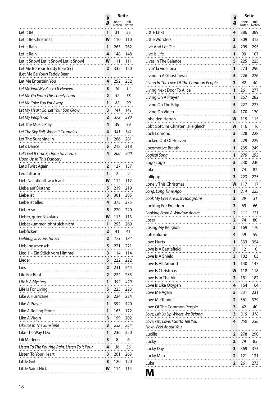|                                               |                         | Seite         |                 |
|-----------------------------------------------|-------------------------|---------------|-----------------|
|                                               | Band                    | ohne<br>Noten | mit<br>Noten    |
| Let It Be                                     | 1                       | 31            | 33              |
| Let It Be Christmas                           | W                       | 110           | 110             |
| Let It Rain                                   | 1                       | 263           | 262             |
| Let It Rain                                   | 4                       | 148           | 148             |
| Let It Snow! Let It Snow! Let It Snow!        | W                       | 111           | 111             |
| Let Me Be Your Teddy Bear \$\$\$              | 2                       | 332           | 150             |
| (Let Me Be Your) Teddy Bear                   |                         |               |                 |
| Let Me Entertain You                          | 4                       | 252           | 252             |
| Let Me Find My Piece Of Heaven                | з                       | 16            | 14              |
| Let Me Go From This Lonely Land               | 2                       | 52            | 58              |
| Let Me Take You Far Away                      | $\mathbf{1}$            | 82            | 90              |
| Let My Heart Go. Let Your Son Grow            | 3                       | 141           | 141             |
| Let My People Go                              | 2                       | 372           | 390             |
| Let The Music Play                            | 4                       | 39            | 39              |
| Let The Sky Fall, When It Crumbles            | 4                       | 341           | 341             |
| Let The Sunshine In                           | 1                       | 266           | 281             |
| Let's Dance                                   | 5                       | 218           | 218             |
| Let's Get It Crunk, Upon Have Fun,            | 4                       | 200           | 200             |
| Upon Up In This Dancery                       |                         |               |                 |
| Let's Twist Again                             | 2                       | 127           | 137             |
| Leuchtturm                                    | 1                       | 2             | 2               |
| Lieb Nachtigall, wach auf                     | W                       | 112           | 112             |
| Liebe auf Distanz                             | 5                       | 219           | 219             |
| Liebe ist                                     | з                       | 301           | 305             |
| Liebe ist alles                               | 4                       | 375           | 375             |
| Lieber so                                     | 5                       | 220           | 220             |
| Lieber, guter Nikolaus                        | W                       | 113           | 113             |
| Liebeskummer lohnt sich nicht                 | 1                       | 253           | 269             |
| Liebficken                                    | 2                       | 41            | 41              |
| Liebling, lass uns tanzeı                     | $\ddot{ }$              | 173           | 184             |
| Lieblingsmensch                               | 5                       | 221           | 221             |
| Lied 1 – Ein Stück vom                        | 3                       | 114           | 114             |
| Lieder                                        | 5                       | 222           | 222             |
| Lies                                          | 2                       | 231           | 244             |
| Life For Rent                                 | $\ddot{ }$              | 224           | 235             |
| Life Is A Mystery                             | 1                       | 392           | 420             |
| Life Is For Living                            | 5                       | 223           | 223             |
| Like A Hurricane                              | 5                       | 224           | 224             |
| Like A Prayer                                 | 1                       | 392           | 420             |
| Like A Rolling Stone                          |                         | 163           | 172             |
| Like A Virgin                                 | $\ddot{3}$              | 199           | 202             |
| Like Ice In The Sunshine<br>.                 | 3                       | 252           | 254             |
| Like The Way I Do                             | 1                       | 236           | 250             |
| Lili Marleen                                  | $\ddot{}}$<br>Ι.        | $\frac{8}{2}$ | $\frac{6}{100}$ |
| Listen To The Pouring Rain, Listen To It Pour | 4                       | 36            | 36              |
| Listen To Your Heart<br>.                     | $\overline{\mathbf{3}}$ | 261           | 263             |
| Little Girl                                   | 3                       | 120           | 120             |
| Little Saint Nick                             | W                       | 114           | 114             |

|                                                          |                               | Seite                              |
|----------------------------------------------------------|-------------------------------|------------------------------------|
|                                                          | Band                          | ohne<br>mit<br>Noter<br>Noten      |
| Little Talks                                             | 4                             | 386<br>389                         |
| Little Wonders                                           | 3                             | 309<br>312                         |
| Live And Let Die                                         | 4                             | 295<br>295                         |
| Live Is Life                                             | 1                             | 99<br>107                          |
| Lives In The Balance                                     |                               | 225                                |
| Livin' la vida loca                                      | $\overline{\phantom{a}}$<br>1 | 225<br>273                         |
|                                                          |                               | 290                                |
| Living In A Ghost Town                                   | 5                             | 226<br>226                         |
| Living In The Love Of The Common People                  | 3                             | 42<br>40                           |
| Living Next Door To Alice                                | 1                             | 261<br>277                         |
| Living On A Prayer                                       | 1                             | 267<br>282                         |
| Living On The Edge                                       | 5                             | 227<br>227                         |
| Living On Video                                          | 4                             | 170<br>170                         |
| Lobe den Herren                                          | W                             | 115<br>115                         |
| Lobt Gott, ihr Christen, alle gleich                     | W                             | 116<br>116                         |
| Loch Lomond                                              | 5                             | 228<br>228                         |
| Locked Out Of Heaven                                     | 5                             | 229<br>229                         |
| Locomotive Breath                                        | 1                             | 235<br>249                         |
| Logical Song                                             | 1                             | 276<br>293                         |
| Logo Logo                                                | 5                             | 230<br>230                         |
| Lola                                                     | 1                             | 74<br>82                           |
| Lollipop                                                 | 3                             | 223<br>225                         |
| <b>Lonely This Chris</b>                                 | W                             | 117<br>117                         |
| Long, Long Time Ago                                      | 1                             | 214<br>225                         |
| Look My Eyes Are Just Holograms                          | 2                             | 29<br>31                           |
| Looking For Freedom                                      | 3                             | 69<br>66                           |
| Looking From A Window Abo                                | 2                             | 111<br>121                         |
| Loser                                                    | 2                             | 74<br>80                           |
| Losing My Religion                                       | 3                             | 169<br>170                         |
| Lotosblume                                               | 4                             | $\frac{59}{10}$<br>$\frac{59}{10}$ |
| Love Hurts                                               | 1                             | 333<br>354                         |
| Love Is A Battlefield                                    | $\overline{\mathbf{3}}$       | 12<br>10                           |
| Love Is A Shield                                         | 3                             | 102<br>103                         |
| Love Is All Around                                       | 1                             | 140<br>147                         |
| Love Is Christmas                                        | W                             | 118<br>118                         |
| Love Is In The Air                                       | 3                             | 181<br>182                         |
| Love Is Like Oxygen                                      | 4                             | 164<br>164                         |
| Love Me Again                                            | 5                             | 231<br>231                         |
| Love Me Tender                                           | 2                             | 361<br>379                         |
| Love Of The Common People                                | з                             | 42<br>40                           |
| Love, Lift Us Up Where We Belong                         | 3                             | 315<br>318                         |
| Love, Oh, Love, I Gotta Tell You<br>How I Feel About You | 4                             | 250<br>250                         |
| Lucille                                                  | 2                             | 290<br>278                         |
| Lucky                                                    | 2                             | 79<br>85                           |
| Lucky Day                                                | з                             | 369                                |
| Lucky Man                                                | 2                             | $\frac{373}{11}$<br>121<br>131     |
| Luka                                                     | 2                             | .<br>261<br>273                    |
|                                                          |                               |                                    |
|                                                          |                               |                                    |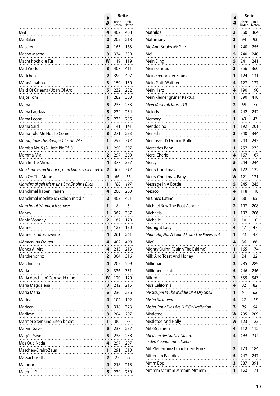|                                          |                                        | Seite                         |
|------------------------------------------|----------------------------------------|-------------------------------|
|                                          | Band                                   | ohne<br>mit<br>Noten<br>Noten |
| M&F                                      | 4                                      | 402<br>408                    |
| Ma Baker                                 | 2                                      | 205<br>218                    |
| Macarena                                 | 4                                      | 163<br>163                    |
| Macho Macho                              | 3                                      | 339<br>334                    |
| Macht hoch die Tür                       | W                                      | 119<br>119                    |
| Mad World                                | $\ddot{\phantom{0}}$                   | 407<br>411                    |
| Mädchen                                  | 2                                      | 390<br>407                    |
| Máhná máhná                              | 3                                      | 150<br>150                    |
| Maid Of Orleans /                        | 5                                      | 232<br>232                    |
| Major Tom                                | 1                                      | 282<br>300                    |
| Mama                                     | $\overline{\mathbf{5}}$                | 233<br>233                    |
| Mama Laudaaa                             | 5                                      | 234<br>234                    |
| Mama Leone                               | 5                                      | 235<br>235                    |
| Mama Said                                | 3                                      | 141<br>141                    |
| Mama Told Me Not To Come                 | 3                                      | 271<br>273                    |
| Mama, Take This Badge Off From Me        | 1                                      | 295<br>313                    |
| Mambo No. 5 (A Little Bit Of…)           | 1                                      | 290<br>307                    |
| Mamma Mia                                | 2                                      | 297<br>309                    |
| Man In The Mirror                        | 4                                      | 377<br>377                    |
| Man kann es nicht hör′n                  | 2                                      | 305<br>317                    |
| Man On The Moon                          | 4                                      | 66<br>66                      |
| Manchmal geh ich meine Straße ohne Blick | 1                                      | 188<br>197                    |
| Manchmal haben Frauen                    | 4                                      | 260<br>260                    |
| Manchmal möchte ich schon mit dir        | 2                                      | 403<br>421                    |
| Manchmal träume ich schwer               | 1                                      | 8<br>8                        |
| Mandy                                    | 1                                      | 362<br>387                    |
| Manic Monday<br>Männer                   | 2<br>1                                 | 179<br>167<br>123             |
| Männer sind Schweine                     | 4                                      | 130<br>261<br>261             |
| Männer und Frauen                        | 4                                      | 408<br>402                    |
| Manos Al Aire                            | 4                                      | 213<br>213                    |
| Märchenprinz                             | 2                                      | 316<br>304                    |
| Marchin On                               | 4                                      | 209<br>209                    |
| Maria                                    | 2                                      | 351<br>336                    |
| Maria durch ein' Dorn<br>d ging          | w                                      | 120<br>120                    |
| Maria Magdalena                          | 3                                      | 212<br>215                    |
| Maria Maria                              | 5                                      | 236<br>236                    |
| Marina                                   | 4                                      | 102<br>102                    |
| Marleen                                  | з                                      | 323<br>318                    |
| Marliese                                 | з                                      | 204<br>207                    |
| Marmor Stein und Eisen bricht            | 1                                      | 80<br>88                      |
| Marvin Gaye<br>.                         | 5                                      | 237<br>237                    |
| Mary's Prayer<br>.                       | 5                                      | 238<br>238                    |
| Mas Que Nada<br>.                        | 4                                      | 297<br>297                    |
| Maschen-Draht-Zaun                       | 1                                      | 291<br>310                    |
| Massachusetts<br>.                       | 2                                      | 25<br>27                      |
| Matador<br>.                             | 4                                      | 218<br>218                    |
| Material Girl                            | $\overline{5}$<br>$\ddot{\phantom{a}}$ | 239<br>239                    |
|                                          |                                        |                               |

|                                           | च                 | Seite          |                  |
|-------------------------------------------|-------------------|----------------|------------------|
|                                           | Ban               | ohne<br>Noter  | mit<br>Noten     |
| Mathilda                                  | 3                 | 360            | 364              |
| Matrimony                                 | 3                 | 94             | 93               |
| Me And Bobby McGee                        | 1                 | 240            | 255              |
| Me!                                       | 5                 | 240            | 240              |
| Mein Ding                                 | 5                 | 241            | 241              |
| Mein Fahrrad                              | 3                 | 356            | 360              |
| Mein Freund der Baum                      | 1                 | 124            | 131              |
| Mein Gott, Walther                        | 4                 | 127            | 127              |
| Mein Herz                                 | 4                 | 190            | 190              |
| Mein kleiner grüner Kaktus                | 1                 | 390            | 418              |
| Mein Maserati fährt 210                   | 2                 | 69             | $\frac{75}{100}$ |
| Melody                                    | 5                 | 242            | 242              |
| Memory                                    | 1                 | 43             | 47               |
| Mendocino                                 | 1                 | 192            | 201              |
| Mensch                                    | 3                 | 340            | 344              |
| Mer losse d'r Dom in Kölle                | 5                 | 243            | 243              |
| Mercedes Benz                             | 1                 | 257            | 273              |
| Merci Cherie                              | 4                 | 167            | 167              |
| Mercy                                     | 5                 | 244            | 244              |
| Merry Christmas                           | W                 | 122            | 122              |
| Merry Christmas, Baby                     | W                 | 121            | 121              |
| Message In A Bottle                       | 5                 | 245            | 245              |
| Mexico                                    | 4                 | 118            | 118              |
| Mi Chico Latino                           | 3                 | 68             | 65               |
| Michael Row The Boat Ashore               | 2                 | 197            | 208              |
| Michaela                                  | 1                 | 197            | 206              |
| Michelle                                  | 2                 | 10             | 10               |
| Midnight Lady                             | 4                 | 47             | 47               |
| Midnight, Not A Souna<br>rom The Pavement | 1                 | 43             | 47               |
| Mief                                      | 4                 | 86             | 86               |
| Mighty Quinn (Quinn The Eskimo)           | 1                 | 165            | 174              |
| Milk And Toast And Honey                  | 3                 | 24             | 22               |
| Millionär                                 | 3                 | 285            | 289              |
| Millionen Lichter                         | 5                 | 246            | 246              |
| Milord                                    | 3                 | 339            | 343              |
| Miss California                           | 4                 | 82             | 82               |
| Mississippi In The Middle Of A Dry Spell  |                   | 61             | 68               |
| Mister Saxobeat                           | 4                 | 17             | 17<br>94         |
| Mister, Your Eyes Are Full Of Hesitation  | 3<br>W            | 95             | 209              |
| Mistletoe<br>Mistletoe And Holly          |                   | 205<br>$W$ 123 | 123              |
| Mit 66 Jahren                             | 4                 | 112            | -112             |
| Mit dir in der Südsee Stehn,              | 4                 | 144            | 144              |
| in den Abendhimmel sehn<br>.              |                   |                |                  |
| Mit Pfefferminz bin ich dein Prinz<br>.   | .<br>$\mathbf{2}$ | 173 184        |                  |
| Mitten im Paradies                        | 5<br>.            | 247            | 247              |
| Mmm Bop                                   | 3                 | 387            | 391              |
| Mmmm Mmmm Mmmm Mmmm<br>.                  | 1                 | 162            | .<br>171         |
|                                           |                   |                |                  |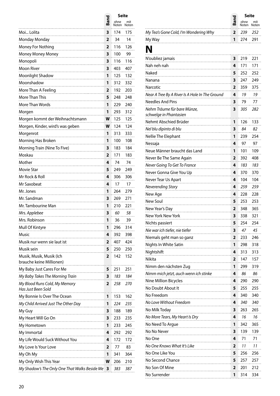|                                                 |                         | Seite                         |
|-------------------------------------------------|-------------------------|-------------------------------|
|                                                 | Band                    | ohne<br>mit<br>Noten<br>Noten |
| Moi Lolita                                      | $\ddot{\phantom{0}}$    | 174<br>175                    |
| Monday Monday                                   | 2                       | 14<br>$\frac{34}{1}$          |
| Money For Nothing                               | 2                       | 116<br>126                    |
| Money Money Money                               | $\ddot{\mathbf{3}}$     | 100<br>99                     |
| Monopoli                                        | 3                       | 116<br>116                    |
| Moon River                                      | $\ddot{\phantom{0}}$    | 403<br>407                    |
| Moonlight Shado                                 | 1                       | 125<br>132                    |
| Moonshadow                                      | 1                       | 312<br>332                    |
| More Than A Feeling                             | 2                       | 192<br>203                    |
| More Than This                                  | $\overline{\mathbf{5}}$ | 248<br>248                    |
| More Than Words                                 | 1                       | 229<br>240                    |
| Morgen                                          | 1                       | 293<br>312                    |
| Morgen kommt der Weihnachtsmann                 | w                       | 125<br>125                    |
| Morgen, Kinder, wird's was geben                | W                       | 124<br>124                    |
| Morgenrot                                       | 1                       | 313<br>333                    |
| Morning Has Broken                              | 1                       | 100<br>108                    |
| Morning Train (Nine To Five)                    | $\ddot{\phantom{1}}$    | 184<br>183                    |
| Moskau                                          | 2                       | 171<br>183                    |
| Mother                                          | 4                       | 74<br>74                      |
| Movie Star                                      | 5                       | 249<br>249                    |
| Mr Rock & Roll                                  | 4                       | 306<br>306                    |
| Mr Saxobeat                                     | 4                       | 17<br>17                      |
| Mr. Jones                                       | 1                       | 264<br>279                    |
| Mr. Sandman                                     | 3                       | 269<br>271                    |
| Mr. Tambourine Man                              | 1                       | 210<br>221                    |
| Mrs. Applebee                                   | 3                       | 58<br>60                      |
| Mrs. Robinson                                   | 1                       | 36<br>39                      |
| Mull Of Kintyre                                 | 1                       | 296<br>314                    |
| Music                                           | 4                       | 392<br>398                    |
| Musik nur wenn sie laut ist                     | 2                       | 424<br>407                    |
| Musik sein                                      | 5                       | 250<br>250                    |
| Musik, Musik, Musik (Ich                        | 2                       | 142<br>152                    |
| brauche keine Millionen)                        |                         |                               |
| My Baby Just Cares For Me                       | 5                       | 251<br>251                    |
| My Baby Takes The Morning Train                 | 3                       | 183<br>184                    |
| My Blood Runs Cold, My Memory                   | 2                       | 258<br>270                    |
| Has Just Been Sold                              |                         |                               |
| My Bonnie Is Over The Ocean                     | 1                       | 153<br>162                    |
| My Child Arrived Just The Other Day             | 1                       | 235<br>224                    |
|                                                 |                         | 189<br>188<br>                |
| My Heart Will Go On<br>.                        | 3                       | 235<br>233                    |
| My Hometown                                     | .                       | 233<br>245                    |
| My Immortal                                     | 4                       | 292 292                       |
| My Life Would Suck Without You 4                |                         | 172<br>172                    |
| My Love Is Your Love                            | 2                       | 83<br>$\frac{77}{2}$          |
| My Oh My                                        | 1                       | 364<br>341                    |
| My Only Wish This Year                          | W                       | 210<br>206                    |
| My Shadow's The Only One That Walks Beside Me 3 |                         | 383<br>387                    |

|                                                |                         | <b>Seite</b>                   |
|------------------------------------------------|-------------------------|--------------------------------|
|                                                | Band                    | ohne<br>mit<br>Noten           |
| My Tea's Gone Cold, I'm Wondering Why          | $\overline{\mathbf{c}}$ | 239<br>252                     |
| My Way                                         | 1                       | 274<br>291                     |
|                                                |                         |                                |
| N                                              |                         |                                |
| N'oubliez jamais                               | з                       | 219<br>221                     |
| Nah neh nah                                    | 4                       | 171<br>171                     |
| Naked                                          | 5                       | 252<br>252                     |
| Nanana                                         | 3                       | 247<br>249                     |
| Narcotic                                       | 2                       | 359<br>375                     |
| Near A Tree By A River Is A Hole In The Ground | 4                       | 19<br>$\frac{19}{11}$          |
| <b>Needles And Pins</b>                        | 3                       | 79<br>77                       |
| Nehm Träume für bare Münze,                    | 3                       | 305<br>282                     |
| schwelge in Phantasien                         |                         |                                |
| Nehmt Abschied Brüder                          | 1                       | 126<br>133                     |
| Nel blu dipinto di blu                         | 3                       | 84<br>82                       |
| Nellie The Elephant                            | 1                       | 239<br>254                     |
| Nessaja                                        | 4                       | 97<br>97                       |
| Neue Männer braucht das Land                   | 1                       | 101<br>109                     |
| Never Be The Same Again                        | 2                       | 392<br>408                     |
| Never Going To Get To France                   | 4                       | 183<br>183                     |
| Never Gonna Give You Up                        | 4                       | 370<br>370                     |
| Never Tear Us Apart                            | 4                       | 104<br>104                     |
| Neverending Story                              | 4                       | 259<br>259                     |
| New Age                                        | 4                       | 228<br>228                     |
| New Soul                                       | 5                       | 253<br>253                     |
| New Year's Day                                 | 2                       | 348<br>365                     |
| New York New York                              |                         | 338<br>321                     |
| Nichts passiert                                | 3<br>5                  | 254<br>254                     |
| Nie war ich tiefer, nie tiefer                 | 3                       | 47<br>45                       |
|                                                | 2                       | 233<br>246                     |
| Niemals geht man so ganz                       |                         |                                |
| Nights In White Satin                          | 1                       | 298<br>318                     |
| Nightshift                                     | 4                       | 313<br>313                     |
| Nikita                                         | 2                       | 147<br>157                     |
| Nimm den nächsten Zug                          | 1                       | 299<br>319                     |
| Nimm mich jetzt, auch wenn ich stinke          | 4                       | 86<br>86                       |
| Nine Million Bicycles                          | 4                       | 290<br>290                     |
| No Doubt About It                              | 5                       | 255<br>255                     |
| No Freedom                                     | 4                       | 340<br>340                     |
| No Love Without Freedom<br>.                   | 4                       | 340<br>340                     |
| No Milk Today                                  | 3                       | 263<br>265<br>1.1.1            |
| <br>No More Tears, My Heart Is Dry             | 4                       | 16<br>16                       |
| No Need To Argue                               | 1                       | 342<br>365                     |
| No No Never<br>.                               | 3                       | 139<br>139                     |
| No One<br>.                                    | 4                       | 71<br>71<br>$\ddotsc$          |
| No One Knows What It's Like                    | 2                       | 11<br>11                       |
| No One Like You<br>.                           | 5                       | 256<br>256                     |
| No Second Chance<br>.                          | 5                       | 257<br>257<br>. . <del>.</del> |
| No Son Of Mine                                 | 2                       | 201<br>212                     |
| No Surrender                                   | 1                       | 314<br>334                     |
|                                                |                         |                                |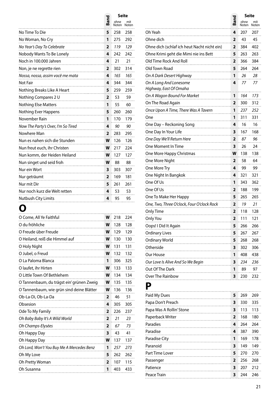|                                    | and            | Seite         |              |
|------------------------------------|----------------|---------------|--------------|
|                                    | ه              | ohne<br>Noten | mit<br>Noten |
| No Time To Die                     | 5              | 258           | 258          |
| No Woman, No Cry                   | 1              | 275           | 292          |
| No Year's Day To Celebrate<br>.    | $\overline{2}$ | 119           | 129          |
| Nobody Wants To Be Lonely          | 4              | 242           | 242          |
| Noch in 100.000 Jahren<br>.        | 4              | 21            | 21           |
| Non, je ne regrette rien           | $\overline{2}$ | 302           | 314          |
| Nossa, nossa, assim você me mata   | 4              | 165           | 165          |
| Not Fair                           | 4              | 344           | 344          |
| Nothing Breaks Like A Heart<br>.   | 5              | 259           | 259          |
| Nothing Compares 2 U<br>.          | 2              | 53            | 59           |
| <b>Nothing Else Matters</b><br>.   | 1              | 55            | 60           |
| Nothing Ever Happens               | 5              | 260           | 260          |
| November Rain                      | 1              | 170           | 179          |
| Now The Party's Over, I'm So Tired | 4              | 90            | 90           |
| Nowhere Man                        | $\overline{2}$ | 283           | 295          |
| Nun es nahen sich die Stunden      | W              | 126           | 126          |
| Nun freut euch, ihr Christen<br>.  | W              | 217           | 224          |
| Nun komm, der Heiden Heiland       | W              | 127           | 127          |
| Nun singet und seid froh           | W              | 88            | 88           |
| Nur ein Wort                       | 3              | 303           | 307          |
| Nur geträumt                       | $\overline{2}$ | 169           | 181          |
| Nur mit Dir<br>.                   | 5              | 261           | 261          |
| Nur noch kurz die Welt retten      | 4              | 53            | 53           |
| Nutbush City Limits                | 4              | 95            | 95           |

### **O**

| O Come, All Ye Faithful                   | W                       | 218 | 224 |
|-------------------------------------------|-------------------------|-----|-----|
| O du fröhliche                            | W                       | 128 | 128 |
| O Freude über Freude                      | W                       | 129 | 129 |
| O Heiland, reiß die Himmel auf            | W                       | 130 | 130 |
| O Holy Night                              | W                       | 131 | 131 |
| O Jubel, o Freud<br>.                     | W                       | 132 | 132 |
| O La Paloma Blanca                        | 1                       | 306 | 325 |
| O laufet, ihr Hirten                      | W                       | 133 | 133 |
| O Little Town Of Bethlehem                | W                       | 134 | 134 |
| O Tannenbaum, du trägst ein' grünen Zweig | W                       | 135 | 135 |
| O Tannenbaum, wie grün sind deine Blätter | W                       | 136 | 136 |
| Ob-La-Di, Ob-La-Da                        | $\overline{\mathbf{2}}$ | 46  | 51  |
| Obsesion                                  | 4                       | 305 | 305 |
| Ode To My Family                          | $\overline{\mathbf{2}}$ | 226 | 237 |
| Oh Baby Baby It's A Wild World            | $\overline{2}$          | 21  | 23  |
| Oh Champs-Elysées                         | $\overline{2}$          | 67  | 73  |
| Oh Happy Day<br>.                         | 3                       | 43  | 41  |
| Oh Happy Day                              | W                       | 137 | 137 |
| Oh Lord, Won't You Buy Me A Mercedes Benz | 1                       | 257 | 273 |
| Oh My Love                                | 5                       | 262 | 262 |
| Oh Pretty Woman                           | $\overline{\mathbf{2}}$ | 107 | 115 |
| Oh Susanna                                | 1                       | 403 | 433 |
|                                           |                         |     |     |

| ohne<br>mit<br>Noten<br>Noten<br>Oh Yeah<br>4<br>207<br>207<br>Ohne dich<br>2<br>43<br>45<br>Ohne dich (schlaf ich heut Nacht nicht ein)<br>2<br>384<br>402<br>Ohne Krimi geht die Mimi nie ins Bett<br>5<br>263<br>263<br>Old Time Rock And Roll<br>2<br>366<br>384<br>Old Town Road<br>5<br>264<br>264<br>On A Dark Desert Highway<br>1<br>26<br>28<br>On A Long And Lonesome<br>4<br>77<br>77<br>Highway, East Of Omaha<br>164<br>On A Wagon Bound For Market<br>173<br>1<br>On The Road Again<br>300<br>2<br>312<br>Once Upon A Time, There Was A<br>Tavern<br>1<br>237<br>252<br>One<br>1<br>311<br>331<br>One Day - Reckoning Song<br>4<br>16<br>16<br>One Day In Your Life<br>3<br>167<br>168<br>One Day We'll Return Here<br>2<br>87<br>96<br>3<br>24<br>One Moment In Time<br>26<br>w<br>One More Happy Christmas<br>138<br>138<br>One More Night<br>2<br>58<br>64<br>4<br>99<br>One More Try<br>99<br>One Night In Bangkok<br>4<br>321<br>321<br>One Of Us<br>1<br>343<br>362<br>One Of Us<br>$\overline{a}$<br>188<br>199<br>One To Make Her Happy<br>5<br>265<br>265<br>One, Two, Three O'clock, Four O'clock Rock<br>2<br>19<br>21<br>Only Time<br>2<br>118<br>128<br>Only You<br>2<br>111<br>121<br>Oops! I Did It Again<br>5<br>266<br>266<br><b>Ordinary Lives</b><br>5<br>267<br>267<br>Ordinary World<br>5<br>268<br>268<br>Otherside<br>3<br>302<br>306<br>Our House<br>1<br>408<br>438<br>Our Love Is Alive And So We Begin<br>3<br>234<br>236<br>Out Of The Dark<br>1<br>89<br>97<br>Over The Rainbow<br>230<br>232<br>з |      | Seite |  |
|-----------------------------------------------------------------------------------------------------------------------------------------------------------------------------------------------------------------------------------------------------------------------------------------------------------------------------------------------------------------------------------------------------------------------------------------------------------------------------------------------------------------------------------------------------------------------------------------------------------------------------------------------------------------------------------------------------------------------------------------------------------------------------------------------------------------------------------------------------------------------------------------------------------------------------------------------------------------------------------------------------------------------------------------------------------------------------------------------------------------------------------------------------------------------------------------------------------------------------------------------------------------------------------------------------------------------------------------------------------------------------------------------------------------------------------------------------------------------------------------------------------------------------------------------|------|-------|--|
|                                                                                                                                                                                                                                                                                                                                                                                                                                                                                                                                                                                                                                                                                                                                                                                                                                                                                                                                                                                                                                                                                                                                                                                                                                                                                                                                                                                                                                                                                                                                               | Band |       |  |
|                                                                                                                                                                                                                                                                                                                                                                                                                                                                                                                                                                                                                                                                                                                                                                                                                                                                                                                                                                                                                                                                                                                                                                                                                                                                                                                                                                                                                                                                                                                                               |      |       |  |
|                                                                                                                                                                                                                                                                                                                                                                                                                                                                                                                                                                                                                                                                                                                                                                                                                                                                                                                                                                                                                                                                                                                                                                                                                                                                                                                                                                                                                                                                                                                                               |      |       |  |
|                                                                                                                                                                                                                                                                                                                                                                                                                                                                                                                                                                                                                                                                                                                                                                                                                                                                                                                                                                                                                                                                                                                                                                                                                                                                                                                                                                                                                                                                                                                                               |      |       |  |
|                                                                                                                                                                                                                                                                                                                                                                                                                                                                                                                                                                                                                                                                                                                                                                                                                                                                                                                                                                                                                                                                                                                                                                                                                                                                                                                                                                                                                                                                                                                                               |      |       |  |
|                                                                                                                                                                                                                                                                                                                                                                                                                                                                                                                                                                                                                                                                                                                                                                                                                                                                                                                                                                                                                                                                                                                                                                                                                                                                                                                                                                                                                                                                                                                                               |      |       |  |
|                                                                                                                                                                                                                                                                                                                                                                                                                                                                                                                                                                                                                                                                                                                                                                                                                                                                                                                                                                                                                                                                                                                                                                                                                                                                                                                                                                                                                                                                                                                                               |      |       |  |
|                                                                                                                                                                                                                                                                                                                                                                                                                                                                                                                                                                                                                                                                                                                                                                                                                                                                                                                                                                                                                                                                                                                                                                                                                                                                                                                                                                                                                                                                                                                                               |      |       |  |
|                                                                                                                                                                                                                                                                                                                                                                                                                                                                                                                                                                                                                                                                                                                                                                                                                                                                                                                                                                                                                                                                                                                                                                                                                                                                                                                                                                                                                                                                                                                                               |      |       |  |
|                                                                                                                                                                                                                                                                                                                                                                                                                                                                                                                                                                                                                                                                                                                                                                                                                                                                                                                                                                                                                                                                                                                                                                                                                                                                                                                                                                                                                                                                                                                                               |      |       |  |
|                                                                                                                                                                                                                                                                                                                                                                                                                                                                                                                                                                                                                                                                                                                                                                                                                                                                                                                                                                                                                                                                                                                                                                                                                                                                                                                                                                                                                                                                                                                                               |      |       |  |
|                                                                                                                                                                                                                                                                                                                                                                                                                                                                                                                                                                                                                                                                                                                                                                                                                                                                                                                                                                                                                                                                                                                                                                                                                                                                                                                                                                                                                                                                                                                                               |      |       |  |
|                                                                                                                                                                                                                                                                                                                                                                                                                                                                                                                                                                                                                                                                                                                                                                                                                                                                                                                                                                                                                                                                                                                                                                                                                                                                                                                                                                                                                                                                                                                                               |      |       |  |
|                                                                                                                                                                                                                                                                                                                                                                                                                                                                                                                                                                                                                                                                                                                                                                                                                                                                                                                                                                                                                                                                                                                                                                                                                                                                                                                                                                                                                                                                                                                                               |      |       |  |
|                                                                                                                                                                                                                                                                                                                                                                                                                                                                                                                                                                                                                                                                                                                                                                                                                                                                                                                                                                                                                                                                                                                                                                                                                                                                                                                                                                                                                                                                                                                                               |      |       |  |
|                                                                                                                                                                                                                                                                                                                                                                                                                                                                                                                                                                                                                                                                                                                                                                                                                                                                                                                                                                                                                                                                                                                                                                                                                                                                                                                                                                                                                                                                                                                                               |      |       |  |
|                                                                                                                                                                                                                                                                                                                                                                                                                                                                                                                                                                                                                                                                                                                                                                                                                                                                                                                                                                                                                                                                                                                                                                                                                                                                                                                                                                                                                                                                                                                                               |      |       |  |
|                                                                                                                                                                                                                                                                                                                                                                                                                                                                                                                                                                                                                                                                                                                                                                                                                                                                                                                                                                                                                                                                                                                                                                                                                                                                                                                                                                                                                                                                                                                                               |      |       |  |
|                                                                                                                                                                                                                                                                                                                                                                                                                                                                                                                                                                                                                                                                                                                                                                                                                                                                                                                                                                                                                                                                                                                                                                                                                                                                                                                                                                                                                                                                                                                                               |      |       |  |
|                                                                                                                                                                                                                                                                                                                                                                                                                                                                                                                                                                                                                                                                                                                                                                                                                                                                                                                                                                                                                                                                                                                                                                                                                                                                                                                                                                                                                                                                                                                                               |      |       |  |
|                                                                                                                                                                                                                                                                                                                                                                                                                                                                                                                                                                                                                                                                                                                                                                                                                                                                                                                                                                                                                                                                                                                                                                                                                                                                                                                                                                                                                                                                                                                                               |      |       |  |
|                                                                                                                                                                                                                                                                                                                                                                                                                                                                                                                                                                                                                                                                                                                                                                                                                                                                                                                                                                                                                                                                                                                                                                                                                                                                                                                                                                                                                                                                                                                                               |      |       |  |
|                                                                                                                                                                                                                                                                                                                                                                                                                                                                                                                                                                                                                                                                                                                                                                                                                                                                                                                                                                                                                                                                                                                                                                                                                                                                                                                                                                                                                                                                                                                                               |      |       |  |
|                                                                                                                                                                                                                                                                                                                                                                                                                                                                                                                                                                                                                                                                                                                                                                                                                                                                                                                                                                                                                                                                                                                                                                                                                                                                                                                                                                                                                                                                                                                                               |      |       |  |
|                                                                                                                                                                                                                                                                                                                                                                                                                                                                                                                                                                                                                                                                                                                                                                                                                                                                                                                                                                                                                                                                                                                                                                                                                                                                                                                                                                                                                                                                                                                                               |      |       |  |
|                                                                                                                                                                                                                                                                                                                                                                                                                                                                                                                                                                                                                                                                                                                                                                                                                                                                                                                                                                                                                                                                                                                                                                                                                                                                                                                                                                                                                                                                                                                                               |      |       |  |
|                                                                                                                                                                                                                                                                                                                                                                                                                                                                                                                                                                                                                                                                                                                                                                                                                                                                                                                                                                                                                                                                                                                                                                                                                                                                                                                                                                                                                                                                                                                                               |      |       |  |
|                                                                                                                                                                                                                                                                                                                                                                                                                                                                                                                                                                                                                                                                                                                                                                                                                                                                                                                                                                                                                                                                                                                                                                                                                                                                                                                                                                                                                                                                                                                                               |      |       |  |
|                                                                                                                                                                                                                                                                                                                                                                                                                                                                                                                                                                                                                                                                                                                                                                                                                                                                                                                                                                                                                                                                                                                                                                                                                                                                                                                                                                                                                                                                                                                                               |      |       |  |
|                                                                                                                                                                                                                                                                                                                                                                                                                                                                                                                                                                                                                                                                                                                                                                                                                                                                                                                                                                                                                                                                                                                                                                                                                                                                                                                                                                                                                                                                                                                                               |      |       |  |
|                                                                                                                                                                                                                                                                                                                                                                                                                                                                                                                                                                                                                                                                                                                                                                                                                                                                                                                                                                                                                                                                                                                                                                                                                                                                                                                                                                                                                                                                                                                                               |      |       |  |
|                                                                                                                                                                                                                                                                                                                                                                                                                                                                                                                                                                                                                                                                                                                                                                                                                                                                                                                                                                                                                                                                                                                                                                                                                                                                                                                                                                                                                                                                                                                                               |      |       |  |
|                                                                                                                                                                                                                                                                                                                                                                                                                                                                                                                                                                                                                                                                                                                                                                                                                                                                                                                                                                                                                                                                                                                                                                                                                                                                                                                                                                                                                                                                                                                                               |      |       |  |
|                                                                                                                                                                                                                                                                                                                                                                                                                                                                                                                                                                                                                                                                                                                                                                                                                                                                                                                                                                                                                                                                                                                                                                                                                                                                                                                                                                                                                                                                                                                                               |      |       |  |
|                                                                                                                                                                                                                                                                                                                                                                                                                                                                                                                                                                                                                                                                                                                                                                                                                                                                                                                                                                                                                                                                                                                                                                                                                                                                                                                                                                                                                                                                                                                                               |      |       |  |

### **P**

| Paid My Dues             |                         | 5 269 269 |  |
|--------------------------|-------------------------|-----------|--|
| Papa Don't Preach        | $\overline{\mathbf{3}}$ | 330 335   |  |
| Papa Was A Rollin' Stone | 3                       | 113 113   |  |
| Paperback Writer         | $\mathbf{2}$            | 168 180   |  |
| Paradies                 |                         | 4 264 264 |  |
| Paradise                 |                         | 4 387 390 |  |
| Paradise City            | 1                       | 169 178   |  |
| Paranoid                 | $\overline{\mathbf{3}}$ | 149 149   |  |
| Part Time Lover          |                         | 5 270 270 |  |
| Passenger                |                         | 2 256 268 |  |
| Patience                 | $\overline{\mathbf{3}}$ | 207 212   |  |
| Peace Train              |                         | 3 244 246 |  |
|                          |                         |           |  |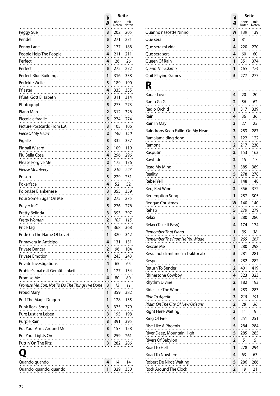|                                                 |                     | Seite              |                  |
|-------------------------------------------------|---------------------|--------------------|------------------|
|                                                 | Band                | ohne<br>Note       | mit<br>Noten     |
| Peggy Sue                                       | 3                   | 202                | 205              |
| Pendel                                          | 5                   | 271                | 271              |
| Penny Lane                                      | 2                   | 177                | 188              |
| People Help The People                          | 4                   | 211                | 211              |
| Perfect                                         | 4                   | 26                 | 26               |
| Perfect                                         | 5                   | 272                | 272              |
| Perfect Blue Buildin                            | 1                   | 316                | 338              |
| Perfekte Welle                                  | 3                   | 189                | 190              |
| Pflaster                                        | 4                   | 335                | 335              |
| Pfüati Gott Elisabeth                           | 3                   | 31 1               | 314              |
| Photograph                                      | 5                   | 273                | 273              |
| Piano Man                                       | 2                   | $\frac{312}{1111}$ | $\frac{326}{11}$ |
| Piccola e fragile                               | 5                   | 274                | 274              |
| Picture Postcards From                          | 3                   | 105                | 106              |
| Piece Of My Heart                               | 2                   | 140                | 150              |
| Pigalle                                         | 3                   | 332                | 337              |
| Pinball Wizard                                  | 2                   | 109                | 119              |
| Più Bella Cosa                                  | 4                   | 296                | 296              |
| Please Forgive Me                               | 2                   | 172                | 176              |
| Please Mrs. Avery                               | 2                   | 210                | 223              |
| Poison                                          | 3                   | 229                | 231              |
| Pokerface                                       | 4                   | $\frac{52}{11}$    | $\frac{52}{11}$  |
| Polonäse Blankenese                             | 3                   | 355                | 359              |
| Pour Some Sugar On Me                           | 5                   | 275                | 275              |
| Prayer In C                                     | 5                   | 276                | 276              |
| Pretty Belinda                                  | 3                   | 393                | 397              |
| Pretty Woman                                    | $\ddot{ }$          | 107                | 115              |
| Price Tag                                       | 4                   | 368                | 368              |
| Pride (In The Name Of Love)                     | 1                   | 320                | 342              |
| Primavera In Anticipo                           | 4                   | 131                | 131              |
| Private Dancer                                  | 2                   | 96                 | 104              |
| <b>Private Emotion</b>                          | 4                   | 243                | 243              |
| Private Investigations                          | 4                   | 65                 | 65               |
| Probier's mal mit Gemü                          | 1                   | 127                | 134              |
| Promise Me                                      | 4                   | 80                 | 80               |
| Promise Me, Son, Not To Do The Things I've Done | 3                   | 13                 | 11               |
| Proud Mary                                      | 1                   | 359                | 382              |
| Puff The Magic Dragon                           | 1                   | 128                | 135              |
| Punk Rock Song                                  | 3                   | 375                | 379              |
| Pure Lust am Leben                              | з                   | 195                | 198              |
| Purple Rain                                     | з                   | 391                | 395              |
| Put Your Arms Around Me<br>.                    | з                   | 157                | 158              |
| Put Your Lights On                              | $\ddot{\mathbf{3}}$ | 259                | 261              |
| Puttin' On The Ritz<br>.                        | $\ddot{}}$          | 282                | 286              |
|                                                 |                     |                    |                  |
| Quando quando                                   | 4                   | 14                 | 14               |
| Quando, quando, quando                          |                     | 329                | 350              |

|                                             |      | <b>Seite</b>            |  |  |
|---------------------------------------------|------|-------------------------|--|--|
|                                             | Band | ohne mit<br>Noten Noten |  |  |
| Quanno nascette Ninno<br>W 1                |      | W 139 139               |  |  |
| Oue será                                    |      |                         |  |  |
| Que sera mi vida<br>$4 \overline{)220}$ 220 |      |                         |  |  |
| Que sera sera<br>a 4 60 60                  |      |                         |  |  |
|                                             |      | 351 374                 |  |  |
| Quinn The Eskimo<br>no 1 165 174            |      |                         |  |  |
| Quit Playing Games<br>es 5 277 277          |      |                         |  |  |
|                                             |      |                         |  |  |

### **R**

| Radar Love                             | 4                       | 20  | 20  |
|----------------------------------------|-------------------------|-----|-----|
| Radio Ga Ga                            | 2                       | 56  | 62  |
| Radio Orchid                           | 1                       | 317 | 339 |
| Rain                                   | 4                       | 36  | 36  |
| Rain In May                            | 3                       | 27  | 25  |
| Raindrops Keep Fallin' On My Head      | 3                       | 283 | 287 |
| Ramalama ding dong                     | 3                       | 122 | 122 |
| Ramona                                 | 2                       | 217 | 230 |
| Rasputin                               | $\overline{a}$          | 153 | 163 |
| Rawhide                                | 2                       | 15  | 17  |
| Read My Mind                           | 3                       | 385 | 389 |
| Reality                                | 5                       | 278 | 278 |
| Rebel Yell                             | 3                       | 148 | 148 |
| Red, Red Wine                          | 2                       | 356 | 372 |
| Redemption Song                        | 1                       | 287 | 305 |
| Reggae Christmas                       | W                       | 140 | 140 |
| Rehab                                  | 5                       | 279 | 279 |
| Relax                                  | 5                       | 280 | 280 |
| Relax (Take It Easy)                   | 4                       | 174 | 174 |
| Remember That Piano                    | 1                       | 35  | 38  |
| Remember The Promise You Made          | 3                       | 265 | 267 |
| Rescue Me                              | 1                       | 280 | 298 |
| Resi, i hol di mit mei′m<br>Traktor ab | 5                       | 281 | 281 |
| Respect                                | 5                       | 282 | 282 |
| Return To Sender                       | $\overline{a}$          | 401 | 419 |
| Rhinestone Cowboy                      | 4                       | 323 | 323 |
| Rhythm Divine                          | 2                       | 182 | 193 |
| Ride Like The Wind                     | 5                       | 283 | 283 |
| Ride To Agadir                         | $\overline{\mathbf{3}}$ | 218 | 191 |
| Ridin' On The City Of New Orleans      | 2                       | 28  | 30  |
| Right Here Waiting                     | 3                       | 11  | 9   |
| Ring Of Fire                           | 4                       | 251 | 251 |
| Rise Like A Phoenix                    | 5                       | 284 | 284 |
| River Deep, Mountain High              | 5                       | 285 | 285 |
| Rivers Of Babylon                      | 2                       | 5   | 5   |
| Road To Hell                           | 1                       | 278 | 294 |
| Road To Nowhere                        | 4                       | 63  | 63  |
| Robert De Niro's Waiting               | 5                       | 286 | 286 |
| Rock Around The Clock                  | 2                       | 19  | 21  |
|                                        |                         |     |     |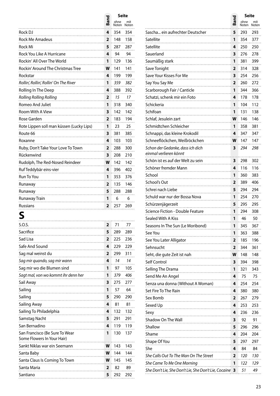|                                             |            | Seite           |                 |
|---------------------------------------------|------------|-----------------|-----------------|
|                                             | Band       | ohne<br>Noten   | mit<br>Noten    |
| Rock DJ                                     | 4          | 354             | 354             |
| Rock Me Amadeus                             | 2          | 148             | 158             |
| Rock Mi                                     | 5          | 287             | 287             |
| Rock You Like A Hurricane                   | 4          | 94              | 94              |
| Rockin' All Over The World                  | 1          | 129             | 136             |
| Rockin' Around The Christmas Tree           | W          | 141             | 141             |
| Rockstar                                    | 4          | 199             | 199             |
| Rollin', Rollin', Rollin' On The River      | 1          | 359             | 382             |
| Rolling In The Deep                         | 4          | 388             | 392             |
| Rolling Rolling Rolling                     | $\ddot{ }$ | 15              | 17              |
| Romeo And Juliet                            | 1          | 318             | 340             |
| Room With A View                            | 3          | 142             | 142             |
| Rose Garden                                 | 2          | 183             | 194             |
| Rote Lippen soll man küssen<br>(Lucky Lips) | 1          | 23              | 25              |
| Route 66                                    | 3          | 381             | 385             |
| Roxanne                                     | 4          | 103             | 103             |
| Ruby, Don't Take Your L<br>ove To.<br>Town  | 2          | 288             | 300             |
| Rückenwind                                  | 3          | 208             | 210             |
| Rudolph, The Red-Nosed Reindeer             | W          | 142             | 142             |
| Ruf Teddybär eins-vier                      | 4          | 396             | 402             |
| Run To You                                  | 1          | 353             | 376             |
| Runaway                                     | 2          | 135             | 146             |
| Runaway                                     | 5          | 288             | 288             |
| Runaway Train                               | 1          | 6               | 6               |
| Russians                                    | 2          | 257             | 269             |
|                                             |            |                 |                 |
| S                                           |            |                 |                 |
| S.O.S.                                      | 2          | 71              | 77              |
| Sacrifice                                   | 5          | 289             | 289             |
| Sad Lisa                                    | 2          | 225             | 236             |
| Safe And Sound                              | 4          | 229             | 229             |
| Sag mal weinst du                           | 2          | 299             | 311             |
| Sag mir quando, sag mir wann                | 4          | 14              | 14              |
| Sag mir wo die Blumen sind                  | 1          | 97              | 105             |
| Sagt mal, von wo kommt ihr denn her         | 1          | 379             | 406             |
| Sail Away                                   | 3          | 275             | 277             |
| Sailing                                     | 1          | 57              | 64              |
| Sailing                                     | 5          | 290             | 290             |
| Sailing Away                                | 4          | 81              | 81              |
| Sailing To Philadelphia<br>                 |            | 132             | 132             |
| Samstag Nacht                               | 5          | 291             | 291             |
| San Bernadino                               | 4          | 119             | 119             |
| San Francisco (Be Sure To Wear              | 1          | 130             | 137             |
| Some Flowers In Your Hair)                  |            |                 | .               |
| Sankt Niklas war ein Seemann                | W          | 143             | 143             |
| Santa Baby                                  | W          | 144             | 144<br>.        |
| Santa Claus Is Coming To Town               | W          | 145             | 145<br>$\cdots$ |
| Santa Maria                                 | 2<br>.     | 82<br>$\ddotsc$ | 89              |
| Santiano                                    | 5          | 292             | 292             |

|                                                             |                | Seite                         |
|-------------------------------------------------------------|----------------|-------------------------------|
|                                                             |                | ohne<br>mit<br>Noten<br>Noten |
| ein aufrechter Deutscher<br>Sascha.                         | 5              | 293<br>293                    |
| Satellite                                                   | 1              | 354<br>377                    |
| Satellite                                                   | 4              | 250<br>250                    |
| Sauerland                                                   | 3              | 276<br>278                    |
| Saumäßig stark                                              | 1              | 381<br>399                    |
| Save Tonight                                                | 2              | 314<br>328                    |
| Save Your Kisses For                                        | 3              | 254<br>256                    |
| Say You Say Me                                              | 2              | 260<br>272                    |
| Scarborough Fair / Canticle                                 | 1              | 344<br>366                    |
| Schatzi, schenk mir ein Foto                                | 4              | 178<br>178                    |
| Schickeria                                                  | 1              | 104<br>112                    |
| Schifoan                                                    | 1              | 131<br>138                    |
| Schlaf, Jesulein zart                                       | w              | 146<br>146                    |
| Schmidtchen Schleicher                                      | 1              | 358<br>381                    |
| Schnappi, das kleine Krokodil                               | 4              | 347<br>347                    |
| Schneeflöckchen, Weißröckchen                               | W              | 147<br>147                    |
| Schon der Gedanke, dass ich dich                            | 3              | 294<br>298                    |
| einmal verlieren könnt<br>Schön ist es auf der Welt zu sein |                |                               |
| Schöner fremder Mann                                        | з<br>4         | 298<br>302<br>116             |
| School                                                      |                | 116                           |
|                                                             | 1              | 360<br>383                    |
| School's Out                                                | 2              | 389<br>406                    |
| Schrei nach Liebe                                           | 5              | 294<br>294                    |
| Schuld war nur der Bossa Nova                               | 1              | 254<br>270                    |
| Schürzenjägerzeit                                           | 5              | 295<br>295                    |
| Science Fiction - Doub                                      | 1              | 294<br>308                    |
| Sealed With A Kiss                                          | 1              | 50<br>46                      |
| Seasons In The Sun (Le Moribond)                            | 1              | 345<br>367                    |
| See You                                                     | 1<br>2         | 363<br>388                    |
| See You Later Alligator<br>Sehnsucht                        |                | 185<br>196<br>344             |
|                                                             | 2<br>w         | 361<br>148<br>148             |
| Seht, die gute Zeit ist nah<br>Self Control                 | з              | 394<br>398                    |
| Selling The Drama                                           | 1              | 321<br>343                    |
| Send Me An Angel                                            | 4              |                               |
| 'oman)                                                      | 4              | 75<br>75<br>254<br>254        |
| Senza una donna (Without A<br>Set Fire To The Rain          | 4              | 380<br>380                    |
| Sex Bomb                                                    | 2              | 267<br>279                    |
| Sexed Up                                                    | 4              | 253<br>253                    |
| Sexy                                                        | 4              | 236<br>236                    |
| Shadow On The Wall                                          | 3              | 92<br>91                      |
| Shallow                                                     | 5              | 296<br>296                    |
| Shame                                                       | 4              | 204<br>204                    |
| Shape Of You                                                | 5              | 297<br>297                    |
| She                                                         | $\ddotsc$<br>4 | 84<br>84                      |
| She Calls Out To The Man On The Street                      | 2              | 120<br>130                    |
| She Came To Me One Morning                                  | 1              | 129<br>122                    |
| She Don't Lie, She Don't Lie, She Don't Lie, Cocaine        | 3              | 51<br>49                      |
|                                                             |                | .                             |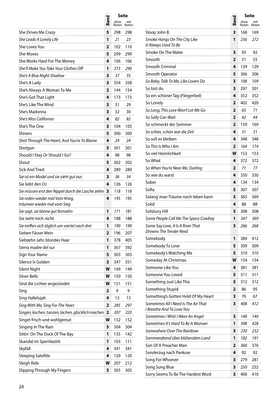|                                                                                 |                          | Seite          |                      |
|---------------------------------------------------------------------------------|--------------------------|----------------|----------------------|
|                                                                                 | Ban                      | ohne<br>Noter  | mit<br>Noten         |
| She Drives Me Crazy                                                             | 5                        | 298            | 298                  |
| She Leads A Lonely Life                                                         | 1                        | 21             | 23                   |
| She Loves You                                                                   | 2                        | 102            | 110                  |
|                                                                                 |                          |                |                      |
| She Moves                                                                       | 5                        | 299            | 299                  |
| She Works Hard For The Money                                                    | 4                        | 106            | 106                  |
| She'll Make You Take Your Clothes Off                                           | 1                        | 273            | 290                  |
| She's A Blue Night Shadow                                                       | $\ddot{\mathbf{3}}$      | 37             | 35                   |
| She's A Lady                                                                    | з                        | 354            | 358                  |
| She's Always A Woman To Me                                                      | $\overline{a}$           | 144            | 154                  |
| She's Got That Light                                                            | 4                        | 173            | 173                  |
| She's Like The Wind                                                             | $\ddot{\phantom{0}}$     | $\frac{31}{1}$ | 29                   |
| She's Madonna                                                                   | 3                        | 32             | 30                   |
| She's Miss California                                                           | 4                        | 82             | 82                   |
| She's The One                                                                   | 3                        | 104            | 105                  |
| Shivers                                                                         | 5                        | 300            | 300                  |
| Shot Through The Heart, And You're To Blame                                     | 4                        | 24             | 24                   |
| Shotgun                                                                         | 5                        | 301            | 301                  |
| Should I Stay Or Should I Go?                                                   | 4                        | 98             | 98                   |
| Shout                                                                           | 5                        | 302            | 302                  |
| <b>Sick And Tired</b>                                                           | 4                        | 289            | 289                  |
| Sie ist ein Model und sie sieht qut aus                                         | 3                        | 36             | 34                   |
| Sie liebt den DJ                                                                | 4                        | 126            | 126                  |
| Sie müssen erst den Nippel durch die Lasche ziehn                               | 3                        | 118            | 118                  |
| Sie reden wieder mal Vom Krieg,                                                 | 4                        | 195            | 195                  |
| träumen wieder mal vom Sieg                                                     |                          |                |                      |
| Sie sagt, sie könne gut fernsehn                                                | 1                        | 171            | 181                  |
| Sie sieht mich nicht                                                            | 4                        | 188            | 188                  |
| viertel nach drei<br>Sie treffen sich täglich um                                | $\frac{1}{\cdot}$        | 190            | 199                  |
| Sieben Fässer Wein                                                              | 2                        | 196            | 207                  |
| Siebzehn Jahr, blondes Haar                                                     | 1                        | 378            | 405                  |
| Sierra madre del sur                                                            | 1                        | 367            | 392                  |
| Sign Your Name                                                                  | $\overline{\mathbf{5}}$  | 303            | 303                  |
| Silence Is Golden                                                               | 3                        | 347            | 351                  |
| Silent Night                                                                    | w                        | 149            | 149                  |
| Silver Bells                                                                    | W                        | 150            | 150                  |
| Sind die Lichter angezündet                                                     | W                        | 151            | 151                  |
| Sing                                                                            | 2                        | 9              | 9                    |
| Sing Hallelujah                                                                 | 4                        | 13             | 13                   |
| Sing With Me, Sing For The Years                                                | 2                        | 285            | 297                  |
|                                                                                 | 2                        | 207            | 220                  |
| Singen, kochen, tanzen, lachen, glücklich machen<br>Singet frisch und wohlgemut | w                        | 152            | . <del></del><br>152 |
| Singing In The Rain                                                             |                          |                | 304                  |
| Sittin' On The Dock Of The Bay                                                  | $\overline{\phantom{a}}$ | 304            | 142                  |
|                                                                                 | 1                        | 135            |                      |
| Skandal im Sperrbezirk                                                          | 1                        | 103            | 111                  |
| Skyfall                                                                         | 4                        | 341            | 341                  |
| Sleeping Satellite                                                              | 4                        | 120            | 120                  |
| Sleigh Ride                                                                     | W                        | 207            | 212                  |
| Slipping Through My Fingers                                                     | $\frac{5}{2}$            | 305            | 305                  |

|                                      |                         | Seite         |              |
|--------------------------------------|-------------------------|---------------|--------------|
|                                      | Band                    | ohne<br>Noter | mit<br>Noten |
| Sloop John B.                        | 3                       | 168           | 169          |
| Smoke Hangs On The City Like         | 1                       | 256           | 272          |
| It Always Used To Be                 |                         |               |              |
| Smoke On The Water                   | 3                       | 93            | 92           |
| Smooth                               | 2                       | 51            | 55           |
| Smooth Criminal                      | 4                       | 129           | 129          |
| Smooth Operator                      | 5                       | 306           | 306          |
| So Baby, Talk To Me, Like Lovers Do  | 3                       | 108           | 109          |
| So bist du                           | 3                       | 297           | 301          |
| So ein schöner Tag (Fliegerlied)     | 4                       | 352           | 352          |
| So Lonely                            | 2                       | 402           | 420          |
| So Long, This Love Won't Let Me Go   | 2                       | 65            | 71           |
| So Sally Can Wait                    | 2                       | 42            | 44           |
| So schmeckt der Somme                | 2                       | 159           | 169          |
| So schön, schön war die Zeit         | 4                       | 31            | 31           |
|                                      |                         |               |              |
| So soll es bleiben                   | 4                       | 348           | 348          |
| So This Is Who I Am                  | 2                       | 164           | 174          |
| So viel Heimlichkeit                 | W                       | 153           | 153          |
| So What                              | 4                       | 372           | 372          |
| So When You're Near Me, Darling      | 2                       | 71            | 77           |
| So wie du warst                      | 4                       | 350           | 350          |
| Sober                                | 4                       | 134           | 134          |
| Sofia                                | 5                       | 307           | 307          |
| Solang' man                          | 3                       | 365           | 369          |
| Solid                                | 4                       | 88            | 88           |
| Solsbury Hill                        | 5                       | 308           | 308          |
| Some People Call Me The Space Cowboy | 1                       | 347           | 369          |
| Some Say Love, It Is A River That    | з                       | 266           | 268          |
| Drowns The Tender Reed               |                         |               |              |
| Somebody                             | 1                       | 384           | 412          |
| Somebody To Love                     | 5                       | 309           | 309          |
| Somebody's Watching Me               | 5                       | 310           | 310          |
| Someday At Christmas                 | w                       | 154           | 154          |
| Someone Like You                     | 4                       | 381           | 381          |
| Someone You Loved                    | 5                       | 311           | 311          |
| Something Just Like This             | 5                       | 312           | 312          |
| Something Stupid                     | $\overline{\mathbf{c}}$ | 86            | 95           |
| Something's Gotten Hold Of My Heart  | 3                       | 70            | 67           |
| Sometimes All I Need Is The Air That | 3                       | 408           | 412          |
| I Breathe And To Love You            |                         |               |              |
| Sometimes I Wish I Were An Angel     | з                       | 140           | 140          |
| Sometimes It's Hard To Be A Woman    | 1                       | 398           | 428          |
| Somewhere Over The Rainbow           | 3                       | 230           | 232          |
| Sommerabend über blühendem Land      | 1                       | 182           | 191          |
| Son Of A Preacher Man<br>.           | 2                       | 360           | 376          |
| Sonderzug nach Pankow                | 4                       | 92            | 92           |
| Song For Whoever                     | 3                       | 279           | 281          |
| Song Sung Blue                       | З                       | 250           | 252          |
| Sorry Seems To Be The Hardest Word   | 3                       | 406           | 410          |
|                                      |                         |               |              |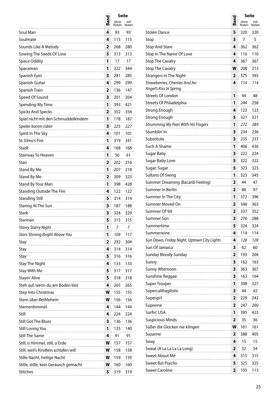|                                       |                      | Seite                         |
|---------------------------------------|----------------------|-------------------------------|
|                                       | Band                 | ohne<br>mit<br>Note<br>Noten  |
| Soul Man                              | 4                    | 93<br>93                      |
| Soulmate                              | 4                    | 115<br>115                    |
| Sounds Like A Melody                  | 2                    | 280<br>268                    |
| Sowing The Seeds Of Love              | 5                    | 313<br>$\frac{313}{111}$      |
| Space Oddity                          | 1                    | 17<br>17                      |
| Spaceman                              | <u>1</u>             | $\frac{322}{1}$<br>344        |
| Spanish Eyes                          | 3                    | 281<br>285                    |
| Spanish Guitar                        | 4                    | 299<br>299                    |
| Spanish Train                         | $\overline{a}$       | 136<br>147                    |
| Speed Of Sound                        | $\ddot{\phantom{1}}$ | 201<br>204                    |
| Spending My Time                      | <u>1</u>             | 421<br>393                    |
| Spicks And Specks                     | 2                    | 354                           |
| Spiel nicht mit den Schn              | 1                    | $\frac{352}{2}$<br>178<br>187 |
| Spieler komm rüber                    |                      | 227<br>225                    |
|                                       | 3<br>4               | 101                           |
| Spirit In The Sky                     | 1                    | 101<br>341                    |
| St. Elmo's Fire                       | 4                    | 319                           |
| Stadt                                 | 1                    | 168<br>168<br>61              |
| Stairway To Heaven                    |                      | 56                            |
| Stan                                  | 2<br>1               | 202<br>216<br>218             |
| Stand By Me                           |                      | 207                           |
| Stand By Me                           | 2                    | 309<br>323                    |
| Stand By Your Man                     | 1                    | 398<br>428                    |
| <b>Standing Outside The Fire</b>      | 4                    | 122<br>122                    |
| Standing Still                        | 5                    | 314<br>314                    |
| Staring At The Sun                    | 3                    | 187<br>188                    |
| Stark                                 | 3                    | 324<br>329                    |
| Starman                               | 5                    | 315<br>315                    |
| Starry Starry Night                   | 1                    | 7<br>7                        |
| Stars Shining Bright Above You        | 1                    | 109<br>117                    |
| Stay                                  | 2                    | 292<br>304                    |
| Stay                                  | 4                    | 314<br>314                    |
| Stay                                  | $\frac{5}{1}$        | 316<br>316                    |
| Stay The Night                        | 4                    | 133<br>133                    |
| Stay With Me                          | 5                    | 317<br>317                    |
| Stayin' Alive                         | 5                    | 318<br>318                    |
| Steh auf, wenn du am Boden bist       | 4                    | 265<br>265                    |
| Step Into Christmas                   | W                    | 155<br>155                    |
| Stern über Bethlehem                  | W                    | 156<br>156                    |
| Sternenhimmel                         | 4                    | 144<br>144                    |
| Still                                 | 4                    | 224<br>224                    |
| Still Got The Blues                   | з                    | 136<br>136                    |
| Still Loving You<br>.                 | 1                    | 133<br>140                    |
| Still The Same<br>.                   | 4                    | 91<br>91                      |
| Still, o Himmel, still, o Erde        | W                    | 157<br>157                    |
| Still, weil's Kindlein schlafen will  | W                    | 158<br>158                    |
| Stille Nacht, heilige Nacht           | W                    | 159<br>159                    |
| Stille, stille, kein Geräusch gemacht | W                    | 160<br>160                    |
| Stitches                              | $\frac{5}{10}$       | 319<br>319                    |

|                                                         |                      | Seite         |                 |
|---------------------------------------------------------|----------------------|---------------|-----------------|
|                                                         | Band                 | ohne<br>Noter | mit<br>Noten    |
| Stolen Dance                                            | 5                    | 320           | 320             |
| Stop                                                    | 3                    | 7             | $\overline{5}$  |
| <b>Stop And Stare</b>                                   | 4                    | 362           | 362             |
| Stop In The Name Of Love                                | 4                    | 110           | 110             |
| Stop The Cavalry                                        | 4                    | 367           | 367             |
| Stop The Cavalry                                        | W                    | 208           | 213             |
| Strangers In The Night                                  | 2                    | 375           | 393             |
| Strawberries, Cherries And An<br>Angel's Kiss In Spring | 4                    | 114           | 114             |
| Streets Of London                                       | 1                    | 44            | 48              |
| <b>Streets Of Philadelphia</b>                          | 1                    | 244           | 258             |
| Strong Enough                                           | 4                    | 123           | 123             |
| Strong Enough                                           | 5                    | 321           | 321             |
| Strumming My Pain With His Fingers                      | 1                    | 272           | 289             |
| Stumblin' In                                            | 3                    | 234           | 236             |
| Substitute                                              | 3                    | 235           | 237             |
| Such A Shame                                            | 1                    | 406           | 436             |
| Sugar Baby                                              | 3                    | 222           | 224             |
| Sugar Baby Love                                         | 5                    | 322           | 322             |
| Sugar, Sugar                                            | 5                    | 323           | 323             |
| Sultans Of Swing                                        | 1                    | 323           | $\frac{345}{2}$ |
| Summer Dreaming (Bacaro                                 | 2                    | 44            | 47              |
| Summer In Berlin                                        | 2                    | 88            | 97              |
| Summer In The City                                      | 1                    | 372           | 396             |
| Summer Moved On                                         | 2                    | 346           | 363             |
| Summer Of '69                                           | 2                    | 337           | 352             |
| Summer Son                                              | 2                    | 276           | 288             |
| Summertime                                              | 5                    | 324           | 324             |
| Summerwine                                              | 4                    | 114           | 114             |
| Sun Down, Friday Night,                                 | 4                    | 128           | 128             |
| Sun Of Jamaica                                          | $\ddot{\phantom{0}}$ | 62            | 60              |
| Sunday Bloody Sunda <sub>)</sub>                        | 2                    | 193           | 204             |
| Sunny                                                   | 3                    | 162           | 163             |
| Sunny Afternoon                                         | 3                    | 363           | 367             |
| Sunshine Reggae                                         | 3                    | 163           | 164             |
| Super Trouper                                           | 1                    | 308           | 327             |
| Supercalifragilistic                                    | 3                    | 44            | 42              |
| Supergirl                                               | 2                    | 229           | 242             |
| Supreme                                                 | 2                    | 247           | 260             |
| Surfin' USA                                             | 1                    | 395 423       |                 |
| Suspicious Minds                                        | 2                    | 35<br>.       | 36              |
| Süßer die Glocken nie klingen                           | W                    | 161           | 161             |
| Suzanne<br>                                             | $\mathbf{2}$         | 388 405<br>.  | .               |
| Sway<br>                                                | 4<br>.               | $15$ 15       |                 |
| Sweat (A La La La La Long)<br>.                         |                      | $2 \t32 \t34$ |                 |
| Sweet About Me<br>.                                     | 4                    | 315 315       |                 |
| Sweet But Psycho                                        | 5                    | 325           | 325             |
| Sweet Caroline                                          | $\overline{2}$       | 105           | 113             |
|                                                         |                      |               |                 |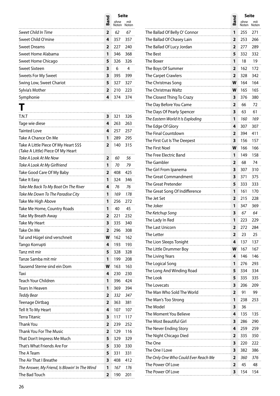|                                               |                         | Seite           |               |
|-----------------------------------------------|-------------------------|-----------------|---------------|
|                                               | Band                    | ohne<br>Noten   | mit<br>Noten  |
| Sweet Child In Time                           | 2                       | 62              |               |
| Sweet Child O'mine                            | 4                       | 357             | 67<br><br>357 |
| Sweet Dreams                                  | 2                       | 227             | 240           |
| Sweet Home Alabama                            | 1                       | 346             | 368           |
| Sweet Home Chicago                            | 5                       | 326             | 326           |
| Sweet Sixteen                                 | 3                       | 6               | $\frac{4}{1}$ |
| Sweets For My Sweet                           | $\ddot{\mathbf{3}}$     | 395             | 399           |
| Swing Low, Sweet Chariot                      | 5                       | 327             | 327           |
| Sylvia's Mother                               | 2                       | 210             | 223           |
| Symphonie                                     | 4                       | 374             | 374           |
|                                               |                         |                 |               |
|                                               |                         |                 |               |
| T.N.T                                         | 3                       | 321             | 326           |
| Tage wie diese                                | 4                       | 263             | 263           |
| <b>Tainted Love</b>                           | 4                       | 257             | 257           |
| Take A Chance On Me                           | 1                       | 289             | 295           |
| Take A Little Piece Of My Heart \$\$\$        | 2                       | 140             | 315           |
| (Take A Little) Piece Of My Heart             |                         |                 |               |
| Take A Look At Me Now                         | 2                       | 60              | 56            |
| Take A Look At My Girlfriend                  | 1                       | 70              | 79            |
| Take Good Care Of My Baby                     | 2                       | 408             | 425           |
| Take It Easy                                  | 1                       | 324             | 346           |
| Take Me Back To My Boat On The River          | 4                       | 76              | 76            |
| Take Me Down To The Paradise City             | 1                       | 169             | 178           |
| Take Me High Above                            | 1                       | 256             | 272           |
| Take Me Home, Country Roads                   | 1                       | 40              | 45            |
| Take My Breath Away                           | $\overline{a}$          | 221             | 232           |
| Take My Heart                                 | 3                       | $\frac{335}{2}$ | 340           |
| Take On Me                                    | 2                       | 296             | 308           |
| Tal und Hügel sind verschneit                 | W                       | 162             | 162           |
| Tango Korrupti                                | 4                       | 193             | 193           |
| Tanz mit mir                                  | $\overline{\mathbf{5}}$ | 328             | 328           |
| Tanze Samba mit mir                           | 1                       | 199             | 208           |
| Tausend Sterne sind ein Dom                   | W                       | 163             | 163           |
| Taxi                                          | 4                       | 230             | 230           |
| Teach Your Children                           | 1                       | 396             | 424           |
| Tears In Heaven                               | 1                       | 369             | 394           |
| Teddy Bear                                    | $\ddot{ }$              | 332             | 347           |
| Teenage Dirtbag                               | 2                       | 363             | 381           |
| Tell It To My Heart                           | 4                       | 107             | 107           |
| Terra Titanic                                 | З                       | 117             | 117           |
| Thank You<br>.                                | 2                       | 239             | 252           |
| Thank You For The Music<br>.                  | 2                       | 129             | 116           |
| That Don't Impress Me Much                    | 5                       | 329             | 329           |
| That's What Friends Are For                   | 5                       | 330             | 330           |
| The A Team                                    | 5                       | 331             | 331           |
| The Air That I Breathe                        | з                       | 408             | 412           |
| The Answer, My Friend, Is Blowin' In The Wind | 1                       | 167             | 176           |
| The Bad Touch                                 | 2                       | 190             | 201           |

|                                          |                           | Seite         |              |
|------------------------------------------|---------------------------|---------------|--------------|
|                                          | Band                      | ohne<br>Noter | mit<br>Noten |
| The Ballad Of Belly O' Connor            | 1                         | 255           | 271          |
| The Ballad Of Chasey Lain                | 2                         | 253           | 266          |
| The Ballad Of Lucy Jordan                | 2                         | 277           | 289          |
| The Best                                 |                           | 332           | 332          |
| The Boxer                                | 5<br>1                    | 18            | 19           |
|                                          |                           |               |              |
| The Boys Of Summer                       | 2                         | 162           | 172          |
| The Carpet Crawlers                      | 2                         | 328           | 342          |
| The Christmas Song                       | W                         | 164           | 164          |
| The Christmas Waltz                      | W                         | 165           | 165          |
| The Closest Thing To Crazy               | 3                         | 376           | 380          |
| The Day Before You Came                  | 2                         | 66            | 72           |
| The Days Of Pearly Spencer               | 3                         | 63            | 61           |
| The Eastern World It Is Exploding        | 1                         | 160           | 169          |
| The Edge Of Glory                        | 4                         | 307           | 307          |
| The Final Countdown                      | 2                         | 394           | 411          |
| The First Cut Is The Deepest             | з                         | 156           | 157          |
| The First Noel                           | W                         | 166           | 166          |
| The Free Electric Band                   | 1                         | 149           | 158          |
| The Gambler                              | 2                         | 68            | 74           |
| The Girl From Ipanema                    | 3                         | 307           | 310          |
| The Great Commandment                    | 3                         | 371           | 375          |
| The Great Pretender                      | 5                         | 333           | 333          |
| The Great Song Of Indifference           | 1                         | 161           | 170          |
| The Jet Set                              | 2                         | 215           | 228          |
| The Joker                                | 1                         | 347           | 369          |
| The Ketchup Song                         | 3                         | 67            | 64           |
| The Lady In Red                          | 1                         | 223           | 229          |
| The Last Unicorn                         | 2                         | 272           | 284          |
| The Letter                               | 2                         | 23            | 25           |
| The Lion Sleeps Tonight                  | 4                         | 137           | 137          |
| The Little Drummer Boy                   | w                         | 167           | 167          |
| The Living Years                         | 4                         | 146           | 146          |
| The Logical Song                         | 1                         | 276           | 293          |
| The Long And Winding Road                | 5                         | 334           | 334          |
| The Look                                 | 5                         | 335           | 335          |
| The Lovecats                             | 3                         | 206           | 209          |
| The Man Who Sold The World               | 2                         | 91            | 99           |
| The Man's Too Strong                     | 1                         | 238           | 253          |
| The Model                                | з                         | 36            |              |
| The Moment You Believe                   | 4                         | 135           | 135          |
| The Most Beautiful Girl                  | 3                         | 286           | 290          |
| The Never Ending Story                   | 4                         | 259           | 259          |
| The Night Chicago Died                   | 2                         | $.335$        | 350          |
| The One                                  | 3. .                      | 220           | 222          |
| The One I Love                           | З                         | 382           | 386          |
| <br>The Only One Who Could Ever Reach Me | 2                         | 360           | 376          |
| The Power Of Love                        | 2                         | .45           | 48           |
| The Power Of Love                        | $\overline{\mathbf{3}}$ . | 154           | 154          |
|                                          |                           |               |              |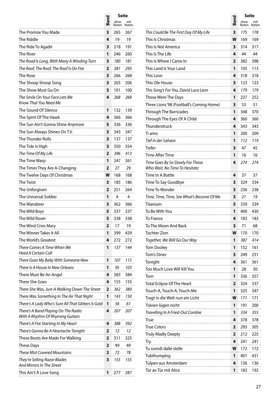|                                                                         |            | Seite         |              |
|-------------------------------------------------------------------------|------------|---------------|--------------|
|                                                                         | Ban        | ohne<br>Noten | mit<br>Noten |
| The Promise You Made                                                    | 3          | 265           | 267          |
| The Riddle                                                              | 4          | 19            | 19           |
| The Ride To Agadir                                                      | 3          | 218           | 191          |
| <b>The River</b>                                                        | 1          | 246           | 260          |
| The Road Is Long, With Many A Winding Turn                              | 3          | 180           | 181          |
| The Roof, The Roof, The Roof Is On Fire                                 | 2          | 281           | 293          |
| The Rose                                                                | 3          | 266           | 268          |
| The Shoop Shoop Song                                                    | 3          | 203           | 206          |
| The Show Must Go On                                                     | 3          | 101           | 100          |
| The Smile On Your Face Lets Me                                          | 4          | 268           | 268          |
| Know That You Need Me                                                   |            |               |              |
| The Sound Of Silence                                                    | 1          | 132           | 139          |
| The Spirit Of The Hawk                                                  | 4          | 366           | 366          |
| The Sun Ain't Gonna Shine Anymore                                       | 5          | 336           | 336          |
| The Sun Always Shines On T.V.                                           | з          | 343           | 347          |
| The Thunder Rolls                                                       | 3          | 137           | 137          |
| The Tide Is High                                                        | 3          | 350           | 354          |
| The Time Of My Life                                                     | 2          | 396           | 413          |
| The Time Warp                                                           | 1          | 247           | 261          |
| The Times They Are A-Changing                                           | 2          | 27            | 29           |
| The Twelve Days Of Christmas                                            | W          | 168           | 168          |
| The Twist                                                               | 3          | 185           | 186          |
| The Unforgiven                                                          | 2          | 251           | 264          |
| The Universal Soldier                                                   | 1          | 4             | 4            |
| The Wanderer                                                            | 3          | 362           | 366          |
| The Wild Boys                                                           | 5          | 337           | 337          |
| The Wild Rover                                                          | 5          | 338           | 338          |
| The Wind Cries Mary                                                     | 2          | 17            | 19           |
| The Winner Takes It All                                                 | 1          | 399           | 429          |
| The World's Greatest                                                    | 4          | 272           | 272          |
| There Comes A Time When We<br>Heed A Certain Call                       | 1          | 137           | 144          |
| There Goes My Baby With Someone New                                     | 1          | 107           | 115          |
| There Is A House In New Orleans                                         | 1          | 95<br>        | 103          |
| There Must Be An Angel                                                  | 4          | 383           | 384          |
| <b>There She Goes</b>                                                   | 4          | 155           | 155          |
| There She Was, Just-A Walking Down The Street                           | 2          | 362           | 380          |
| There Was Something In The Air That Night                               |            | 143           | 150          |
| There's A Lady Who's Sure All That Glitters Is Gold                     |            | 56            | 61           |
| There's A Bana Playing On The Radio<br>With A Rhythm Of Rhyming Guitars |            | 207           |              |
| There's A Fire Starting In My Heart                                     | 4          | 388           | 392          |
| There's Gonna Be A Heartache Tonight                                    | $\ddot{ }$ | 12            | 12           |
| These Boots Are Made For Walking                                        | 2          | 311           | 325          |
| <b>These Days</b>                                                       | 2          | 49            | 49           |
| <b>These Mist Covered Mountains</b>                                     | 2          | 72            | 78           |
| They're Selling Razor Blades                                            | з          | 155           | 155          |
| And Mirrors In The Street                                               |            |               |              |
| This Ain't A Love Song                                                  | 1          | 277           | 287          |

|                                                                   |                           | Seite                                |                        |
|-------------------------------------------------------------------|---------------------------|--------------------------------------|------------------------|
|                                                                   | Band                      | ohne<br>Noter                        | mit<br>Noten           |
| This Could Be The First Day Of My Life                            | 3                         | 175                                  | 178                    |
| This Is Christmas                                                 | W                         | 169                                  | 169                    |
| This Is Not America                                               | 3                         | 314                                  | 317                    |
| This Is The Life                                                  | 4                         | 44                                   | 44                     |
| This Is Where I Came In                                           | 2                         | 382                                  | 398                    |
| This Land Is Your Land                                            | 1                         | 105                                  | 113                    |
| This Love                                                         | 4                         | 318                                  | 318                    |
|                                                                   |                           |                                      |                        |
| This Ole House                                                    | 3                         | 123                                  | 123                    |
| This Song's For You, David Luca Leon                              | 4                         | 179                                  | 179                    |
| Those Were The Days                                               | 1                         | 237                                  | 252                    |
| Three Lions '98 (Football's Coming Home)                          | 3                         | $\frac{53}{1}$                       | $\frac{51}{10}$        |
| Through The Barricades                                            | 1                         | 348                                  | 370                    |
| Through The Eyes Of A Child                                       | 4                         | 360                                  | 360                    |
| Thunderstruck                                                     | 4                         | 343                                  | 343                    |
| Ti amo                                                            | 1                         | 200                                  | 209                    |
| Tief in der Sahara                                                | 1                         | 112                                  | 119                    |
| Tiefer                                                            | 3                         | 47                                   | 45                     |
| Time After Time                                                   | 1                         | 16                                   | 16                     |
| Time Goes By So Slowly For Those<br>Who Wait, No Time To Hesitate | 4                         | 274                                  | 274                    |
|                                                                   | 4                         |                                      |                        |
| Time In A Bottle                                                  |                           | 37                                   | 37<br>334              |
| Time To Say Goodbye<br>Time To Wonder                             | з                         | $\frac{329}{11}$                     |                        |
| Time, Time, Time, See What's Become Of Me                         | 3<br>з                    | 236                                  | 238                    |
| Titanium                                                          |                           | 21                                   | 19<br>339              |
|                                                                   | 5<br>1                    | 339                                  |                        |
| To Be With You<br>To France                                       | 4                         | 400                                  | 430<br>183             |
| To The Moon And Back                                              |                           | 183                                  | 68                     |
| <b>Tochter Zion</b>                                               | $\ddot{\phantom{0}}$<br>W | $\overline{a}$<br>170                | 170                    |
|                                                                   | 1                         | 387                                  | 414                    |
| Together, We Will Go Our Way                                      | 1                         |                                      | 161                    |
| Tom Dooley                                                        |                           | 152<br>249                           |                        |
| Tom's Diner                                                       | 3<br>4                    |                                      | 251                    |
| Tonight<br>Too Much Love Will Kill You                            | 1                         | 361<br>28                            | 361<br>$\frac{30}{10}$ |
| Torn                                                              | 1                         | 336                                  | 357                    |
| Total Eclipse Of The Heart                                        |                           | 324                                  | 337                    |
| Touch-A, Touch-A, Touch-Me                                        | $\overline{a}$<br>1       | 325                                  | 347                    |
| Tragt in die Welt nun ein Licht                                   | W                         | 171                                  | 171                    |
| Tränen lügen nicht                                                |                           | 191                                  | 200                    |
|                                                                   |                           |                                      |                        |
| Travelling In A Fried-Out Combie <b>1 334 355</b><br>True         |                           |                                      |                        |
| <b>True Colors</b>                                                |                           | 4 378 378                            |                        |
|                                                                   | $\mathbf{2}$              | 2 293 305                            |                        |
| Truly Madly Deeply                                                |                           | $2 \overline{)212}$ 225<br>4 241 241 |                        |
| Try<br><br>Tu scendi dalle stelle                                 |                           | <b>W</b> 172                         | 172                    |
|                                                                   | $\mathbf{1}$              | 401 431                              |                        |
| Tubthumping                                                       |                           | 4 136 136                            |                        |
| Tulpen aus Amsterdam<br>Tür an Tür mit Alice                      |                           | 1 183 192                            |                        |
|                                                                   |                           |                                      |                        |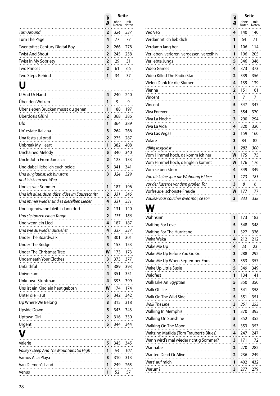|                                              |                | Seite     |             |
|----------------------------------------------|----------------|-----------|-------------|
|                                              | Band           | ohne mit  | Noten Noten |
| <b>Turn Around</b>                           | $\overline{2}$ | 324 337   |             |
| Turn The Page                                | $\overline{4}$ | 77 77     |             |
| Twentyfirst Century Digital Boy<br>2 266 278 |                |           |             |
| <b>Twist And Shout</b>                       |                | 2 245 258 |             |
| Twist In My Sobriety                         |                | 2 29      | 31          |
| <b>Two Princes</b>                           | $\overline{2}$ | - 61      | - 66        |
| Two Steps Behind                             | 1              | 34        | - 37        |

### **U**

| U And Ur Hand                                  | 4 | 240 | 240 |
|------------------------------------------------|---|-----|-----|
| Über den Wolken                                | 1 | 9   | 9   |
| Über sieben Brücken musst du gehen             | 1 | 188 | 197 |
| Überdosis Gfühl                                | 2 | 368 | 386 |
| Ufo                                            | 1 | 364 | 389 |
| Un' estate italiana                            | 3 | 264 | 266 |
| Una festa sui prati                            | 2 | 275 | 287 |
| Unbreak My Heart                               | 1 | 382 | 408 |
| <b>Unchained Melody</b>                        | 5 | 340 | 340 |
| Uncle John From Jamaica                        | 2 | 123 | 133 |
| Und dabei liebe ich euch beide                 | 5 | 341 | 341 |
| Und du glaubst, ich bin stark                  | 3 | 324 | 329 |
| und ich kenn den Weg                           |   |     |     |
| Und es war Sommer                              | 1 | 187 | 196 |
| Und ich düse, düse, düse, düse im Sauseschritt | 2 | 331 | 346 |
| Und immer wieder sind es dieselben Lieder      | 4 | 331 | 331 |
| Und irgendwann bleib i dann dort               | 2 | 131 | 140 |
| Und sie tanzen einen Tango                     | 2 | 175 | 186 |
| Und wenn ein Lied                              | 4 | 187 | 187 |
| Und wie du wieder aussiehst                    | 4 | 337 | 337 |
| <b>Under The Boardwalk</b>                     | 4 | 301 | 301 |
| <b>Under The Bridge</b>                        | 3 | 153 | 153 |
| Under The Christmas Tree                       | W | 173 | 173 |
| <b>Underneath Your Clothes</b>                 | 3 | 373 | 377 |
| Unfaithful                                     | 4 | 389 | 393 |
| Universum                                      | 4 | 351 | 351 |
| Unknown Stuntman                               | 4 | 393 | 399 |
| Uns ist ein Kindlein heut geborn               | W | 174 | 174 |
| Unter die Haut                                 | 5 | 342 | 342 |
| Up Where We Belong                             | 3 | 315 | 318 |
| Upside Down                                    | 5 | 343 | 343 |
| Uptown Girl                                    | 2 | 316 | 330 |
| Urgent                                         | 5 | 344 | 344 |

### **V**

| Valerie                                 | 5 345 345 |        |  |
|-----------------------------------------|-----------|--------|--|
| Valley's Deep And The Mountains So High |           | 94 102 |  |
| Vamos A La Playa                        | 3 310 313 |        |  |
| Van Diemen's Land                       | 1 249 265 |        |  |
| Venus                                   | 52 57     |        |  |
|                                         |           |        |  |

|                                           |                | <b>Seite</b>  |              |
|-------------------------------------------|----------------|---------------|--------------|
|                                           | Band           | ohne<br>Noten | mit<br>Noten |
| Veo Veo                                   | 4              | 140           | 140          |
| Verdammt ich lieb dich                    | 1              | 64            | 71           |
| Verdamp lang her<br>.                     | 1              | 106           | 114          |
| Verlieben, verloren, vergessen, verzeih'n | 1              | 196           | 205          |
| Verliebte Jungs                           | 5              | 346           | 346          |
| <b>Video Games</b>                        | 4              | 373           | 373          |
| Video Killed The Radio Star               | $\overline{2}$ | 339           | 356          |
| Vielen Dank für die Blumen                | 4              | 139           | 139          |
| Vienna                                    | 2              | 151           | 161          |
| Vincent                                   | 1              | 7             | 7            |
| Vincent                                   | 5              | 347           | 347          |
| Viva Forever                              | $\overline{2}$ | 354           | 370          |
| Viva La Noche                             | 3              | 290           | 294          |
| Viva La Vida                              | 4              | 320           | 320          |
| Viva Las Vegas                            | 3              | 159           | 160          |
| Volare                                    | 3              | 84            | 82           |
| Völlig losgelöst<br>.                     | 1              | 282           | 300          |
| Vom Himmel hoch, da komm ich her          | W              | 175           | 175          |
| Vom Himmel hoch, o Englein kommt          | W              | 176           | 176          |
| Vom selben Stern                          | 4              | 349           | 349          |
| Von dir keine spur die Wohnung ist leer   | 1              | 173           | 183          |
| Vor der Kaserne vor dem großen Tor        | 3              | 8             | 6            |
| Vorfreude, schönste Freude                | W              | 177           | 177          |
| Voulez-vous coucher avec moi, ce soir     | 3              | 333           | 338          |
|                                           |                |               |              |

### **W**

| Wahnsinn                                | 1              | 173 | 183 |
|-----------------------------------------|----------------|-----|-----|
| <b>Waiting For Love</b><br>.            | 5              | 348 | 348 |
| <b>Waiting For The Hurricane</b>        | 1              | 327 | 336 |
| Waka Waka                               | 4              | 212 | 212 |
| Wake Me Up                              | 4              | 23  | 23  |
| Wake Me Up Before You Go Go             | 3              | 288 | 292 |
| Wake Me Up When September Ends          | 3              | 353 | 357 |
| Wake Up Little Susie                    | 5              | 349 | 349 |
| Waldfest<br>.                           | 1              | 134 | 141 |
| Walk Like An Egyptian                   | 5              | 350 | 350 |
| Walk Of Life                            | $\overline{2}$ | 341 | 358 |
| Walk On The Wild Side                   | 5              | 351 | 351 |
| <b>Walk The Line</b>                    | 3              | 251 | 253 |
| Walking In Memphis                      | 1              | 370 | 395 |
| Walking On Sunshine                     | 5              | 352 | 352 |
| Walking On The Moon                     | 5              | 353 | 353 |
| Waltzing Matilda (Tom Traubert's Blues) | 4              | 247 | 247 |
| Wann wird's mal wieder richtig Sommer?  | 3              | 171 | 172 |
| Wannabe                                 | $\overline{2}$ | 270 | 282 |
| <b>Wanted Dead Or Alive</b>             | $\overline{2}$ | 236 | 249 |
| Wart' auf mich                          | 1              | 402 | 432 |
| Warum?                                  | 3              | 277 | 279 |
|                                         |                |     |     |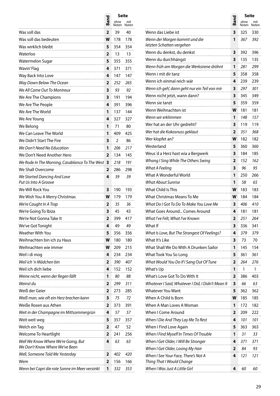|                                                |            | Seite         |              |
|------------------------------------------------|------------|---------------|--------------|
|                                                | Band       | ohne<br>Noten | mit<br>Noten |
| Was soll das                                   | 2          | 39            | 40           |
| Was soll das bedeuten                          | W          | 178           | 178          |
| Was wirklich bleibt                            | 5          | 354           | 354          |
| Waterloo                                       | 2          | 13            | 13           |
| Watermelon Sugar                               | 5          | 355           | 355          |
| Wavin' Flag                                    | 4          | 371           | 371          |
| Way Back Into Love                             | 4          | 147           | 147          |
| Way Down Below The Ocean                       | 2          | 252           | 265          |
| We All Came Out To Montreux                    | 3          | 93            | 92           |
| We Are The Champions                           | 3          | 191           | 194          |
| We Are The People                              | 4          | 391           | 396          |
| We Are The World                               | 1          | 137           | 144          |
| We Are Young                                   | 4          | 327           | 327          |
| We Belong                                      | 1          | 71            | 80           |
| We Can Leave The World                         | 1          | 409           | 425          |
| We Didn't Start The Fire                       | 3          | 2             | 86           |
| We Don't Need No Education                     | 1          | 206           | 217          |
| We Don't Need Another Hero                     | 2          | 134           | 145          |
| We Rode In The Morning, Casablanca<br>The West | 3          | 218           | 191          |
| We Shall Overcome                              | 2          | 286           | 298          |
| We Started Dancing And Love                    | 4          | 39            | 39           |
| Put Us Into A Groove                           |            |               |              |
| We Will Rock You                               | 3          | 190           | 193          |
| We Wish You A Merry Christmas                  | w          | 179           | 179          |
| We're Caught In A Trap                         | 2          | 35            | 36           |
| We're Going To Ibiza                           | 3          | 45            | 43           |
| We're Not Gonna Take It                        | 2          | 399           | 417          |
| We've Got Tonight                              | 4          | 49            | 49           |
| Weather With You                               | 5          | 356           | 356          |
| Weihnachten bin ich zu Haus                    | w          | 180           | 180          |
| Weihnachten wie immer                          | W          | 209           | 215          |
| Weil i di mog                                  | 4          | 234           | 234          |
| Weil ich 'n Mädchen bin                        | 2          | 390           | 407          |
| Weil ich dich liebe                            | 4          | 152           | 152          |
| Weine nicht, wenn der Regen fällt              | 1          | 80            | 88           |
| Weinst du                                      | 2          | 299           | 311          |
| Weiß der Geier                                 | $\ddot{ }$ | 273           | 285          |
| Weiß man, wie oft ein Herz brechen kann        | 3          | 75            | 72           |
| Weiße Rosen aus Athen                          | 2          | 373           | 391          |
| Weit in der Champagne im Mittsommergrün        | 4          | 57            | 57           |
| Weit weit weg                                  | 5          | 357           | 357          |
| Welch ein Tag                                  | 2          | 47            | 52           |
| Welcome To Heartlight                          | 2          | 241           | 256          |
| Well We Know Where We're Going, But            | 4          | 63            | 63           |
| We Don't Know Where We've Been                 |            |               |              |
| Well, Someone Told Me Yesterday                | 2          | 402           | 420          |
| Wem                                            | 2          | 156           | 166          |
| Wenn bei Capri die rote Sonne im Meer versinkt | 1          | 332           | 353          |

|                                                                  |                          | Seite         |              |
|------------------------------------------------------------------|--------------------------|---------------|--------------|
|                                                                  | Ban                      | ohne<br>Noten | mit<br>Noten |
| Wenn das Liebe ist                                               | з                        | 325           | 330          |
| Wenn der Morgen kommt und die                                    | 1                        | 367           | 392          |
| letzten Schatten vergehen                                        |                          |               |              |
| Wenn du denkst, du denkst                                        | 3                        | 392           | 396          |
| Wenn du durchhängst                                              | 3                        | 135           | 135          |
| Wenn früh am Morgen die Werksirene dröhnt                        | 1                        | 281           | 299          |
| Wenn i mit dir tanz                                              | 5                        | 358           | 358          |
| Wenn ich einmal reich wär                                        | 4                        | 239           | 239          |
| Wenn ich geh', dann geht nur ein Teil von mir                    | 3                        | 297           | 301          |
| Wenn nicht jetzt, wann dann?                                     | 3                        | 345           | 349          |
| Wenn sie tanzt                                                   | 5                        | 359           | 359          |
| Wenn Weihnachten ist                                             | w                        | 181           | 181          |
| Wenn wir erklimmen                                               | 1                        | 148           | 157          |
| Wer hat an der Uhr gedreht?                                      | 3                        | 119           | 119          |
| Wer hat die Kokosnuss geklaut                                    | 2                        | 351           | 368          |
| Wer klopfet an?                                                  | w                        | 182           | 182          |
| Westerland                                                       | 5                        | 360           | 360          |
| Weus'd a Herz hast wia a Bergwerk                                | 3                        | 184           | 185          |
| Whang I Sing While The Others Swing                              | 2                        | 152           | 162          |
| What A Feeling                                                   | 3                        | 96            | 95           |
| What A Wonderful World                                           | 1                        | 250           | 266          |
| What About Sunrise                                               | 1                        | 58            | 65           |
| What Child Is This                                               | W                        | 183           | 183          |
| What Christmas Means To Me                                       | W                        | 184           | 184          |
| What Do I Got To Do To Make You Love Me                          | 3                        | 406           | 410          |
| What Goes Around Comes Around                                    | 4                        | 181           | 181          |
| What I've Felt, What I've Known                                  | 2                        | 251           | 264          |
| What If                                                          | з                        | 336           | 341          |
| What Is Love, But The Strangest Of Feelings?                     | 4                        | 379           | 379          |
| What It's Like                                                   | $\ddot{\mathbf{3}}$      | 73            | 70           |
| What Shall We Do With A Drunken Sailor                           | 1                        | 145           | 154          |
| What Took You So Long                                            | $\overline{\phantom{a}}$ | 361           | 361          |
| What Would You Do If I Sang Out Of Tune                          | 2                        | 264           | 276          |
| What's Up                                                        | 1                        | 1             | 1            |
| What's Love Got To Do With It                                    | 2                        | 386           | 403          |
| Whatever I Said, Whatever I Did, I Didn't Mean It                | 3                        | 66            | 63           |
| Whatever You Want                                                | 5                        | 362           | 362          |
| When A Child Is Born                                             | w                        | 185           | 185          |
| When A Man Loves A Woman                                         | 1                        | 172           | 182          |
| When I Come Around                                               | 2                        | 209           | 222          |
| When I Die And They Lay Me To Rest                               | 4                        | 101           | 101          |
| When I Find Love Again                                           | 5                        | 363           | 363          |
| When I Find Myself In Times Of Trouble                           | 1                        | 31            | 33           |
| When I Get Older, I Will Be Stronger                             | 4                        | 371           | 371          |
| When I Get Older, Losing My Hair                                 | 2                        | 84            | 93           |
| When I See Your Face, There's Not A<br>Thing That I Would Change | 4                        | 121           | 121          |
| When I Was Just A Little Girl                                    | 4                        | 60            | 60           |
|                                                                  |                          |               |              |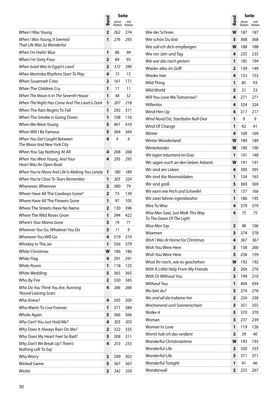|                                                 |                         | Seite             |                 |
|-------------------------------------------------|-------------------------|-------------------|-----------------|
|                                                 | Band                    | ohne<br>Noten     | mit<br>Noten    |
| When I Was Young                                | 2                       | 262               | 274             |
| When I Was Young, It Seemed                     | 1                       | 276               | 293             |
| That Life Was So Wonderful                      |                         |                   |                 |
| When I'm Feelin' Blue                           | 1                       | 86                | 94              |
| When I'm Sixty-Four                             | $\overline{\mathbf{r}}$ | 84                | 93              |
| When Israel Was In Egypt's Land                 | 2                       | 372               | 390             |
| When Marimba Rhythms Start To Play              | 4                       | 15                | 15              |
| When Susannah Cries                             | $\overline{a}$          | 161               | 171             |
| When The Children Cry                           | 1                       | 11                | 11              |
| When The Moon Is In The Seventh House           | 1                       | 48                | 52              |
| When The Night Has Come And The Land Is Dark    | 1                       | 207               | 218             |
| When The Rain Begins To Fall                    | 1                       | 292               | 311             |
| When The Smoke Is Going Down                    | 1                       | 108               | 116             |
| When We Were Young                              | 5                       | 401               | 410             |
| When Will I Be Famous                           | 5                       | 364               | 364             |
| When You Get Caught Between                     | 4                       | 4                 | 4               |
| The Moon And New York City                      |                         |                   |                 |
| When You Say Nothing At All                     | 4                       | 268               | 268             |
| When You Were Young, And Your                   | 4                       | 295               | 295             |
| Heart Was An Open Book                          |                         |                   |                 |
| When You're Alone And Life Is Making You Lonely |                         | 180               | 189             |
| When You're Close To Tears Remember             | 1                       | 305               | 324             |
| Whenever, Wherever                              | 2                       | 380               | 79              |
| Where Have All The Cowboys Gone?                | 2                       | 73                | 139             |
| Where Have All The Flowers Gone                 | 1                       | 97                | 105             |
| Where The Streets Have No Name                  | 2                       | 130               | 396             |
| Where The Wild Roses Grow                       | <u>1</u>                | 394               | 422             |
| Where's Your Mama Gone                          | 3                       | 74                | $\frac{71}{11}$ |
| Wherever You Go, Whatever You Do                | 3                       | 11                | 9               |
| Wherever You Will Go                            | 4                       | 319               | 319             |
| Whiskey In The Jar                              | 1                       | 356               | 379             |
| White Christmas                                 | W                       | 186               | 186             |
| White Flag                                      | 4                       | 291               | 291             |
| White Room                                      | 1                       | 118               | 125             |
| White Wedding                                   | 5                       | 365               | 365             |
| Who By Fire                                     | 2                       | 330               | 345             |
| Who Do You Think You Are, Running               | 4                       | 266               | 266             |
| 'Round Leaving Scars                            |                         |                   |                 |
| Who Knew?                                       | 4                       | 205               | 205             |
| Who Wants To Live Forever                       | 1                       | 371               | 384             |
| Whole Again                                     | $\frac{5}{1}$           | 366               | 366             |
| Why Can't You Just Hold Me?<br>.                | 4                       | 303               | 303             |
| Why Does It Always Rain On Me?                  | 2                       | 322               | 335             |
| Why Does My Heart Feel So Bad?<br>.             | 3                       | 308               | 311             |
| Why Don't We Break Up? There's                  | 4                       | 253               | 253             |
| Nothing Left To Say                             |                         |                   |                 |
| Why Worry                                       | 2                       | 290               | 302             |
| Wicked Game                                     | $\frac{5}{10}$          | $\frac{367}{100}$ | 367             |
| Wickie                                          | 2                       | 342               | 359             |

|                                    |                          | Seite            |       |
|------------------------------------|--------------------------|------------------|-------|
|                                    |                          | ohne             | mit   |
|                                    |                          | Noten            | Noten |
| Wie der Schnee                     | W                        | 187              | 187   |
| Wie schön Du bist                  | 5                        | 368              | 368   |
| Wie soll ich dich empfangen        | W                        | 188              | 188   |
| Wie vor Jahr und Tag               | 4                        | 235              | 235   |
| Wie war das noch gestern           | 1                        | 185              | 194   |
| Wieder alles im Griff              | 2                        | 139              | 149   |
| Wieder hier                        | 4                        | 153              | 153   |
| Wild Thing                         | 1                        | 85               | 93    |
| Wild World                         | 2                        | 21               | 23    |
| Will You Love Me Tomorrow?         | 4                        | 271              | 271   |
| Willenlos                          | 4                        | 324              | 324   |
| Wind Him Up                        | 4                        | 217              | 217   |
| Wind Nord/Ost, Startbahn Null-Drei | 1                        | 9                | 9     |
| Wind Of Change                     |                          | 42               | 41    |
| Winter                             | 4                        | 169              | 169   |
| Winter Wonderland                  | W                        | 189              | 189   |
| Winterkinder                       | W                        | 190              | 190   |
| Wir lagen träumend im Gras         | 1                        | 141              | 148   |
| Wir sagen euch an den lieben Ao    | W                        | 191              | 191   |
| Wir sind am Leben                  | 4                        | 390              | 395   |
| Wir sind die Moorsoldaten          | 1                        | 154              | 163   |
| Wir sind groß                      | $\overline{\phantom{a}}$ | 369              | 369   |
| Wir warn wie Pech und Schwefel     | 1                        | 157              | 166   |
| Wir zwei fahren irgendwohin        |                          | 186              | 195   |
| Wire To Wire                       | 4                        | 379              | 379   |
| Wise Men Said, Just Walk This Way  | 4                        | 75               | 75    |
| To The Dawn Of The Light           |                          |                  |       |
| Wise Men Say                       | 2                        | 98               | 106   |
| Wisemen                            | 3                        | 374              | 378   |
| Wish I Was At Home For Christmas   | 4                        | 367              | 367   |
| Wish You Were Here                 | 3                        | 158              | 260   |
| Wish You Were Here                 | з                        | 258              | 159   |
| Wisst Ihr noch, wie es geschehen   | W                        | 192              | 192   |
| With A Little Help From My Friends | 2                        | 264              | 276   |
| With Or Without You                | 2                        | 199              | 210   |
| Without You                        | 1                        | 404              | 434   |
| Wo bist du?                        | 3                        | 274              | 276   |
| Wo sind all die Indianer hin       | 2                        | 254              | 238   |
| Wochenend und Sonnenschein         | з                        | 351              | 355   |
| Wolke 4                            | 5.                       | 370              | 370   |
| Woman                              | З                        | 237              | 239   |
| Woman In Love                      | 1                        | 119              | 126   |
| Womit hab ich das verdient         | 2                        | $\frac{39}{111}$ | 40    |
| Wonderful Christmastime            | W                        | 193              | 193   |
| Wonderful Life                     | 2<br>$\ddotsc$           | 320              | 333   |
| Wonderful Life                     | 5                        | $\frac{371}{2}$  | 371   |
| Wonderful Tonight                  | 1                        | 41               | -46   |
| Wonderwall                         | 2                        | 255              | 267   |
|                                    |                          |                  |       |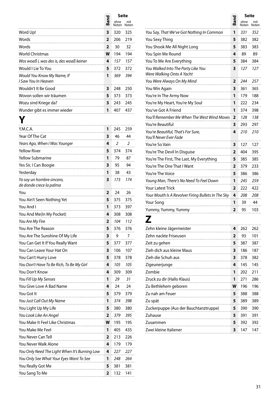|                                                   |                | Seite                         |
|---------------------------------------------------|----------------|-------------------------------|
|                                                   | <b>Band</b>    | ohne<br>mit<br>Noten<br>Noten |
| Word Up!                                          | 3              | 320<br>325                    |
| Words                                             | $\overline{2}$ | 206<br>219                    |
| Words                                             | $\overline{2}$ | 30<br>32                      |
| <b>World Christmas</b>                            | W              | 194<br>194                    |
| Wos woaß i, was des is, des woaß keiner           | 4              | 157<br>157                    |
| Would I Lie To You                                | 5              | 372<br>372                    |
| Would You Know My Name, If<br>I Saw You In Heaven | 1              | 369<br>394                    |
| Wouldn't It Be Good                               | 3              | 248<br>250                    |
| Wovon sollen wir träumen                          | 5              | 373<br>373                    |
| Wozu sind Kriege da?                              | 3              | 243<br>245                    |
| Wunder gibt es immer wieder                       | 1              | 407<br>437                    |
|                                                   |                |                               |

### **Y**

| Y.M.C.A.                                      | 1 | 245 | 259 |
|-----------------------------------------------|---|-----|-----|
| Year Of The Cat                               | 3 | 46  | 44  |
| Years Ago, When I Was Younger                 | 4 | 2   | 2   |
| <b>Yellow River</b>                           | 5 | 374 | 374 |
| <b>Yellow Submarine</b>                       | 1 | 79  | 87  |
| Yes Sir, I Can Boogie                         | 3 | 95  | 94  |
| Yesterday                                     | 1 | 38  | 43  |
| Yo soy un hombre sincero,                     | 3 | 173 | 174 |
| de donde crece la palma                       |   |     |     |
| You                                           | 2 | 24  | 26  |
| You Ain't Seen Nothing Yet                    | 5 | 375 | 375 |
| You And I                                     | 1 | 373 | 397 |
| You And Me(In My Pocket)                      | 4 | 308 | 308 |
| You Are My Fire                               | 2 | 104 | 112 |
| You Are The Reason                            | 5 | 376 | 376 |
| You Are The Sunshine Of My Life               | 3 | 9   | 7   |
| You Can Get It If You Really Want             | 5 | 377 | 377 |
| You Can Leave Your Hat On                     | 3 | 106 | 107 |
| You Can't Hurry Love                          | 5 | 378 | 378 |
| You Don't Have To Be Rich, To Be My Girl      | 4 | 105 | 105 |
| You Don't Know                                | 4 | 309 | 309 |
| You Fill Up My Senses                         | 1 | 29  | 31  |
| You Give Love A Bad Name                      | 4 | 24  | 24  |
| You Got It                                    | 5 | 379 | 379 |
| You Just Call Out My Name                     | 1 | 374 | 398 |
| You Light Up My Life                          | 5 | 380 | 380 |
| You Look Like An Angel                        | 2 | 379 | 395 |
| You Make It Feel Like Christmas               | W | 195 | 195 |
| You Make Me Feel                              | 1 | 405 | 435 |
| You Never Can Tell                            | 2 | 213 | 226 |
| You Never Walk Alone                          | 4 | 179 | 179 |
| You Only Need The Light When It's Burning Low | 4 | 227 | 227 |
| You Only See What Your Eyes Want To See       | 1 | 248 | 264 |
| You Really Got Me                             | 5 | 381 | 381 |
| You Sang To Me                                | 2 | 132 | 141 |
|                                               |   |     |     |

|                                                                 | និ | ohne<br>Noten | mit<br>Noten |
|-----------------------------------------------------------------|----|---------------|--------------|
| You Say, That We've Got Nothing In Common                       | 1  | 331           | 352          |
| You Sexy Thing                                                  | 5  | 382           | 382          |
| You Shook Me All Night Long                                     | 5  | 383           | 383          |
| You Spin Me Round                                               | 4  | 89            | 89           |
| You To Me Are Everything                                        | 5  | 384           | 384          |
| You Walked Into The Party Like You<br>Were Walking Onto A Yacht | 3  | 127           | 127          |
| You Were Always On My Mind                                      | 2  | 244           | 257          |
| You Win Again                                                   | 3  | 361           | 365          |
| You're In The Army Now                                          | 1  | 179           | 188          |
| You're My Heart, You're My Soul                                 | 1  | 222           | 234          |
| You've Got A Friend                                             | 1  | 374           | 398          |
| You'll Remember Me When The West Wind Moves                     | 2  | 128           | 138          |
| You're Beautiful                                                | 3  | 293           | 297          |
| You're Beautiful, That's For Sure,<br>You'll Never Ever Fade    | 4  | 210           | 210          |
| You're So Vain                                                  | 3  | 127           | 127          |
| You're The Devil In Disquise                                    | 2  | 404           | 395          |
| You're The First, The Last, My Everything                       | 5  | 385           | 385          |
| You're The One That I Want                                      | 2  | 379           | 233          |
| You're The Voice                                                | 5  | 386           | 386          |
| Young Man, There's No Need To Feel Down                         | 1  | 245           | 259          |
| Your Latest Trick                                               | 2  | 222           | 422          |
| Your Mouth Is A Revolver Firing Bullets In The Sky              | 4  | 208           | 208          |
| Your Song                                                       | 1  | 39            | 44           |
| Yummy, Yummy, Yummy                                             | 2  | 95            | 103          |
|                                                                 |    |               |              |
| Zehn kleine Jägermeister                                        | 4  | 262           | 262          |
| Zehn nackte Friseusen                                           | 2  | 93            | 101          |
| Zeit zu gehen                                                   | 5  | 387           | 387          |

**Band**

**Seite**

| ZEHII HALNIE FIISEUSEH                | ◢ | - 20 | 1 V I |
|---------------------------------------|---|------|-------|
| Zeit zu gehen                         | 5 | 387  | 387   |
| Zieh dich aus kleine Maus             | 3 | 186  | 187   |
| Zieh die Schuh aus                    | 3 | 378  | 382   |
| Zigeunerjunge                         | 4 | 145  | 145   |
| Zombie                                | 1 | 202  | 211   |
| Zruck zu dir (Hallo Klaus)            | 1 | 271  | 286   |
| Zu Bethlehem geboren                  | W | 196  | 196   |
| Zu nah am Feuer                       | 5 | 388  | 388   |
| Zu spät                               | 5 | 389  | 389   |
| Zuckerpuppe (Aus der Bauchtanztruppe) | 5 | 390  | 390   |
| Zuhause                               | 5 | 391  | 391   |
| Zusammen                              | 5 | 392  | 392   |
| Zwei kleine Italiener                 | 3 | 147  | 147   |